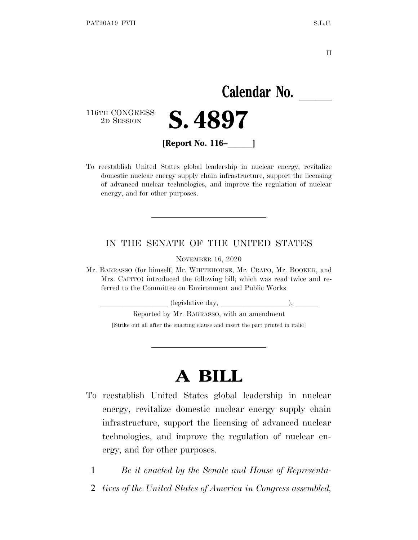II

# **Calendar No.**

116TH CONGRESS<br>2D SESSION

<sup>2</sup><sup>D</sup> <sup>S</sup>ESSION **S. 4897**

**[Report No. 116–** 1

To reestablish United States global leadership in nuclear energy, revitalize domestic nuclear energy supply chain infrastructure, support the licensing of advanced nuclear technologies, and improve the regulation of nuclear energy, and for other purposes.

### IN THE SENATE OF THE UNITED STATES

NOVEMBER 16, 2020

Mr. BARRASSO (for himself, Mr. WHITEHOUSE, Mr. CRAPO, Mr. BOOKER, and Mrs. CAPITO) introduced the following bill; which was read twice and referred to the Committee on Environment and Public Works

llequalitive day,  $\frac{1}{\ell}$ ,  $\frac{1}{\ell}$ 

Reported by Mr. BARRASSO, with an amendment

[Strike out all after the enacting clause and insert the part printed in italic]

# **A BILL**

- To reestablish United States global leadership in nuclear energy, revitalize domestic nuclear energy supply chain infrastructure, support the licensing of advanced nuclear technologies, and improve the regulation of nuclear energy, and for other purposes.
	- 1 *Be it enacted by the Senate and House of Representa-*
	- 2 *tives of the United States of America in Congress assembled,*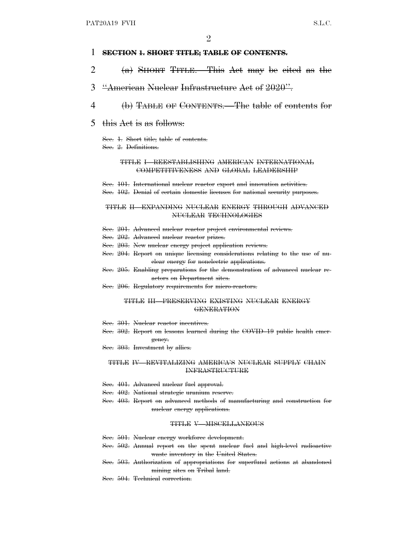#### 1 **SECTION 1. SHORT TITLE; TABLE OF CONTENTS.**

- 2 (a) SHORT TITLE.—This Act may be cited as the
- 3 ''American Nuclear Infrastructure Act of 2020''.
- 4 (b) TABLE OF CONTENTS.—The table of contents for
- 5 this Act is as follows:

Sec. 1. Short title: table of contents. Sec. 2. Definitions.

#### TITLE I—REESTABLISHING AMERICAN INTERNATIONAL COMPETITIVENESS AND GLOBAL LEADERSHIP

Sec. 101. International nuclear reactor export and innovation activities. Sec. 102. Denial of certain domestic licenses for national security purposes.

#### TITLE II—EXPANDING NUCLEAR ENERGY THROUGH ADVANCED NUCLEAR TECHNOLOGIES

Sec. 201. Advanced nuclear reactor project environmental reviews.

- Sec. 202. Advanced nuclear reactor prizes.
- Sec. 203. New nuclear energy project application reviews.
- Sec. 204. Report on unique licensing considerations relating to the use of nuclear energy for nonelectric applications.
- Sec. 205. Enabling preparations for the demonstration of advanced nuclear reactors on Department sites.
- Sec. 206. Regulatory requirements for micro-reactors.

#### TITLE III—PRESERVING EXISTING NUCLEAR ENERGY **GENERATION**

- Sec. 301. Nuclear reactor incentives.
- Sec. 302. Report on lessons learned during the COVID–19 public health emergency.
- Sec. 303. Investment by allies.

#### TITLE IV—REVITALIZING AMERICA'S NUCLEAR SUPPLY CHAIN INFRASTRUCTURE

- Sec. 401. Advanced nuclear fuel approval.
- Sec. 402. National strategic uranium reserve.
- Sec. 403. Report on advanced methods of manufacturing and construction for nuclear energy applications.

#### TITLE V—MISCELLANEOUS

- Sec. 501. Nuclear energy workforce development.
- Sec. 502. Annual report on the spent nuclear fuel and high-level radioactive waste inventory in the United States.
- Sec. 503. Authorization of appropriations for superfund actions at abandoned mining sites on Tribal land.
- Sec. 504. Technical correction.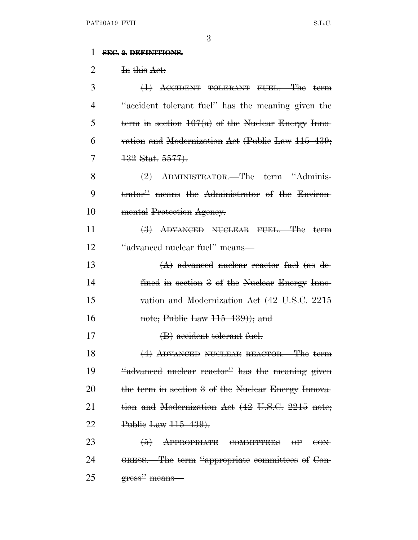### **SEC. 2. DEFINITIONS.**

In this Act:

| 3  | (1) ACCIDENT TOLERANT FUEL.—The term                 |
|----|------------------------------------------------------|
| 4  | "accident tolerant fuel" has the meaning given the   |
| 5  | term in section $107(a)$ of the Nuclear Energy Inno- |
| 6  | vation and Modernization Act (Public Law 115–439;    |
| 7  | <del>132 Stat. 5577).</del>                          |
| 8  | (2) ADMINISTRATOR.-The term "Adminis-                |
| 9  | trator" means the Administrator of the Environ-      |
| 10 | mental Protection Agency.                            |
| 11 | (3) ADVANCED NUCLEAR FUEL.—The term                  |
| 12 | "advanced nuclear fuel" means-                       |
| 13 | $(A)$ advanced nuclear reactor fuel (as de-          |
| 14 | fined in section 3 of the Nuclear Energy Inno-       |
| 15 | vation and Modernization Act (42 U.S.C. 2215         |
| 16 | note; Public Law 115–439)); and                      |
| 17 | (B) accident tolerant fuel.                          |
| 18 | $(4)$ ADVANCED NUCLEAR REACTOR.—The term             |
| 19 | "advanced nuclear reactor" has the meaning given     |
| 20 | the term in section 3 of the Nuclear Energy Innova-  |
| 21 | tion and Modernization Act (42 U.S.C. 2215 note;     |
| 22 | Public Law 115–439).                                 |
| 23 | $(5)$ APPROPRIATE COMMITTEES OF<br>$\Theta$ N-       |
| 24 | GRESS.—The term "appropriate committees of Con-      |
| 25 | gress" means-                                        |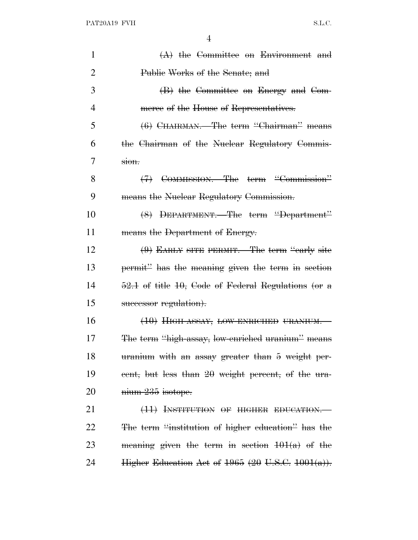| $\mathbf{1}$   | $(A)$ the Committee on Environment and                 |
|----------------|--------------------------------------------------------|
| $\overline{2}$ | Public Works of the Senate; and                        |
| 3              | (B) the Committee on Energy and Com-                   |
| $\overline{4}$ | merce of the House of Representatives.                 |
| 5              | (6) CHAIRMAN.—The term "Chairman" means                |
| 6              | the Chairman of the Nuclear Regulatory Commis-         |
| 7              | $s$ ion.                                               |
| 8              | (7) COMMISSION. The term "Commission"                  |
| 9              | means the Nuclear Regulatory Commission.               |
| 10             | (8) DEPARTMENT. The term "Department"                  |
| 11             | means the Department of Energy.                        |
| 12             | $(9)$ EARLY SITE PERMIT.—The term "early site          |
| 13             | permit" has the meaning given the term in section      |
| 14             | $52.1$ of title 10, Gode of Federal Regulations (or a  |
| 15             | successor regulation).                                 |
| 16             | $(10)$ HIGH-ASSAY, LOW-ENRICHED URANIUM.               |
| 17             | The term "high-assay, low-enriched uranium" means      |
| 18             | uranium with an assay greater than 5 weight per-       |
| 19             | eent, but less than 20 weight percent, of the ura-     |
| 20             | nium-235 isotope.                                      |
| 21             | (11) INSTITUTION OF HIGHER EDUCATION.                  |
| 22             | The term "institution of higher education" has the     |
| 23             | meaning given the term in section $101(a)$ of the      |
| 24             | Higher Education Act of $1965$ (20 U.S.C. $1001(a)$ ). |
|                |                                                        |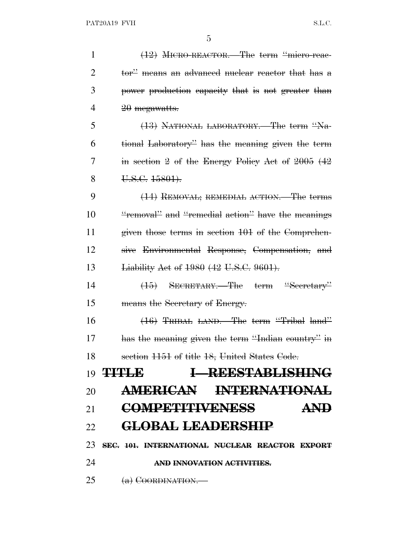| $\mathbf{1}$   | (12) MICRO-REACTOR.—The term "micro-reac-              |
|----------------|--------------------------------------------------------|
| $\overline{2}$ | tor" means an advanced nuclear reactor that has a      |
| 3              | power production capacity that is not greater than     |
| 4              | 20 megawatts.                                          |
| 5              | (13) NATIONAL LABORATORY.—The term "Na-                |
| 6              | tional Laboratory" has the meaning given the term      |
| 7              | in section 2 of the Energy Policy Act of $2005$ $(42)$ |
| 8              | U.S.C. 15801).                                         |
| 9              | (14) REMOVAL; REMEDIAL ACTION.—The terms               |
| 10             | "removal" and "remedial action" have the meanings      |
| 11             | given those terms in section 101 of the Comprehen-     |
| 12             | sive Environmental Response, Compensation, and         |
| 13             | Liability Act of 1980 (42 U.S.C. 9601).                |
| 14             | (15) SECRETARY.—The term "Secretary"                   |
| 15             | means the Secretary of Energy.                         |
| 16             | (16) TRIBAL LAND.—The term "Tribal land"               |
| 17             | has the meaning given the term "Indian country" in     |
| 18             | section 1151 of title 18, United States Code.          |
|                | 19 $THEOREM$<br><b>I-REESTABLISHING</b>                |
| 20             | AMERICAN INTERNATIONAL                                 |
| 21             | COMPETITIVENESS<br><b>AND</b>                          |
| 22             | <b>GLOBAL LEADERSHIP</b>                               |
| 23             | SEC. 101. INTERNATIONAL NUCLEAR REACTOR EXPORT         |
| 24             | AND INNOVATION ACTIVITIES.                             |
| 25             | $(a)$ COORDINATION.                                    |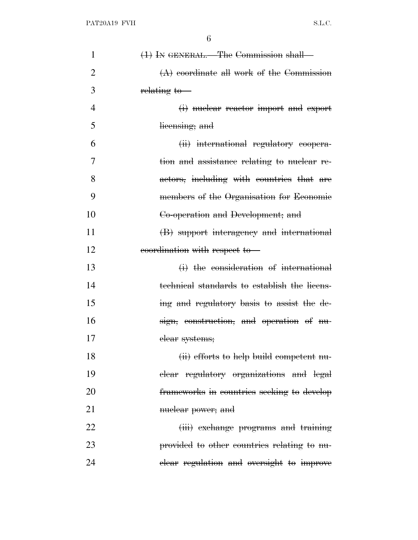| 1              | (1) IN GENERAL.—The Commission shall—        |
|----------------|----------------------------------------------|
| $\overline{2}$ | $(A)$ coordinate all work of the Commission  |
| 3              | relating to-                                 |
| $\overline{4}$ | (i) nuclear reactor import and export        |
| 5              | licensing; and                               |
| 6              | (ii) international regulatory coopera-       |
| 7              | tion and assistance relating to nuclear re-  |
| 8              | actors, including with countries that are    |
| 9              | members of the Organisation for Economic     |
| 10             | Co-operation and Development; and            |
| 11             | (B) support interagency and international    |
| 12             | coordination with respect to                 |
| 13             | (i) the consideration of international       |
| 14             | technical standards to establish the licens- |
| 15             | ing and regulatory basis to assist the de-   |
| 16             | sign, construction, and operation of nu-     |
| 17             | elear systems;                               |
| 18             | (ii) efforts to help build competent nu-     |
| 19             | elear regulatory organizations and legal     |
| 20             | frameworks in countries seeking to develop   |
| 21             | <del>nuclear</del> power; and                |
| 22             | (iii) exchange programs and training         |
| 23             | provided to other countries relating to nu-  |
| 24             | elear regulation and oversight to improve    |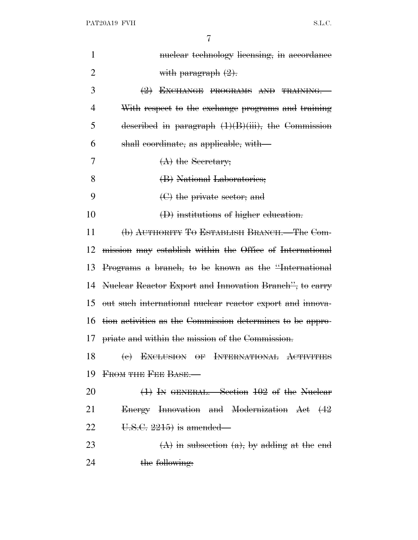| $\mathbf{1}$   | nuclear technology licensing, in accordance               |
|----------------|-----------------------------------------------------------|
| $\overline{2}$ | with paragraph $(2)$ .                                    |
| 3              | (2) EXCHANGE PROGRAMS AND TRAINING.                       |
| 4              | With respect to the exchange programs and training        |
| 5              | described in paragraph $(1)(B)(iii)$ ; the Commission     |
| 6              | shall coordinate, as applicable, with—                    |
| 7              | $(A)$ the Secretary;                                      |
| 8              | (B) National Laboratories;                                |
| 9              | (C) the private sector; and                               |
| 10             | (D) institutions of higher education.                     |
| 11             | (b) AUTHORITY TO ESTABLISH BRANCH.—The Com-               |
| 12             | mission may establish within the Office of International  |
| 13             | Programs a branch, to be known as the "International"     |
| 14             | Nuclear Reactor Export and Innovation Branch", to carry   |
| 15             | out such international nuclear reactor export and innova- |
| 16             | tion activities as the Commission determines to be appro- |
| 17             | priate and within the mission of the Commission.          |
| 18             | (e) EXCLUSION OF INTERNATIONAL ACTIVITIES                 |
| 19             | <b>FROM THE FEE BASE.</b>                                 |
| 20             | $(1)$ In GENERAL.—Section 102 of the Nuclear              |
| 21             | Energy Innovation and Modernization Act (42               |
| 22             | $U.S.C. 2215$ is amended—                                 |
| 23             | $(A)$ in subsection $(a)$ , by adding at the end          |
| 24             | the following:                                            |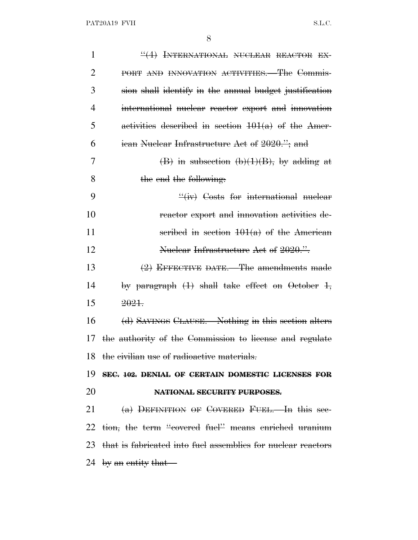| 1  | "(4) INTERNATIONAL NUCLEAR REACTOR EX-                           |
|----|------------------------------------------------------------------|
| 2  | PORT AND INNOVATION ACTIVITIES. The Commis-                      |
| 3  | sion shall identify in the annual budget justification           |
| 4  | international nuclear reactor export and innovation              |
| 5  | activities described in section $101(a)$ of the Amer-            |
| 6  | ican Nuclear Infrastructure Act of 2020."; and                   |
| 7  | $(\mathrm{B})$ in subsection $(b)(1)(\mathrm{B})$ , by adding at |
| 8  | the end the following:                                           |
| 9  | $\frac{``(iv)}{costs}$ for international nuclear                 |
| 10 | reactor export and innovation activities de-                     |
| 11 | seribed in section $101(a)$ of the American                      |
| 12 | Nuclear Infrastructure Act of 2020."                             |
| 13 | $(2)$ EFFECTIVE DATE.—The amendments made                        |
| 14 | by paragraph $(1)$ shall take effect on October 1,               |
| 15 | 2021.                                                            |
| 16 | (d) SAVINGS CLAUSE.—Nothing in this section alters               |
| 17 | the authority of the Commission to license and regulate          |
|    | 18 the civilian use of radioactive materials.                    |
| 19 | SEC. 102. DENIAL OF CERTAIN DOMESTIC LICENSES FOR                |
| 20 | NATIONAL SECURITY PURPOSES.                                      |
| 21 | $(a)$ DEFINITION OF COVERED FUEL. In this sec-                   |
| 22 | tion, the term "covered fuel" means enriched uranium             |
| 23 |                                                                  |
|    | that is fabricated into fuel assemblies for nuclear reactors     |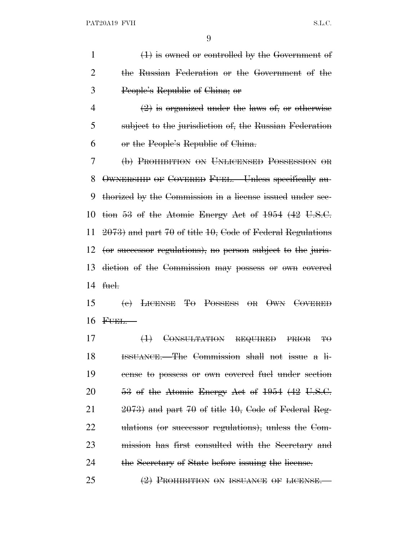$(1)$  is owned or controlled by the Government of the Russian Federation or the Government of the People's Republic of China; or  $\left(2\right)$  is organized under the laws of, or otherwise subject to the jurisdiction of, the Russian Federation or the People's Republic of China. (b) PROHIBITION ON UNLICENSED POSSESSION OR OWNERSHIP OF COVERED FUEL.—Unless specifically au- thorized by the Commission in a license issued under sec- tion 53 of the Atomic Energy Act of 1954 (42 U.S.C. 2073) and part 70 of title 10, Code of Federal Regulations (or successor regulations), no person subject to the juris- diction of the Commission may possess or own covered fuel. (c) LICENSE T<sup>O</sup> POSSESS OR OWN COVERED 16 FUEL. (1) CONSULTATION REQUIRED PRIOR TO

 ISSUANCE.—The Commission shall not issue a li- cense to possess or own covered fuel under section 20 53 of the Atomic Energy Act of 1954 (42 U.S.C.  $2073$  and part 70 of title 10, Code of Federal Reg- ulations (or successor regulations), unless the Com- mission has first consulted with the Secretary and 24 the Secretary of State before issuing the license.

25 (2) PROHIBITION ON ISSUANCE OF LICENSE.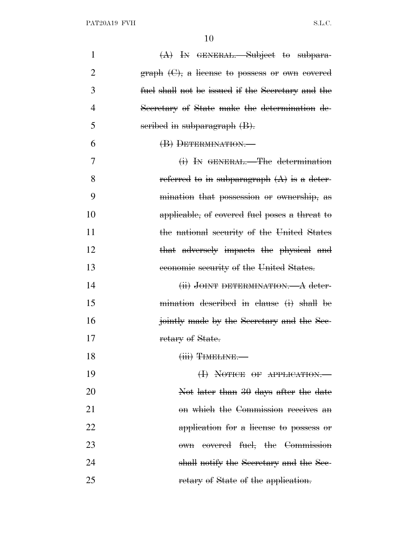| 1  | $(A)$ In GENERAL.—Subject to subpara-             |
|----|---------------------------------------------------|
| 2  | $graph (C)$ , a license to possess or own covered |
| 3  | fuel shall not be issued if the Secretary and the |
| 4  | Secretary of State make the determination de-     |
| 5  | seribed in subparagraph (B).                      |
| 6  | (B) DETERMINATION.                                |
| 7  | (i) IN GENERAL.—The determination                 |
| 8  | referred to in subparagraph $(A)$ is a deter-     |
| 9  | mination that possession or ownership, as         |
| 10 | applicable, of covered fuel poses a threat to     |
| 11 | the national security of the United States        |
| 12 | that adversely impacts the physical and           |
| 13 | economic security of the United States.           |
| 14 | (ii) JOINT DETERMINATION. A deter-                |
| 15 | mination described in clause (i) shall be         |
| 16 | jointly made by the Secretary and the Sec-        |
| 17 | retary of State.                                  |
| 18 | $(iii)$ TIMELINE.                                 |
| 19 | (I) NOTICE OF APPLICATION.                        |
| 20 | Not later than 30 days after the date             |
| 21 | on which the Commission receives an               |
| 22 | application for a license to possess or           |
| 23 | covered fuel, the Commission<br>$0$ wh            |
| 24 | shall notify the Secretary and the Sec-           |
| 25 | retary of State of the application.               |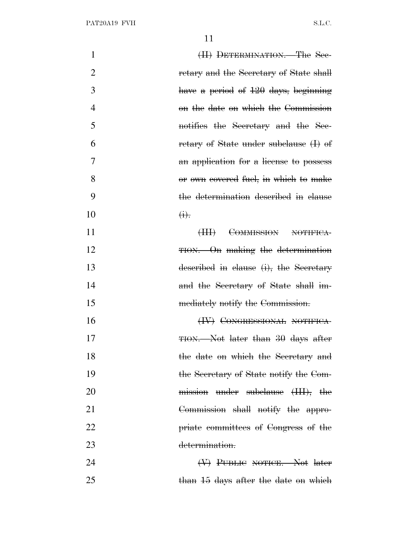| $\mathbf{1}$   | (II) DETERMINATION.—The See-                                      |
|----------------|-------------------------------------------------------------------|
| $\overline{2}$ | retary and the Secretary of State shall                           |
| 3              | have a period of 120 days, beginning                              |
| 4              | on the date on which the Commission                               |
| 5              | notifies the Secretary and the Sec-                               |
| 6              | retary of State under subclause (I) of                            |
| 7              | an application for a license to possess                           |
| 8              | or own covered fuel, in which to make                             |
| 9              | the determination described in clause                             |
| 10             | $\bigoplus$                                                       |
| 11             | COMMISSION NOTIFICA-<br>$\left(\frac{\text{HH}}{\text{H}}\right)$ |
| 12             | <b>THON.</b> On making the determination                          |
| 13             | described in clause (i), the Secretary                            |
| 14             | and the Secretary of State shall im-                              |
| 15             | mediately notify the Commission.                                  |
| 16             | (IV) CONGRESSIONAL NOTIFICA-                                      |
| 17             | TION. Not later than 30 days after                                |
| 18             | the date on which the Secretary and                               |
| 19             | the Secretary of State notify the Com-                            |
| 20             | mission under subclause (III), the                                |
| 21             | Commission shall notify the appro-                                |
| 22             | priate committees of Congress of the                              |
| 23             | determination.                                                    |
| 24             | (V) PUBLIC NOTICE.—Not later                                      |
| 25             | than 15 days after the date on which                              |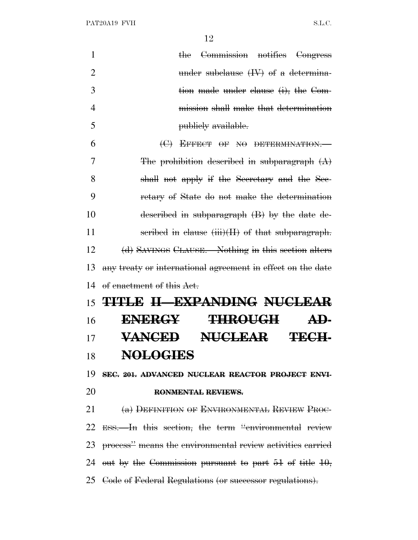| 1              | the Commission notifies Congress                               |
|----------------|----------------------------------------------------------------|
| $\overline{2}$ | under subclause $(W)$ of a determina-                          |
| 3              | tion made under clause (i), the Com-                           |
| $\overline{4}$ | mission shall make that determination                          |
| 5              | publicly available.                                            |
| 6              | (C) EFFECT OF NO DETERMINATION.                                |
| 7              | The prohibition described in subparagraph $(A)$                |
| 8              | shall not apply if the Secretary and the Sec-                  |
| 9              | retary of State do not make the determination                  |
| 10             | described in subparagraph (B) by the date de-                  |
| 11             | seribed in clause $(iii)(H)$ of that subparagraph.             |
| 12             | (d) SAVINGS CLAUSE. Nothing in this section alters             |
| 13             | any treaty or international agreement in effect on the date    |
| 14             | of enactment of this Act.                                      |
| 15             | TITLE II—EXPANDING NUCLEAR                                     |
| 16             | <b>THROUGH</b><br><b>ENERGY</b><br>AD-                         |
| 17             | <b>VANCED</b><br>NUCLEAR TECH-                                 |
| 18             | <b>NOLOGIES</b>                                                |
| 19             | SEC. 201. ADVANCED NUCLEAR REACTOR PROJECT ENVI-               |
| 20             | RONMENTAL REVIEWS.                                             |
| 21             | (a) DEFINITION OF ENVIRONMENTAL REVIEW PROC-                   |
|                | 22 ESS.—In this section, the term "environmental review        |
| 23             | process" means the environmental review activities carried     |
|                | 24 out by the Commission pursuant to part $51$ of title $10$ , |
|                | 25 Code of Federal Regulations (or successor regulations).     |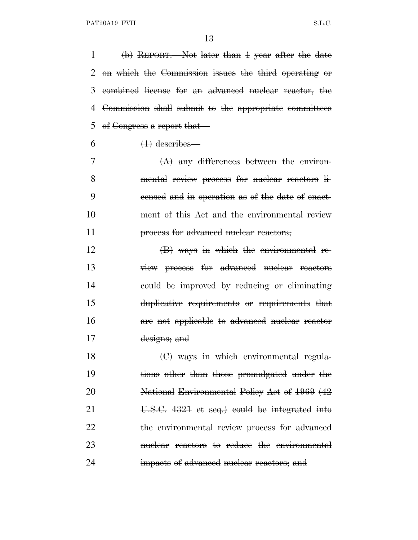(b) REPORT.—Not later than 1 year after the date on which the Commission issues the third operating or combined license for an advanced nuclear reactor, the Commission shall submit to the appropriate committees of Congress a report that—

 $\theta$  (1) describes

 (A) any differences between the environ- mental review process for nuclear reactors li- censed and in operation as of the date of enact- ment of this Act and the environmental review **process for advanced nuclear reactors;** 

 (B) ways in which the environmental re- view process for advanced nuclear reactors could be improved by reducing or eliminating duplicative requirements or requirements that are not applicable to advanced nuclear reactor designs; and

18 (C) ways in which environmental regula- tions other than those promulgated under the National Environmental Policy Act of 1969 (42 21 U.S.C. 4321 et seq.) could be integrated into the environmental review process for advanced nuclear reactors to reduce the environmental **impacts of advanced nuclear reactors**; and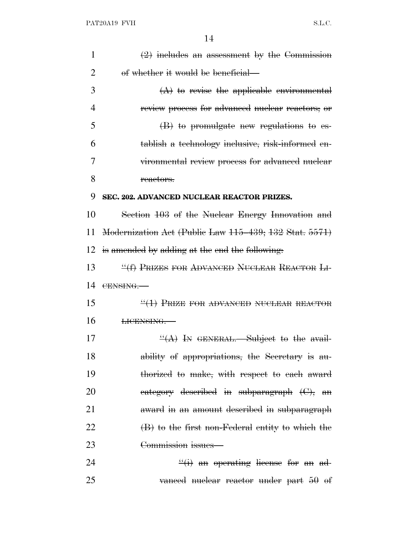| 1              | $(2)$ includes an assessment by the Commission         |
|----------------|--------------------------------------------------------|
| $\overline{2}$ | of whether it would be beneficial—                     |
| 3              | $(A)$ to revise the applicable environmental           |
| 4              | review process for advanced nuclear reactors; or       |
| 5              | $(B)$ to promulgate new regulations to es-             |
| 6              | tablish a technology inclusive, risk-informed en-      |
| 7              | vironmental review process for advanced nuclear        |
| 8              | reactors.                                              |
| 9              | SEC. 202. ADVANCED NUCLEAR REACTOR PRIZES.             |
| 10             | Section 103 of the Nuclear Energy Innovation and       |
| 11             | Modernization Act (Public Law 115–439; 132 Stat. 5571) |
| 12             | is amended by adding at the end the following.         |
| 13             | "(f) PRIZES FOR ADVANCED NUCLEAR REACTOR LI-           |
| 14             | CENSING.                                               |
| 15             | $\frac{11}{11}$ PRIZE FOR ADVANCED NUCLEAR REACTOR     |
| 16             | HCENSING.                                              |
| 17             | $\frac{H(A)}{H(A)}$ In GENERAL.—Subject to the avail-  |
| 18             | ability of appropriations, the Secretary is au-        |
| 19             | thorized to make, with respect to each award           |
| 20             | eategory described in subparagraph $(C)$ , an          |
| 21             | award in an amount described in subparagraph           |
| 22             | $(B)$ to the first non-Federal entity to which the     |
| 23             | Commission issues-                                     |
| 24             | $\frac{f'(i)}{i}$ an operating license for an ad-      |
| 25             | vanced nuclear reactor under part $50$ of              |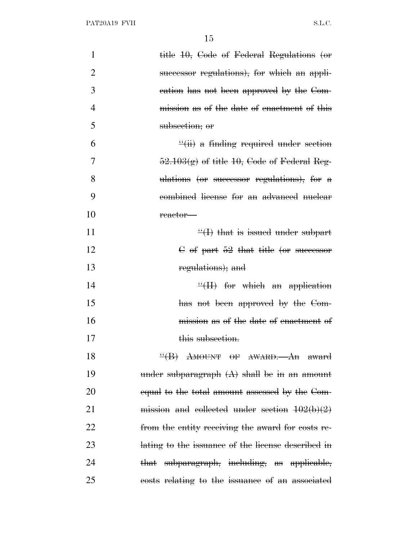| 1              | title 10, Gode of Federal Regulations (or          |
|----------------|----------------------------------------------------|
| $\overline{2}$ | successor regulations), for which an appli-        |
| 3              | eation has not been approved by the Com-           |
| 4              | mission as of the date of enactment of this        |
| 5              | subsection; or                                     |
| 6              | "(ii) a finding required under section             |
| 7              | $52.103(g)$ of title 10, Code of Federal Reg-      |
| 8              | ulations (or successor regulations), for $a$       |
| 9              | combined license for an advanced nuclear           |
| 10             | reactor-                                           |
| 11             | $\frac{H}{H}$ that is issued under subpart         |
| 12             | $\overline{C}$ of part 52 that title (or successor |
| 13             | regulations); and                                  |
| 14             | $\frac{H}{H}$ for which an application             |
| 15             | has not been approved by the Com-                  |
| 16             | mission as of the date of enactment of             |
| 17             | this subsection.                                   |
| 18             | "(B) AMOUNT OF AWARD. An award                     |
| 19             | under subparagraph $(A)$ shall be in an amount     |
| 20             | equal to the total amount assessed by the Com-     |
| 21             | mission and collected under section $102(b)(2)$    |
| 22             | from the entity receiving the award for costs re-  |
| 23             | lating to the issuance of the license described in |
| 24             | that subparagraph, including, as applicable,       |
| 25             | costs relating to the issuance of an associated    |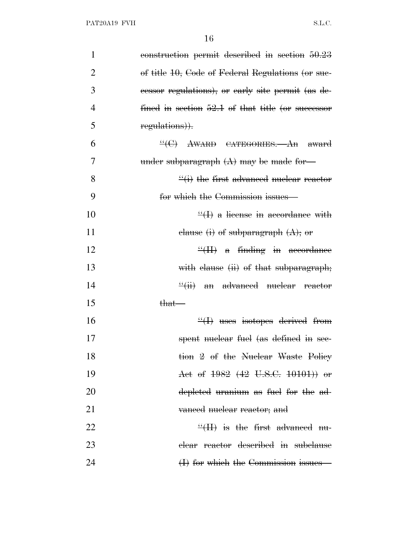| $\mathbf{1}$   | construction permit described in section $50.23$                      |
|----------------|-----------------------------------------------------------------------|
| $\overline{2}$ | of title 10, Code of Federal Regulations (or suc-                     |
| 3              | essor regulations), or early site permit (as de-                      |
| $\overline{4}$ | fined in section $52.1$ of that title (or successor                   |
| 5              | regulations).                                                         |
| 6              | "(C) AWARD CATEGORIES. An award                                       |
| 7              | under subparagraph $(A)$ may be made for-                             |
| 8              | $\frac{f'(i)}{i}$ the first advanced nuclear reactor                  |
| 9              | for which the Commission issues-                                      |
| 10             | $\frac{H}{H}$ a license in accordance with                            |
| 11             | clause (i) of subparagraph $(A)$ ; or                                 |
| 12             | $\frac{H}{H}$ a finding in accordance                                 |
| 13             | with clause (ii) of that subparagraph;                                |
| 14             | $\frac{a}{\pm}$<br><del>advanced nuclear</del><br>reactor<br>$\theta$ |
| 15             | <del>that —</del>                                                     |
| 16             | $\frac{H}{H}$ uses isotopes derived from                              |
| 17             | spent nuclear fuel (as defined in sec-                                |
| 18             | tion 2 of the Nuclear Waste Policy                                    |
| 19             | Act of $1982$ (42 U.S.C. 10101)) or                                   |
| 20             | depleted uranium as fuel for the ad-                                  |
| 21             | vanced nuclear reactor; and                                           |
| 22             | $H$ is the first advanced nu-                                         |
| 23             | elear reactor described in subclause                                  |
| 24             | $(1)$ for which the Commission issues –                               |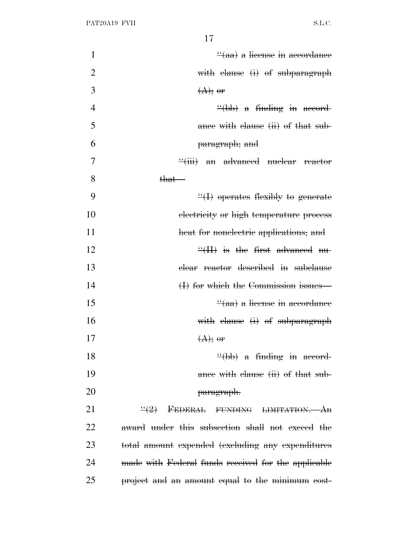| $\mathbf{1}$   | $\frac{a}{2}$ a license in accordance                                                                                                                                                                                                                                                                     |
|----------------|-----------------------------------------------------------------------------------------------------------------------------------------------------------------------------------------------------------------------------------------------------------------------------------------------------------|
| $\overline{2}$ | with clause (i) of subparagraph                                                                                                                                                                                                                                                                           |
| 3              | $(A);$ or                                                                                                                                                                                                                                                                                                 |
| $\overline{4}$ | $\frac{4}{10}$ (bb) a finding in accord-                                                                                                                                                                                                                                                                  |
| 5              | ance with clause (ii) of that sub-                                                                                                                                                                                                                                                                        |
| 6              | <del>paragraph; and</del>                                                                                                                                                                                                                                                                                 |
| 7              | "(iii) an advanced nuclear reactor                                                                                                                                                                                                                                                                        |
| 8              | that—                                                                                                                                                                                                                                                                                                     |
| 9              | $\frac{H}{H}$ operates flexibly to generate                                                                                                                                                                                                                                                               |
| 10             | electricity or high temperature process                                                                                                                                                                                                                                                                   |
| 11             | heat for nonelectric applications; and                                                                                                                                                                                                                                                                    |
| 12             | $H$ is the first advanced nu-                                                                                                                                                                                                                                                                             |
| 13             | elear reactor described in subclause                                                                                                                                                                                                                                                                      |
| 14             | $(1)$ for which the Commission issues $-$                                                                                                                                                                                                                                                                 |
| 15             | $\frac{a}{2}$ a license in accordance                                                                                                                                                                                                                                                                     |
| 16             | with clause (i) of subparagraph                                                                                                                                                                                                                                                                           |
| 17             | $(A);$ or                                                                                                                                                                                                                                                                                                 |
| 18             | $\frac{H}{B}$ + $\frac{H}{B}$ + $\frac{H}{B}$ + $\frac{H}{B}$ + $\frac{H}{B}$ + $\frac{H}{B}$ + $\frac{H}{B}$ + $\frac{H}{B}$ + $\frac{H}{B}$ + $\frac{H}{B}$ + $\frac{H}{B}$ + $\frac{H}{B}$ + $\frac{H}{B}$ + $\frac{H}{B}$ + $\frac{H}{B}$ + $\frac{H}{B}$ + $\frac{H}{B}$ + $\frac{H}{B}$ + $\frac{H$ |
| 19             | ance with clause (ii) of that sub-                                                                                                                                                                                                                                                                        |
| 20             | <del>paragraph.</del>                                                                                                                                                                                                                                                                                     |
| 21             | $\frac{44}{2}$ FEDERAL FUNDING LIMITATION. An                                                                                                                                                                                                                                                             |
| 22             | award under this subsection shall not exceed the                                                                                                                                                                                                                                                          |
| 23             | total amount expended (excluding any expenditures                                                                                                                                                                                                                                                         |
| 24             | made with Federal funds received for the applicable                                                                                                                                                                                                                                                       |
| 25             | project and an amount equal to the minimum cost-                                                                                                                                                                                                                                                          |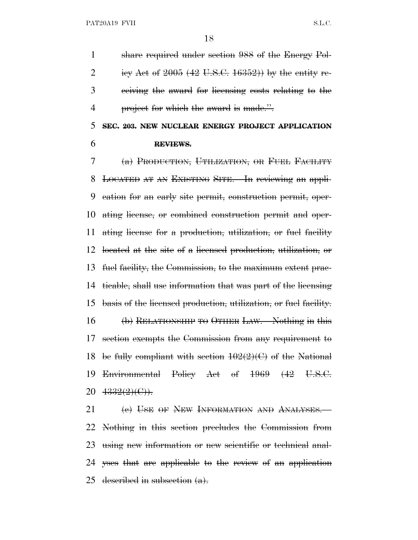share required under section 988 of the Energy Pol-2 iev Act of (42 U.S.C. 16352)) by the entity re- ceiving the award for licensing costs relating to the 4 project for which the award is made.".

## **SEC. 203. NEW NUCLEAR ENERGY PROJECT APPLICATION REVIEWS.**

 (a) PRODUCTION, UTILIZATION, OR FUEL FACILITY LOCATED AT AN EXISTING SITE.—In reviewing an appli- cation for an early site permit, construction permit, oper- ating license, or combined construction permit and oper- ating license for a production, utilization, or fuel facility located at the site of a licensed production, utilization, or fuel facility, the Commission, to the maximum extent prac- ticable, shall use information that was part of the licensing basis of the licensed production, utilization, or fuel facility. 16 (b) RELATIONSHIP TO OTHER LAW.—Nothing in this section exempts the Commission from any requirement to 18 be fully compliant with section  $102(2)(C)$  of the National Environmental Policy Act of 1969 (42 U.S.C.  $4332(2)(C)$ .

21 (e) USE OF NEW INFORMATION AND ANALYSES. Nothing in this section precludes the Commission from using new information or new scientific or technical anal- yses that are applicable to the review of an application 25 described in subsection  $(a)$ .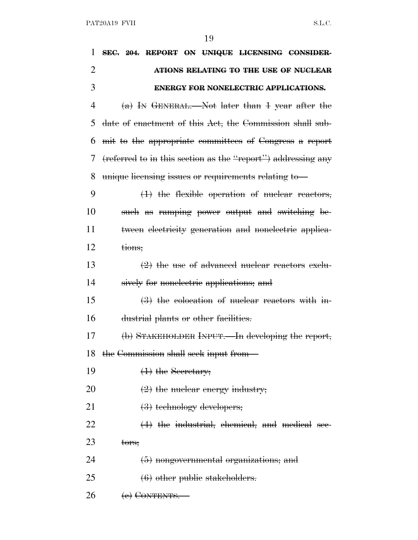| 1              | SEC. 204. REPORT ON UNIQUE LICENSING CONSIDER-                         |
|----------------|------------------------------------------------------------------------|
| $\overline{2}$ | ATIONS RELATING TO THE USE OF NUCLEAR                                  |
| 3              | ENERGY FOR NONELECTRIC APPLICATIONS.                                   |
| 4              | $(a)$ In GENERAL.—Not later than 1 year after the                      |
| 5              | date of enactment of this Act, the Commission shall sub-               |
| 6              | mit to the appropriate committees of Congress a report                 |
| 7              | (referred to in this section as the "report") addressing any           |
| 8              | unique licensing issues or requirements relating to-                   |
| 9              | $(1)$ the flexible operation of nuclear reactors,                      |
| 10             | such as ramping power output and switching be-                         |
| 11             | tween electricity generation and nonelectric applica-                  |
| 12             | tions;                                                                 |
| 13             | $(2)$ the use of advanced nuclear reactors exclu-                      |
| 14             | sively for nonelectric applications; and                               |
| 15             | $\left(\frac{1}{2}\right)$ the colocation of nuclear reactors with in- |
| 16             | dustrial plants or other facilities.                                   |
| 17             | (b) STAKEHOLDER INPUT. In developing the report,                       |
|                | 18 the Commission shall seek input from-                               |
| 19             | $(1)$ the Secretary;                                                   |
| 20             | $(2)$ the nuclear energy industry;                                     |
| 21             | $(3)$ technology developers;                                           |
| 22             | $(4)$ the industrial, ehemical, and medical sec-                       |
| 23             | $t$ ors;                                                               |
| 24             | $(5)$ nongovernmental organizations; and                               |
| 25             | $(6)$ other public stakeholders.                                       |
| 26             | $(e)$ CONTENTS.                                                        |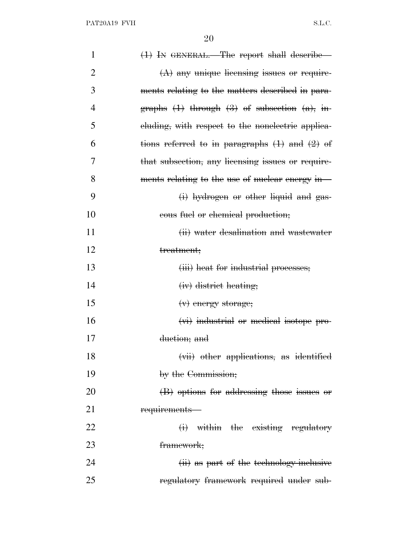| $\mathbf{1}$   | (1) IN GENERAL.—The report shall describe—           |
|----------------|------------------------------------------------------|
| $\overline{2}$ | $(A)$ any unique licensing issues or require-        |
| 3              | ments relating to the matters described in para-     |
| 4              | graphs $(1)$ through $(3)$ of subsection $(a)$ , in- |
| 5              | eluding, with respect to the nonelectric applica-    |
| 6              | tions referred to in paragraphs $(1)$ and $(2)$ of   |
| 7              | that subsection, any licensing issues or require-    |
| 8              | ments relating to the use of nuclear energy in-      |
| 9              | (i) hydrogen or other liquid and gas-                |
| 10             | eous fuel or chemical production;                    |
| 11             | (ii) water desalination and wastewater               |
| 12             | treatment;                                           |
| 13             | (iii) heat for industrial processes;                 |
| 14             | (iv) district heating;                               |
| 15             | (v) energy storage;                                  |
| 16             | (vi) industrial or medical isotope pro-              |
| 17             | duction; and                                         |
| 18             | (vii) other applications, as identified              |
| 19             | by the Commission;                                   |
| 20             | (B) options for addressing those issues or           |
| 21             | requirements-                                        |
| 22             | (i) within the existing regulatory                   |
| 23             | framework;                                           |
| 24             | (ii) as part of the technology-inclusive             |
| 25             | regulatory framework required under sub-             |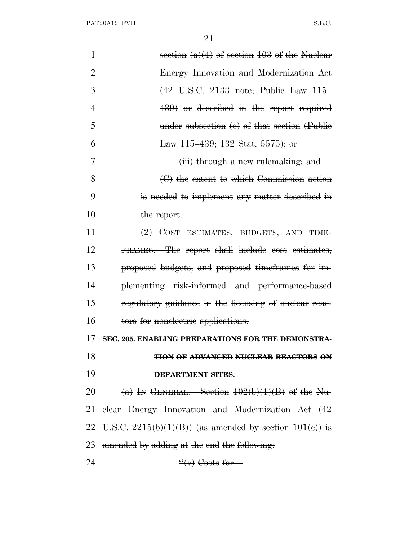PAT20A19 FVH S.L.C.

| 1              | section $(a)(4)$ of section 103 of the Nuclear              |
|----------------|-------------------------------------------------------------|
| $\overline{2}$ | Energy Innovation and Modernization Act                     |
| 3              | (42 U.S.C. 2133 note; Public Law 115                        |
| $\overline{4}$ | 439) or described in the report required                    |
| 5              | under subsection $(e)$ of that section (Public              |
| 6              | Law 115–439; 132 Stat. 5575); or                            |
| 7              | (iii) through a new rulemaking; and                         |
| 8              | $\Theta$ the extent to which Commission action              |
| 9              | is needed to implement any matter described in              |
| 10             | the report.                                                 |
| 11             | $(2)$ COST ESTIMATES, BUDGETS, AND TIME-                    |
| 12             | FRAMES. The report shall include cost estimates,            |
| 13             | proposed budgets, and proposed timeframes for im-           |
| 14             | plementing risk-informed and performance-based              |
| 15             | regulatory guidance in the licensing of nuclear reac-       |
| 16             | tors for nonelectric applications.                          |
| 17             | SEC. 205. ENABLING PREPARATIONS FOR THE DEMONSTRA-          |
| 18             | TION OF ADVANCED NUCLEAR REACTORS ON                        |
| 19             | <b>DEPARTMENT SITES.</b>                                    |
| 20             | (a) IN GENERAL.—Section $102(b)(1)(B)$ of the Nu-           |
| 21             | elear Energy Innovation and Modernization Act (42           |
| 22             | U.S.C. $2215(b)(1)(B)$ (as amended by section $101(e)$ ) is |
| 23             | amended by adding at the end the following.                 |
| 24             | $\frac{u(y)}{y}$ Costs for                                  |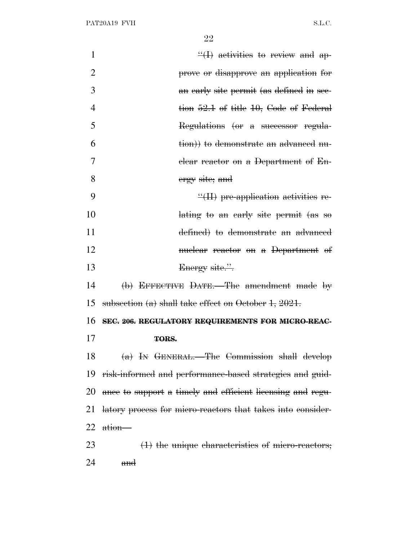| $\mathbf{1}$   | $\dddot{\mathcal{H}}$ activities to review and ap-          |
|----------------|-------------------------------------------------------------|
| $\overline{2}$ | prove or disapprove an application for                      |
| 3              | an early site permit (as defined in see-                    |
| 4              | tion 52.1 of title 10, Gode of Federal                      |
| 5              | Regulations (or a successor regula-                         |
| 6              | tion)) to demonstrate an advanced nu-                       |
| 7              | <del>clear reactor</del> on a Department of En-             |
| 8              | ergy site; and                                              |
| 9              | $\mathcal{H}(H)$ pre-application activities re-             |
| 10             | lating to an early site permit (as so                       |
| 11             | defined) to demonstrate an advanced                         |
| 12             | muclear reactor on a Department of                          |
| 13             | Energy site.".                                              |
| 14             | (b) EFFECTIVE DATE. The amendment made by                   |
| 15             | subsection $(a)$ shall take effect on October 1, 2021.      |
| 16             | SEC. 206. REGULATORY REQUIREMENTS FOR MICRO-REAC-           |
| 17             | <del>TORS.</del>                                            |
| 18             | $(a)$ In GENERAL. The Commission shall develop              |
| 19             | risk-informed and performance-based strategies and guid-    |
| 20             | ance to support a timely and efficient licensing and regu-  |
| 21             | latory process for micro-reactors that takes into consider- |
| 22             | ation-                                                      |
| 23             | $(1)$ the unique characteristics of micro-reactors;         |
| 24             | and                                                         |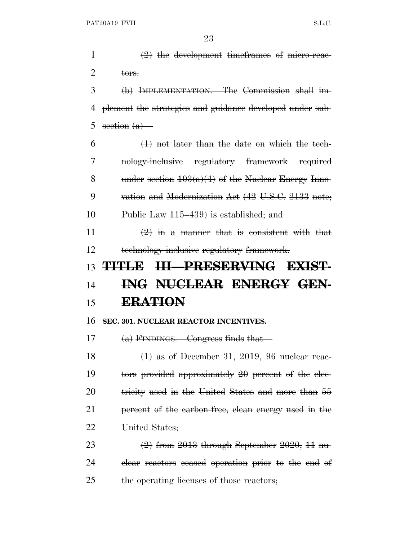$(2)$  the development timeframes of micro-reac- $2 \text{ tors.}$  (b) IMPLEMENTATION.—The Commission shall im- plement the strategies and guidance developed under sub-5 section  $(a)$ —  $6 \left( 1 \right)$  not later than the date on which the tech- nology-inclusive regulatory framework required 8 under section  $103(a)(4)$  of the Nuclear Energy Inno- vation and Modernization Act (42 U.S.C. 2133 note; 10 Public Law  $115-439$  is established; and  $\left(2\right)$  in a manner that is consistent with that technology-inclusive regulatory framework. **TITLE III—PRESERVING EXIST- ING NUCLEAR ENERGY GEN-**15 **ERATION SEC. 301. NUCLEAR REACTOR INCENTIVES.**  (a) FINDINGS.—Congress finds that—  $(1)$  as of December 31, 2019, 96 nuclear reac- tors provided approximately 20 percent of the elec-20 tricity used in the United States and more than 55 21 percent of the earbon-free, clean energy used in the United States;  $(2)$  from 2013 through September 2020, 11 nu-clear reactors ceased operation prior to the end of

25 the operating licenses of those reactors;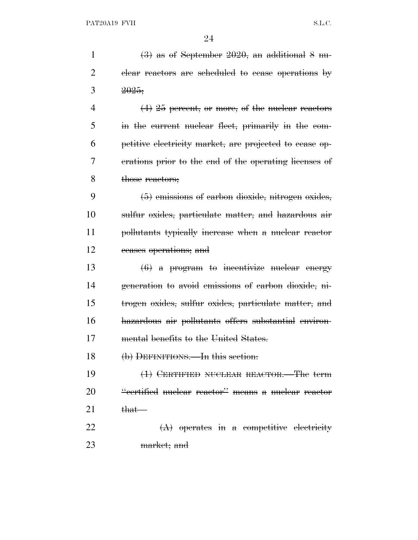$\left(3\right)$  as of September 2020, an additional 8 nu- clear reactors are scheduled to cease operations by  $3 \t 2025$ ;  $4 \left( 4 \right) 25$  percent, or more, of the nuclear reactors in the current nuclear fleet, primarily in the com- petitive electricity market, are projected to cease op- erations prior to the end of the operating licenses of 8 those reactors; (5) emissions of carbon dioxide, nitrogen oxides, sulfur oxides, particulate matter, and hazardous air pollutants typically increase when a nuclear reactor ceases operations; and  $(6)$  a program to incentivize nuclear energy generation to avoid emissions of carbon dioxide, ni- trogen oxides, sulfur oxides, particulate matter, and hazardous air pollutants offers substantial environ- mental benefits to the United States. (b) DEFINITIONS.—In this section: (1) CERTIFIED NUCLEAR REACTOR.—The term ''certified nuclear reactor'' means a nuclear reactor that (A) operates in a competitive electricity market; and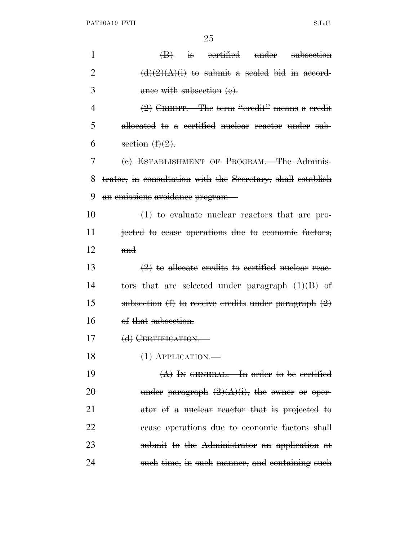| $\mathbf{1}$   | is certified under<br>$\oplus$<br>subsection                |
|----------------|-------------------------------------------------------------|
| $\overline{2}$ | $(d)(2)(A)(i)$ to submit a sealed bid in accord-            |
| 3              | ance with subsection (e).                                   |
| 4              | $(2)$ CREDIT.—The term "eredit" means a credit              |
| 5              | allocated to a certified nuclear reactor under sub-         |
| 6              | section $(f)(2)$ .                                          |
| 7              | (e) ESTABLISHMENT OF PROGRAM.—The Adminis-                  |
| 8              | trator, in consultation with the Secretary, shall establish |
| 9              | <del>an emissions avoidance program—</del>                  |
| 10             | $(1)$ to evaluate nuclear reactors that are pro-            |
| 11             | jected to cease operations due to economic factors;         |
| 12             | $\mathbf{and}$                                              |
| 13             | $(2)$ to allocate credits to certified nuclear reac-        |
| 14             | tors that are selected under paragraph $(1)(B)$ of          |
| 15             | subsection $(f)$ to receive credits under paragraph $(2)$   |
| 16             | of that subsection.                                         |
| 17             | (d) CERTIFICATION.                                          |
| 18             | <del>(1)</del> APPLICATION.—                                |
| 19             | $(A)$ In GENERAL.—In order to be certified                  |
| 20             | under paragraph $(2)(A)(i)$ , the owner or oper-            |
| 21             | ator of a muclear reactor that is projected to              |
| 22             | cease operations due to economic factors shall              |
| 23             | submit to the Administrator an application at               |
| 24             | such time, in such manner, and containing such              |
|                |                                                             |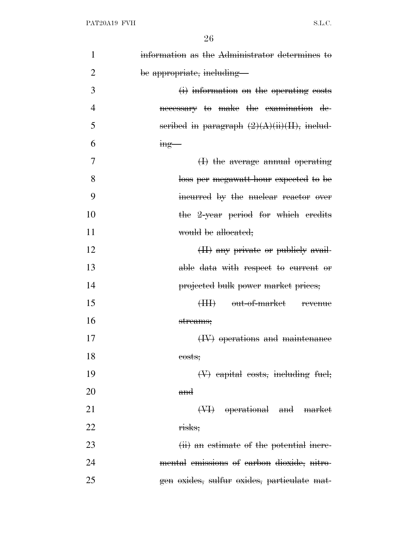| $\mathbf{1}$   | information as the Administrator determines to |
|----------------|------------------------------------------------|
| $\overline{2}$ | be appropriate, including—                     |
| 3              | (i) information on the operating costs         |
| 4              | necessary to make the examination de-          |
| 5              | seribed in paragraph $(2)(A)(ii)(H)$ , includ- |
| 6              | $mg -$                                         |
| 7              | $(\text{H})$ the average annual operating      |
| 8              | loss per megawatt-hour expected to be          |
| 9              | incurred by the nuclear reactor over           |
| 10             | the 2-year period for which credits            |
| 11             | would be allocated;                            |
| 12             | (II) any private or publicly avail-            |
| 13             | able data with respect to current or           |
| 14             | projected bulk power market prices;            |
| 15             | (III) out-of-market revenue                    |
| 16             | streams;                                       |
| 17             | (IV) operations and maintenance                |
| 18             | <del>costs;</del>                              |
| 19             | $(\forall)$ capital costs, including fuel,     |
| 20             | and                                            |
| 21             | (VI) operational and market                    |
| 22             | risks;                                         |
| 23             | (ii) an estimate of the potential incre-       |
| 24             | mental emissions of earbon dioxide, nitro-     |
| 25             | gen oxides, sulfur oxides, particulate mat-    |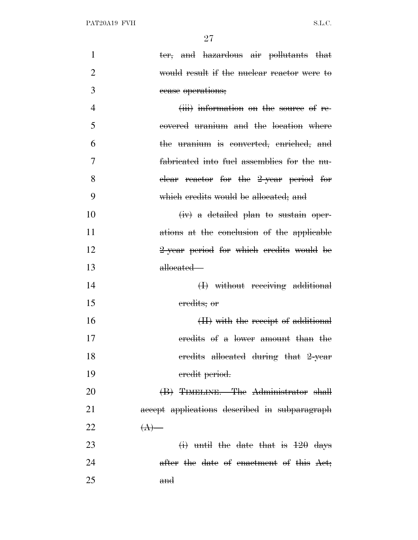| 1              | ter, and hazardous air pollutants that        |
|----------------|-----------------------------------------------|
| $\overline{2}$ | would result if the nuclear reactor were to   |
| 3              | ecase operations;                             |
| 4              | (iii) information on the source of re-        |
| 5              | covered uranium and the location where        |
| 6              | the uranium is converted, enriched, and       |
| 7              | fabricated into fuel assemblies for the nu-   |
| 8              | elear reactor for the 2-year period for       |
| 9              | which credits would be allocated; and         |
| 10             | $(iv)$ a detailed plan to sustain oper-       |
| 11             | ations at the conclusion of the applicable    |
| 12             | 2-year period for which credits would be      |
| 13             | allocated-                                    |
| 14             | (I) without receiving additional              |
| 15             | eredits; or                                   |
| 16             | (II) with the receipt of additional           |
| 17             | eredits of a lower amount than the            |
| 18             | eredits allocated during that 2-year          |
| 19             | eredit period.                                |
| 20             | (B) TIMELINE.—The Administrator shall         |
| 21             | accept applications described in subparagraph |
| 22             | (A)                                           |
| 23             | $(i)$ until the date that is $120$ days       |
| 24             | after the date of enactment of this Act,      |
| 25             | and                                           |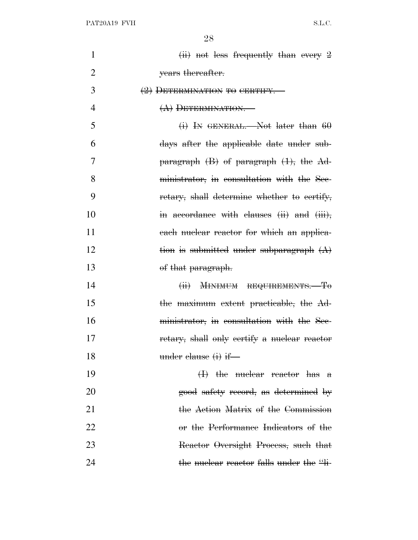PAT20A19 FVH S.L.C.

| $\mathbf{1}$   | $(i)$ not less frequently than every 2                                                               |
|----------------|------------------------------------------------------------------------------------------------------|
| $\overline{2}$ | years thereafter.                                                                                    |
| 3              | $(2)$ DETERMINATION TO CERTIFY.                                                                      |
| 4              | (A) DETERMINATION.                                                                                   |
| 5              | $(i)$ In GENERAL. Not later than 60                                                                  |
| 6              | days after the applicable date under sub-                                                            |
| 7              | $\frac{1}{2}$ paragraph $\left(\frac{B}{B}\right)$ of paragraph $\left(\frac{1}{B}\right)$ , the Ad- |
| 8              | ministrator, in consultation with the Sec-                                                           |
| 9              | retary, shall determine whether to certify,                                                          |
| 10             | in accordance with clauses (ii) and (iii),                                                           |
| 11             | each nuclear reactor for which an applica-                                                           |
| 12             | tion is submitted under subparagraph $(A)$                                                           |
| 13             | of that paragraph.                                                                                   |
| 14             | (ii) MINIMUM REQUIREMENTS.-To                                                                        |
| 15             | the maximum extent practicable, the Ad-                                                              |
| 16             | ministrator, in consultation with the Sec-                                                           |
| 17             | retary, shall only certify a nuclear reactor                                                         |
| 18             | under clause (i) if                                                                                  |
| 19             | $(\text{H})$ the nuclear reactor has a                                                               |
| 20             | good safety record, as determined by                                                                 |
| 21             | the Action Matrix of the Commission                                                                  |
| 22             | or the Performance Indicators of the                                                                 |
| 23             | Reactor Oversight Process, such that                                                                 |
| 24             | the nuclear reactor falls under the "li-                                                             |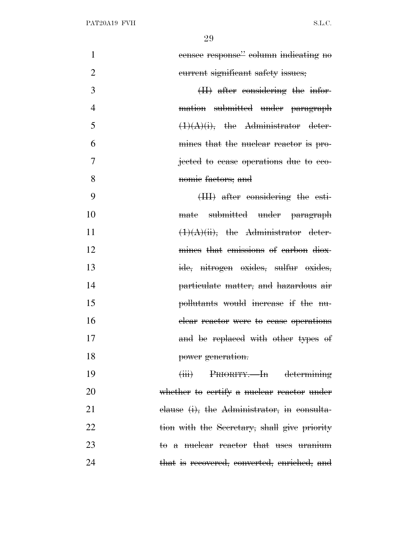| $\mathbf{1}$   | censee response" column indicating no                   |
|----------------|---------------------------------------------------------|
| $\overline{2}$ | eurrent significant safety issues;                      |
| 3              | $(H)$ after considering the infor-                      |
| $\overline{4}$ | mation submitted under paragraph                        |
| 5              | $(1)(A)(i)$ , the Administrator deter-                  |
| 6              | mines that the nuclear reactor is pro-                  |
| 7              | jected to cease operations due to eco-                  |
| 8              | nomic factors; and                                      |
| 9              | (III) after considering the esti-                       |
| 10             | mate submitted under paragraph                          |
| 11             | $(1)(A)(ii)$ , the Administrator deter-                 |
| 12             | mines that emissions of earbon diox-                    |
| 13             | ide, nitrogen oxides, sulfur oxides,                    |
| 14             | particulate matter, and hazardous air                   |
| 15             | pollutants would increase if the nu-                    |
| 16             | elear reactor were to cease operations                  |
| 17             | and be replaced with other types of                     |
| 18             | power generation.                                       |
| 19             | PRIORITY.—In determining<br>$\overline{(\overline{u})}$ |
| 20             | whether to certify a nuclear reactor under              |
| 21             | elause (i), the Administrator, in consulta-             |
| 22             | tion with the Secretary, shall give priority            |
| 23             | to a nuclear reactor that uses uranium                  |
| 24             | that is recovered, converted, enriched, and             |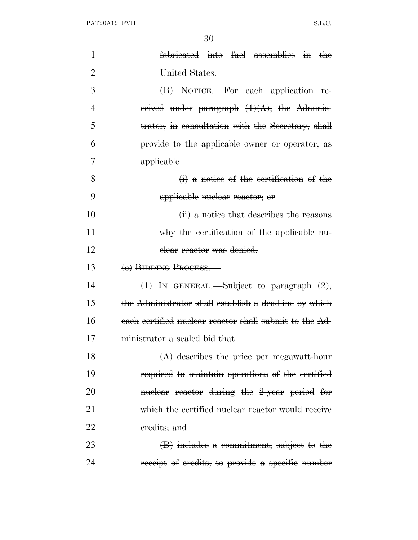| 1              | fabricated into fuel assemblies in the                     |
|----------------|------------------------------------------------------------|
| $\overline{2}$ | United States.                                             |
| 3              | (B) NOTICE.—For each application re-                       |
| 4              | example example $\theta$ arragraph $(1)(A)$ , the Adminis- |
| 5              | trator, in consultation with the Secretary, shall          |
| 6              | provide to the applicable owner or operator, as            |
| 7              | applicable—                                                |
| 8              | $(i)$ a notice of the certification of the                 |
| 9              | <del>applicable nuclear reactor; or</del>                  |
| 10             | (ii) a notice that describes the reasons                   |
| 11             | why the certification of the applicable nu-                |
| 12             | <del>elear reactor was denied.</del>                       |
| 13             | (e) BIDDING PROCESS.                                       |
| 14             | $(1)$ In GENERAL. Subject to paragraph $(2)$ ,             |
| 15             | the Administrator shall establish a deadline by which      |
| 16             | each certified nuclear reactor shall submit to the Ad-     |
| 17             | ministrator a sealed bid that—                             |
| 18             | $(A)$ describes the price per megawatt-hour                |
| 19             | required to maintain operations of the certified           |
| 20             | nuclear reactor during the 2-year period for               |
| 21             | which the certified nuclear reactor would receive          |
| 22             | eredits; and                                               |
| 23             | (B) includes a commitment, subject to the                  |
| 24             | receipt of credits, to provide a specific number           |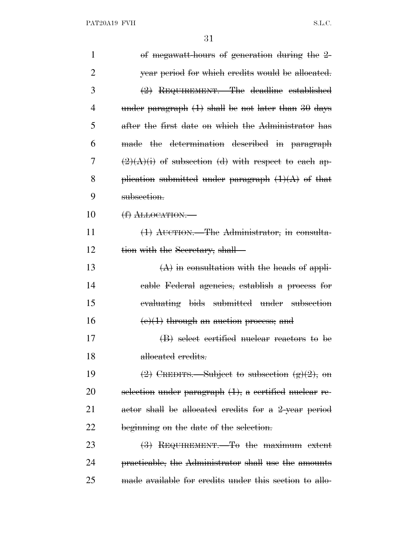| $\mathbf{1}$   | of megawatt-hours of generation during the 2-                           |
|----------------|-------------------------------------------------------------------------|
| $\overline{2}$ | year period for which eredits would be allocated.                       |
| 3              | $(2)$ REQUIREMENT. The deadline established                             |
| 4              | under paragraph $(1)$ shall be not later than $30$ days                 |
| 5              | after the first date on which the Administrator has                     |
| 6              | made the determination described in paragraph                           |
| 7              | $\left(2\right)(\Lambda)(i)$ of subsection (d) with respect to each ap- |
| 8              | plication submitted under paragraph $(1)(A)$ of that                    |
| 9              | subsection.                                                             |
| 10             | <del>(f)</del> ALLOCATION.—                                             |
| 11             | (1) AUCTION.—The Administrator, in consulta-                            |
| 12             | tion with the Secretary, shall-                                         |
| 13             | $(A)$ in consultation with the heads of appli-                          |
| 14             | eable Federal agencies, establish a process for                         |
| 15             | evaluating bids submitted under subsection                              |
| 16             | $(e)(1)$ through an auction process; and                                |
| 17             | (B) select certified nuclear reactors to be                             |
| 18             | allocated credits.                                                      |
| 19             | $(2)$ CREDITS. Subject to subsection $(g)(2)$ , on                      |
| 20             | selection under paragraph $(1)$ , a certified nuclear re-               |
| 21             | actor shall be allocated credits for a 2-year period                    |
| <u>22</u>      | beginning on the date of the selection.                                 |
| 23             | $(3)$ REQUIREMENT. To the maximum extent                                |
| 24             | practicable, the Administrator shall use the amounts                    |
| 25             | made available for credits under this section to allo-                  |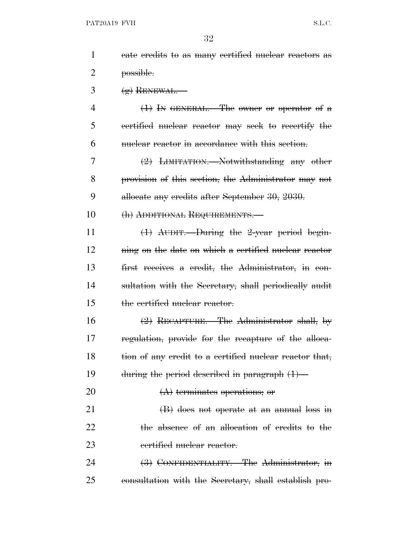| 1              | eate credits to as many certified nuclear reactors as   |
|----------------|---------------------------------------------------------|
| $\overline{2}$ | possible.                                               |
| 3              | $(g)$ RENEWAL.—                                         |
| 4              | $(1)$ In GENERAL.—The owner or operator of a            |
| 5              | eertified nuclear reactor may seek to recertify the     |
| 6              | muclear reactor in accordance with this section.        |
| 7              | $(2)$ LIMITATION. Notwithstanding any other             |
| 8              | provision of this section, the Administrator may not    |
| 9              | allocate any credits after September 30, 2030.          |
| 10             | (h) ADDITIONAL REQUIREMENTS.—                           |
| 11             | $(1)$ AUDIT. During the 2-year period begin-            |
| 12             | ning on the date on which a certified nuclear reactor   |
| 13             | first receives a credit, the Administrator, in con-     |
| 14             | sultation with the Secretary, shall periodically audit  |
| 15             | the certified nuclear reactor.                          |
| 16             | $(2)$ RECAPTURE.—The Administrator shall, by            |
| 17             | regulation, provide for the recapture of the alloca-    |
| 18             | tion of any credit to a certified nuclear reactor that, |
| 19             | during the period described in paragraph $(1)$ —        |
| 20             | $(A)$ terminates operations; or                         |
| 21             | (B) does not operate at an annual loss in               |
| 22             | the absence of an allocation of credits to the          |
| 23             | eertified nuclear reactor.                              |
| 24             | (3) CONFIDENTIALITY. The Administrator, in              |
| 25             | consultation with the Secretary, shall establish pro-   |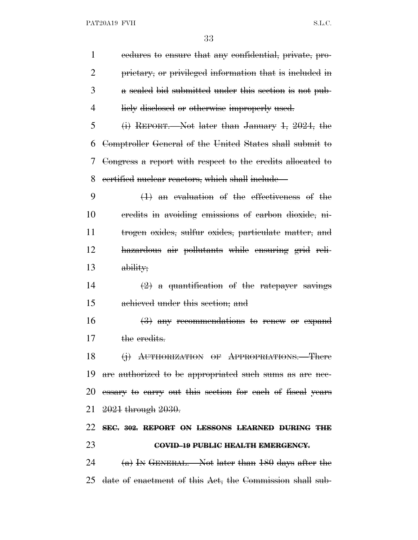| $\mathbf{1}$   | eedures to ensure that any confidential, private, pro-       |
|----------------|--------------------------------------------------------------|
| $\overline{2}$ | prietary, or privileged information that is included in      |
| 3              | a sealed bid submitted under this section is not pub-        |
| 4              | liely disclosed or otherwise improperly used.                |
| 5              | (i) REPORT.—Not later than January 1, $2024$ , the           |
| 6              | Comptroller General of the United States shall submit to     |
| 7              | Congress a report with respect to the credits allocated to   |
| 8              | eertified nuclear reactors, which shall include—             |
| 9              | $(1)$ an evaluation of the effectiveness of the              |
| 10             | eredits in avoiding emissions of earbon dioxide, mi-         |
| 11             | trogen oxides, sulfur oxides, particulate matter, and        |
| 12             | hazardous air pollutants while ensuring grid reli-           |
| 13             | ability;                                                     |
| 14             | $(2)$ a quantification of the ratepayer savings              |
| 15             | achieved under this section; and                             |
|                |                                                              |
| 16             | $\left(3\right)$ any recommendations to renew or expand      |
| 17             | the credits.                                                 |
|                | 18<br>$(i)$ AUTHORIZATION OF APPROPRIATIONS. There           |
|                | 19 are authorized to be appropriated such sums as are nec-   |
|                | 20 essary to earry out this section for each of fiscal years |
|                | 21 <del>2021 through 2030.</del>                             |
|                | 22 SEC. 302. REPORT ON LESSONS LEARNED DURING THE            |
| 23             | COVID-19 PUBLIC HEALTH EMERGENCY.                            |
| 24             | (a) IN GENERAL. Not later than $180$ days after the          |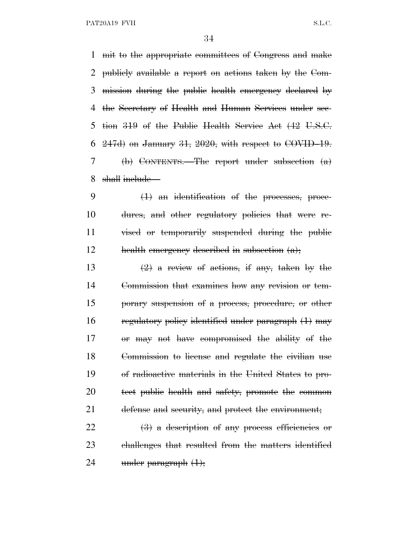PAT20A19 FVH S.L.C.

 mit to the appropriate committees of Congress and make publicly available a report on actions taken by the Com- mission during the public health emergency declared by the Secretary of Health and Human Services under sec- tion 319 of the Public Health Service Act (42 U.S.C.  $247d$ ) on January 31,  $2020$ , with respect to COVID-19. (b) CONTENTS.—The report under subsection (a) shall include—

 (1) an identification of the processes, proce- dures, and other regulatory policies that were re- vised or temporarily suspended during the public 12 health emergency described in subsection  $(a)$ ;

 $\left(2\right)$  a review of actions, if any, taken by the Commission that examines how any revision or tem- porary suspension of a process, procedure, or other regulatory policy identified under paragraph (1) may or may not have compromised the ability of the Commission to license and regulate the civilian use of radioactive materials in the United States to pro-20 tect public health and safety, promote the common defense and security, and protect the environment;

22  $\left(\frac{3}{2}\right)$  a description of any process efficiencies or challenges that resulted from the matters identified 24 under paragraph  $(1)$ ;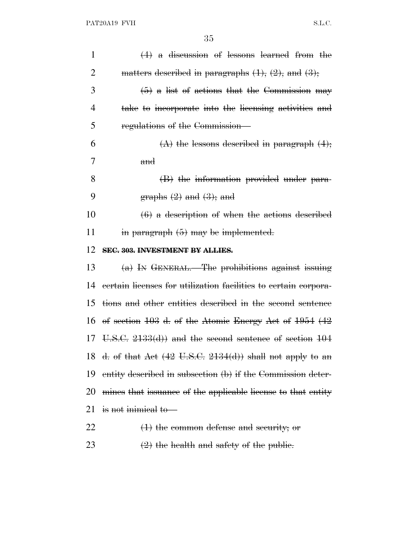| 1  | $(4)$ a discussion of lessons learned from the                            |
|----|---------------------------------------------------------------------------|
| 2  | matters described in paragraphs $(1)$ , $(2)$ , and $(3)$ ;               |
| 3  | $(5)$ a list of actions that the Commission may                           |
| 4  | take to incorporate into the licensing activities and                     |
| 5  | regulations of the Commission-                                            |
| 6  | $(A)$ the lessons described in paragraph $(4)$ ;                          |
| 7  | and                                                                       |
| 8  | (B) the information provided under para-                                  |
| 9  | $\frac{1}{2}$ and $\frac{1}{3}$ ; and                                     |
| 10 | $(6)$ a description of when the actions described                         |
| 11 | in paragraph $(5)$ may be implemented.                                    |
| 12 | SEC. 303. INVESTMENT BY ALLIES.                                           |
| 13 | $(a)$ In GENERAL.—The prohibitions against issuing                        |
| 14 | ecrtain licenses for utilization facilities to certain corpora-           |
| 15 | tions and other entities described in the second sentence                 |
| 16 | of section $103$ d. of the Atomic Energy Act of $1954$ ( $42$ )           |
| 17 | U.S.C. $2133(d)$ and the second sentence of section $104$                 |
|    | 18 $d$ , of that Act $(42 \text{ U.S.C. } 2134(d))$ shall not apply to an |
| 19 | entity described in subsection (b) if the Commission deter-               |
| 20 | mines that issuance of the applicable license to that entity              |
| 21 | is not inimical to                                                        |
| 22 | $(1)$ the common defense and security; or                                 |
| 23 | $(2)$ the health and safety of the public.                                |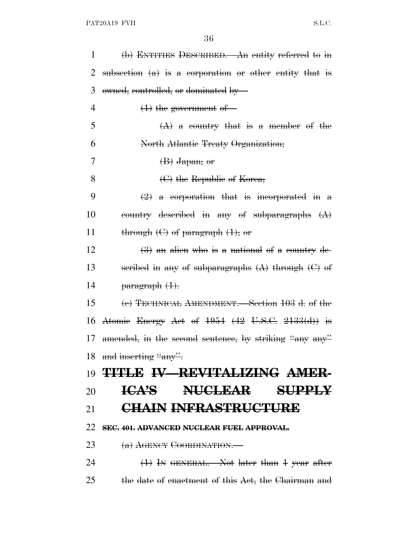| 1  | (b) ENTITIES DESCRIBED. An entity referred to in                       |
|----|------------------------------------------------------------------------|
| 2  | subsection $(a)$ is a corporation or other entity that is              |
| 3  | owned, controlled, or dominated by-                                    |
| 4  | $(1)$ the government of $-$                                            |
| 5  | $(A)$ a country that is a member of the                                |
| 6  | North Atlantic Treaty Organization;                                    |
| 7  | $\langle B \rangle$ Japan; or                                          |
| 8  | (C) the Republic of Korea;                                             |
| 9  | $\left(2\right)$ a corporation that is incorporated in a               |
| 10 | country described in any of subparagraphs $(A)$                        |
| 11 | through $(C)$ of paragraph $(1)$ ; or                                  |
| 12 | $\left(\frac{3}{2}\right)$ an alien who is a national of a country de- |
| 13 | seribed in any of subparagraphs $(A)$ through $(C)$ of                 |
| 14 | <del>paragraph (1).</del>                                              |
| 15 | (e) TECHNICAL AMENDMENT. Section 103 d. of the                         |
| 16 | Atomic Energy Act of $1954$ (42 U.S.C. $2133(d)$ ) is                  |
| 17 | amended, in the second sentence, by striking "any any"                 |
|    | 18 and inserting "any".                                                |
|    | 19 TITLE IV—REVITALIZING AMER-                                         |
| 20 | ICA'S NUCLEAR SUPPLY                                                   |
| 21 | <b>CHAIN INFRASTRUCTURE</b>                                            |
| 22 | SEC. 401. ADVANCED NUCLEAR FUEL APPROVAL.                              |
| 23 | (a) AGENCY COORDINATION.                                               |
| 24 | $(1)$ In GENERAL.—Not later than 1 year after                          |
| 25 |                                                                        |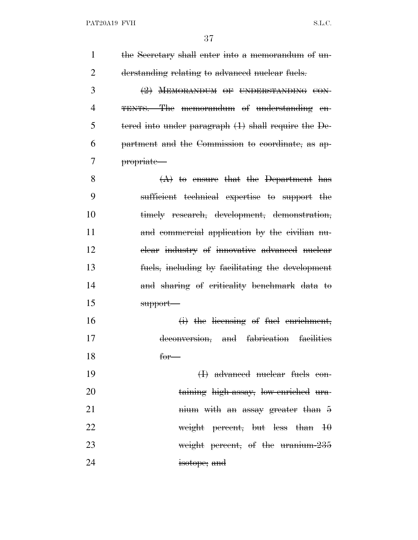| $\mathbf{1}$   | the Secretary shall enter into a memorandum of un-        |
|----------------|-----------------------------------------------------------|
| $\overline{2}$ | derstanding relating to advanced nuclear fuels.           |
| 3              | (2) MEMORANDUM OF UNDERSTANDING CON-                      |
| $\overline{4}$ | <b>TENTS.—The memorandum of understanding en-</b>         |
| 5              | tered into under paragraph (1) shall require the De-      |
| 6              | partment and the Commission to coordinate, as ap-         |
| 7              | propriate-                                                |
| 8              | $(A)$ to ensure that the Department has                   |
| 9              | sufficient technical expertise to support the             |
| 10             | timely research, development, demonstration,              |
| 11             | and commercial application by the civilian nu-            |
| 12             | elear industry of innovative advanced nuclear             |
| 13             | fuels, including by facilitating the development          |
| 14             | and sharing of criticality benchmark data to              |
| 15             | support—                                                  |
| 16             | $(i)$ the licensing of fuel enrichment,                   |
| 17             | fabrication facilities<br><del>and</del><br>deconversion, |
| 18             | <del>for—</del>                                           |
| 19             | (I) advanced nuclear fuels con-                           |
| 20             | taining high-assay, low-enriched ura-                     |
| 21             | nium with an assay greater than 5                         |
| 22             | weight percent, but less than $10$                        |
| 23             | weight percent, of the uranium-235                        |
| 24             | isotope; and                                              |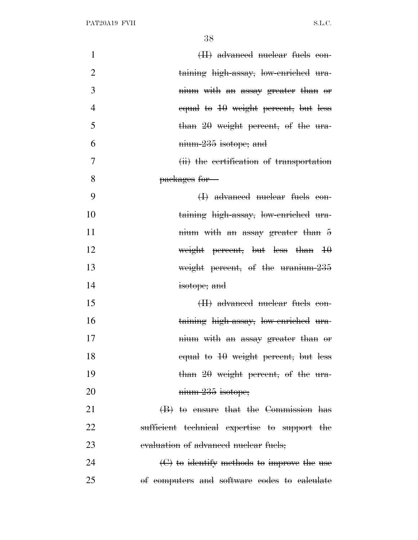| $\mathbf{1}$   | <del>(II) advanced nuclear fuels con</del> -    |
|----------------|-------------------------------------------------|
| $\overline{2}$ | taining high-assay, low-enriched ura-           |
| 3              | mium with an assay greater than or              |
| $\overline{4}$ | equal to $10$ weight percent, but less          |
| 5              | than 20 weight percent, of the ura-             |
| 6              | nium-235 isotope; and                           |
| 7              | (ii) the certification of transportation        |
| 8              | packages for-                                   |
| 9              | (I) advanced nuclear fuels con-                 |
| 10             | taining high-assay, low-enriched ura-           |
| 11             | nium with an assay greater than 5               |
| 12             | weight percent, but less than $10$              |
| 13             | weight percent, of the uranium-235              |
| 14             | isotope; and                                    |
| 15             | (II) advanced nuclear fuels con-                |
| 16             | taining high-assay, low-enriched ura-           |
| 17             | mium with an assay greater than or              |
| 18             | equal to 10 weight percent, but less            |
| 19             | than $2\theta$ weight percent, of the ura-      |
| 20             | nium-235 isotope;                               |
| 21             | (B) to ensure that the Commission has           |
| 22             | sufficient technical expertise to support the   |
| 23             | evaluation of advanced nuclear fuels;           |
| 24             | $\Theta$ to identify methods to improve the use |
| 25             | of computers and software codes to calculate    |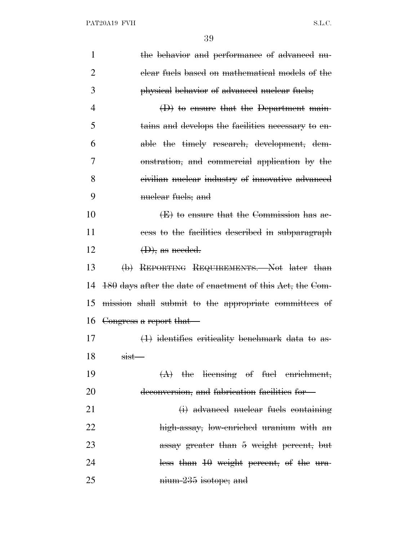| 1              | the behavior and performance of advanced nu-               |
|----------------|------------------------------------------------------------|
| $\overline{2}$ | elear fuels based on mathematical models of the            |
| 3              | physical behavior of advanced nuclear fuels;               |
| 4              | $(D)$ to ensure that the Department main-                  |
| 5              | tains and develops the facilities necessary to en-         |
| 6              | able the timely research, development, dem-                |
| 7              | onstration, and commercial application by the              |
| 8              | eivilian nuclear industry of innovative advanced           |
| 9              | muclear fucks; and                                         |
| 10             | (E) to ensure that the Commission has ac-                  |
| 11             | eess to the facilities described in subparagraph           |
| 12             | $(D)$ , as needed.                                         |
| 13             | (b) REPORTING REQUIREMENTS. Not later than                 |
| 14             | 180 days after the date of enactment of this Act, the Com- |
| 15             | mission shall submit to the appropriate committees of      |
|                | 16 Congress a report that-                                 |
| 17             | $(1)$ identifies eriticality benchmark data to as-         |
| 18             | sist—                                                      |
| 19             | $(A)$ the licensing of fuel enrichment,                    |
| 20             | deconversion, and fabrication facilities for-              |
| 21             | (i) advanced nuclear fuels containing                      |
| 22             | high-assay, low-enriched uranium with an                   |
| 23             | assay greater than 5 weight percent, but                   |
| 24             | less than 10 weight percent, of the ura-                   |
| 25             | nium-235 isotope; and                                      |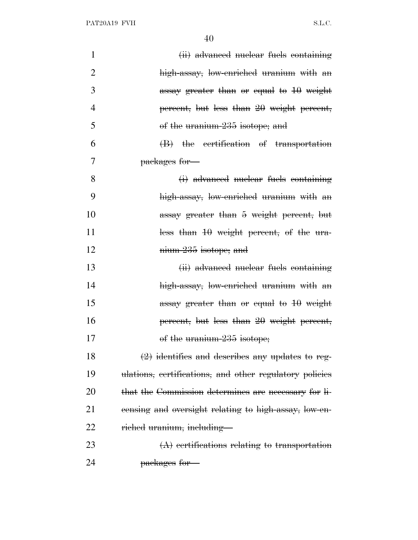| $\mathbf{1}$   | (ii) advanced nuclear fuels containing                  |
|----------------|---------------------------------------------------------|
| $\overline{2}$ | high-assay, low-enriched uranium with an                |
| 3              | assay greater than $\theta$ equal to $10$ weight        |
| 4              | percent, but less than 20 weight percent,               |
| 5              | of the uranium-235 isotope; and                         |
| 6              | (B) the certification of transportation                 |
| 7              | <del>packages for-</del>                                |
| 8              | (i) advanced nuclear fuels containing                   |
| 9              | high-assay, low-enriched uranium with an                |
| 10             | assay greater than 5 weight percent, but                |
| 11             | less than 10 weight percent, of the ura-                |
| 12             | nium-235 isotope; and                                   |
| 13             | (ii) advanced nuclear fuels containing                  |
| 14             | high-assay, low-enriched uranium with an                |
| 15             | assay greater than $\Theta$ equal to $10$ weight        |
| 16             | percent, but less than 20 weight percent,               |
| 17             | of the uranium-235 isotope;                             |
| 18             | $(2)$ identifies and describes any updates to reg-      |
| 19             | ulations, certifications, and other regulatory policies |
| 20             | that the Commission determines are necessary for li-    |
| 21             | eensing and oversight relating to high-assay, low-en-   |
| 22             | riched uranium, including—                              |
| 23             | $(A)$ certifications relating to transportation         |
| 24             | <del>packages</del> for—                                |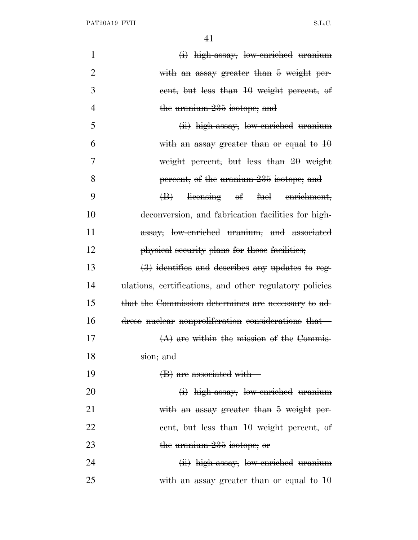PAT20A19 FVH S.L.C.

| $\mathbf{1}$   | (i) high-assay, low-enriched uranium                    |
|----------------|---------------------------------------------------------|
| $\overline{2}$ | with an assay greater than 5 weight per-                |
| 3              | eent, but less than 10 weight percent, of               |
| $\overline{4}$ | the uranium-235 isotope; and                            |
| 5              | (ii) high-assay, low-enriched uranium                   |
| 6              | with an assay greater than or equal to $10$             |
| 7              | weight percent, but less than 20 weight                 |
| 8              | percent, of the uranium-235 isotope; and                |
| 9              | licensing of fuel enrichment,<br>$\bigoplus$            |
| 10             | deconversion, and fabrication facilities for high-      |
| 11             | assay, low-enriched uranium, and associated             |
| 12             | physical security plans for those facilities;           |
| 13             | $(3)$ identifies and describes any updates to reg-      |
| 14             | ulations, certifications, and other regulatory policies |
| 15             | that the Commission determines are necessary to ad-     |
| 16             | dress nuclear nonproliferation considerations that-     |
| 17             | $(A)$ are within the mission of the Commis-             |
| 18             | sion; and                                               |
| 19             | (B) are associated with-                                |
| <b>20</b>      | (i) high-assay, low-enriched uranium                    |
| 21             | with an assay greater than 5 weight per-                |
| 22             | eent, but less than 10 weight percent, of               |
| 23             | the uranium-235 isotope; or                             |
| 24             | (ii) high-assay, low-enriched uranium                   |
| 25             | with an assay greater than or equal to $10$             |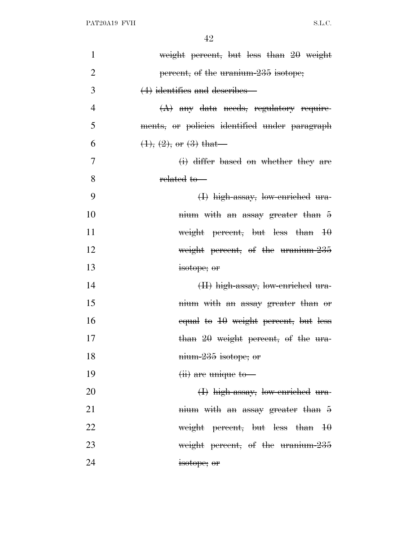| $\mathbf{1}$   | weight percent, but less than 20 weight       |
|----------------|-----------------------------------------------|
| $\overline{2}$ | percent, of the uranium-235 isotope;          |
| 3              | $(4)$ identifies and describes                |
| $\overline{4}$ | $(A)$ any data needs, regulatory require-     |
| 5              | ments, or policies identified under paragraph |
| 6              | $(1), (2),$ or $(3)$ that                     |
| 7              | (i) differ based on whether they are          |
| 8              | related to-                                   |
| 9              | (I) high-assay, low-enriched ura-             |
| 10             | nium with an assay greater than 5             |
| 11             | weight percent, but less than $10$            |
| 12             | weight percent, of the uranium-235            |
| 13             | isotope; or                                   |
| 14             | (II) high-assay, low-enriched ura-            |
| 15             | mium with an assay greater than or            |
| 16             | equal to $10$ weight percent, but less        |
| 17             | than $20$ weight percent, of the ura-         |
| 18             | nium-235 isotope; or                          |
| 19             | $\overline{u}$ are unique to $\overline{u}$   |
| 20             | (I) high-assay, low-enriched ura-             |
| 21             | nium with an assay greater than 5             |
| 22             | weight percent, but less than $10$            |
| 23             | weight percent, of the uranium-235            |
| 24             | isotope; or                                   |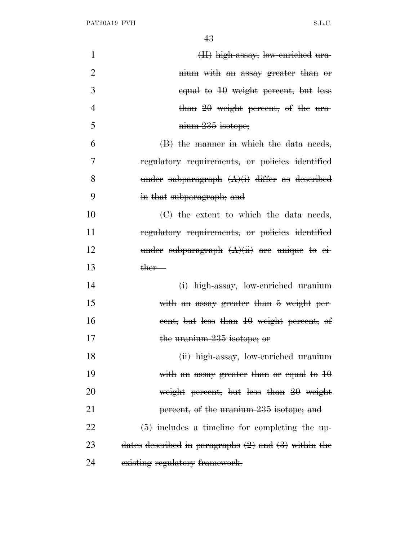| $\mathbf{1}$   | (II) high-assay, low-enriched ura-                       |
|----------------|----------------------------------------------------------|
| $\overline{2}$ | mium with an assay greater than or                       |
| 3              | equal to 10 weight percent, but less                     |
| $\overline{4}$ | than 20 weight percent, of the ura-                      |
| 5              | mium-235 isotope;                                        |
| 6              | (B) the manner in which the data needs,                  |
| 7              | regulatory requirements, or policies identified          |
| 8              | under subparagraph $(A)(i)$ differ as described          |
| 9              | in that subparagraph; and                                |
| 10             | $\Theta$ the extent to which the data needs,             |
| 11             | regulatory requirements, or policies identified          |
| 12             | under subparagraph $(A)(ii)$ are unique to ei-           |
| 13             | <del>ther—</del>                                         |
| 14             | (i) high-assay, low-enriched uranium                     |
| 15             | with an assay greater than 5 weight per-                 |
| 16             | eent, but less than 10 weight percent, of                |
| 17             | the uranium-235 isotope; or                              |
| 18             | (ii) high-assay, low-enriched uranium                    |
| 19             | with an assay greater than or equal to $10$              |
| 20             | weight percent, but less than 20 weight                  |
| 21             | percent, of the uranium-235 isotope; and                 |
| 22             | $(5)$ includes a timeline for completing the up-         |
| 23             | dates described in paragraphs $(2)$ and $(3)$ within the |
| 24             | existing regulatory framework.                           |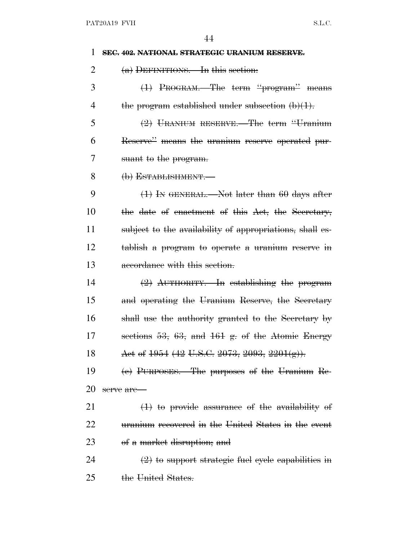| 1              | SEC. 402. NATIONAL STRATEGIC URANIUM RESERVE.            |
|----------------|----------------------------------------------------------|
| $\overline{2}$ | $(a)$ DEFINITIONS. In this section:                      |
| 3              | $(1)$ PROGRAM.—The term "program" means                  |
| 4              | the program established under subsection $(b)(1)$ .      |
| 5              | (2) URANIUM RESERVE. The term "Uranium                   |
| 6              | Reserve" means the uranium reserve operated pur-         |
| 7              | suant to the program.                                    |
| 8              | $(b)$ ESTABLISHMENT.                                     |
| 9              | $(1)$ In GENERAL.—Not later than 60 days after           |
| 10             | the date of enactment of this Act, the Secretary,        |
| 11             | subject to the availability of appropriations, shall es- |
| 12             | tablish a program to operate a uranium reserve in        |
| 13             | accordance with this section.                            |
| 14             | $(2)$ AUTHORITY. In establishing the program             |
| 15             | and operating the Uranium Reserve, the Secretary         |
| 16             | shall use the authority granted to the Secretary by      |
| 17             | sections $53$ , $63$ , and $161$ g. of the Atomic Energy |
| 18             | Act of $1954$ (42 U.S.C. 2073, 2093, 2201(g)).           |
| 19             | (e) PURPOSES.—The purposes of the Uranium Re-            |
| 20             | serve are-                                               |
| 21             | $(1)$ to provide assurance of the availability of        |
| 22             | uranium recovered in the United States in the event      |
| 23             | of a market disruption; and                              |
| 24             | $(2)$ to support strategic fuel eyele capabilities in    |
| 25             | the United States.                                       |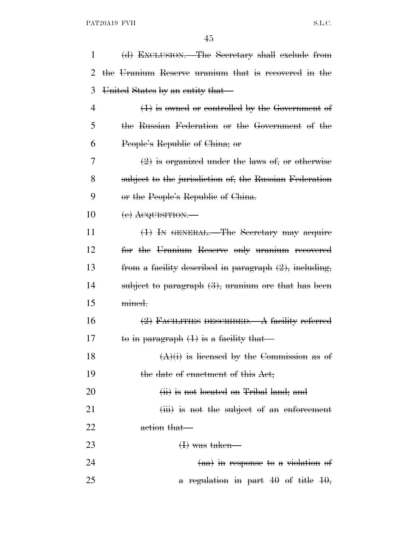| 1              | (d) EXCLUSION.—The Secretary shall exclude from        |
|----------------|--------------------------------------------------------|
| 2              | the Uranium Reserve uranium that is recovered in the   |
| 3              | United States by an entity that—                       |
| $\overline{4}$ | $(1)$ is owned or controlled by the Government of      |
| 5              | the Russian Federation or the Government of the        |
| 6              | People's Republic of China; or                         |
| 7              | $(2)$ is organized under the laws of, or otherwise     |
| 8              | subject to the jurisdiction of, the Russian Federation |
| 9              | or the People's Republic of China.                     |
| 10             | (e) ACQUISITION.                                       |
| 11             | $(1)$ In GENERAL.—The Secretary may acquire            |
| 12             | for the Uranium Reserve only uranium recovered         |
| 13             | from a facility described in paragraph (2), including, |
| 14             | subject to paragraph $(3)$ , uranium ore that has been |
| 15             | mined.                                                 |
| 16             | $(2)$ FACILITIES DESCRIBED.—A facility referred        |
| 17             | to in paragraph $(1)$ is a facility that               |
| 18             | $(A)(i)$ is licensed by the Commission as of           |
| 19             | the date of enactment of this Act;                     |
| 20             | (ii) is not located on Tribal land; and                |
| 21             | (iii) is not the subject of an enforcement             |
| 22             | action that—                                           |
| 23             | $\oplus$ was taken—                                    |
| 24             | $(aa)$ in response to a violation of                   |
| 25             | a regulation in part 40 of title $10$ ,                |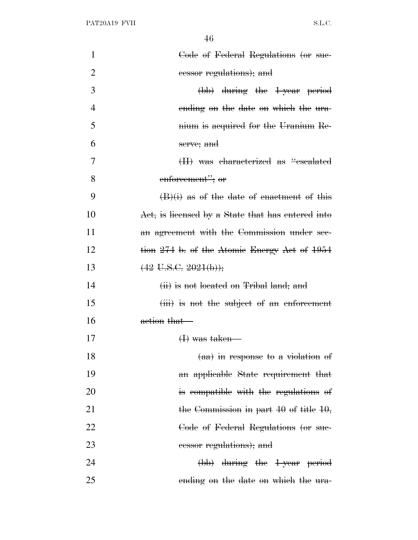| $\mathbf{1}$   | Code of Federal Regulations (or sue-                |
|----------------|-----------------------------------------------------|
| $\overline{2}$ | essor regulations); and                             |
| 3              | (bb) during the 1-year period                       |
| 4              | ending on the date on which the ura-                |
| 5              | nium is acquired for the Uranium Re-                |
| 6              | serve; and                                          |
| 7              | (II) was characterized as "escalated                |
| 8              | enforcement"; or                                    |
| 9              | $(\frac{B}{i})$ as of the date of enactment of this |
| 10             | Act, is licensed by a State that has entered into   |
| 11             | an agreement with the Commission under see-         |
| 12             | tion 274 b. of the Atomic Energy Act of 1954        |
| 13             | $(42 \text{ U.S.C. } 2021(b));$                     |
| 14             | (ii) is not located on Tribal land; and             |
| 15             | (iii) is not the subject of an enforcement          |
| 16             | action that-                                        |
| 17             | <del>(I)</del> was taken-                           |
| 18             | $(aa)$ in response to a violation of                |
| 19             | an applicable State requirement that                |
| 20             | is compatible with the regulations of               |
| 21             | the Commission in part $40$ of title $10$ ,         |
| 22             | Code of Federal Regulations (or sue-                |
| 23             | eessor regulations); and                            |
| 24             | (bb) during the 1-year period                       |
| 25             | ending on the date on which the ura-                |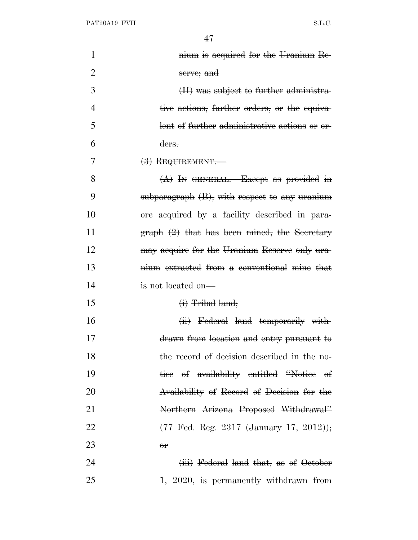| $\mathbf{1}$   | nium is acquired for the Uranium Re-                        |
|----------------|-------------------------------------------------------------|
| $\overline{2}$ | serve; and                                                  |
| 3              | (II) was subject to further administra-                     |
| 4              | tive actions, further orders, or the equiva-                |
| 5              | lent of further administrative actions or or-               |
| 6              | <del>ders.</del>                                            |
| 7              | $(3)$ Requirement.                                          |
| 8              | $(A)$ In GENERAL.—Except as provided in                     |
| 9              | subparagraph $(B)$ , with respect to any uranium            |
| 10             | ore acquired by a facility described in para-               |
| 11             | $graph$ $(2)$ that has been mined, the Secretary            |
| 12             | may acquire for the Uranium Reserve only ura-               |
| 13             | nium extracted from a conventional mine that                |
| 14             | is not located on-                                          |
| 15             | <del>(i)</del> <del>Tribal</del> land;                      |
| 16             | (ii) Federal land temporarily with-                         |
| 17             | drawn from location and entry pursuant to                   |
| 18             | the record of decision described in the no-                 |
| 19             | tice of availability entitled "Notice of                    |
| 20             | Availability of Record of Decision for the                  |
| 21             | Northern Arizona Proposed Withdrawal"                       |
| 22             | $(77 \text{ Fed. Reg. } 2317 \text{ (January } 17, 2012));$ |
| 23             | $\theta$ r                                                  |
| 24             | (iii) Federal land that, as of October                      |
| 25             | $\pm$ , $2020$ , is permanently withdrawn from              |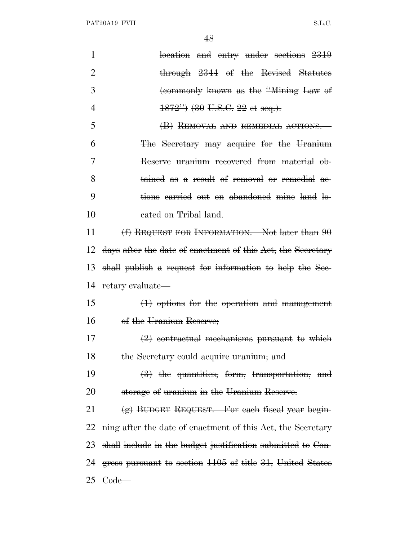PAT20A19 FVH S.L.C.

| $\mathbf{1}$   | beation and entry under sections 2319                       |
|----------------|-------------------------------------------------------------|
| $\overline{2}$ | through 2344 of the Revised Statutes                        |
| 3              | (commonly known as the "Mining Law of                       |
| $\overline{4}$ | $\frac{1872''}{60}$ (30 U.S.C. 22 et seq.).                 |
| 5              | (B) REMOVAL AND REMEDIAL ACTIONS.                           |
| 6              | The Secretary may acquire for the Uranium                   |
| 7              | Reserve uranium recovered from material ob-                 |
| 8              | tained as a result of removal or remedial ac-               |
| 9              | tions carried out on abandoned mine land lo-                |
| 10             | cated on Tribal land.                                       |
| 11             | $(f)$ REQUEST FOR INFORMATION. Not later than $90$          |
| 12             | days after the date of enactment of this Act, the Secretary |
| 13             | shall publish a request for information to help the See-    |
| 14             | retary evaluate—                                            |
| 15             | $(1)$ options for the operation and management              |
| 16             | of the Uranium Reserve;                                     |
| 17             | $(2)$ contractual mechanisms pursuant to which              |
| 18             | the Secretary could acquire uranium; and                    |
| 19             | $(3)$ the quantities, form, transportation, and             |
| 20             | storage of uranium in the Uranium Reserve.                  |
| 21             | (g) BUDGET REQUEST. For each fiscal year begin-             |
| 22             | ning after the date of enactment of this Act, the Secretary |
| 23             | shall include in the budget justification submitted to Con- |
| 24             | gress pursuant to section 1105 of title 31, United States   |
| 25             | <del>Code</del> —                                           |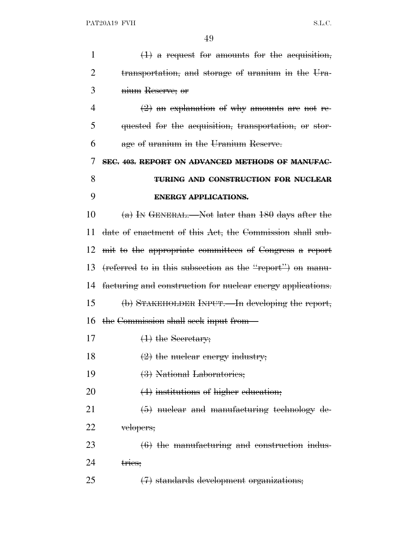| 1              | $(1)$ a request for amounts for the acquisition,            |
|----------------|-------------------------------------------------------------|
| $\overline{2}$ | transportation, and storage of uranium in the Ura-          |
| 3              | nium Reserve; or                                            |
| 4              | $(2)$ an explanation of why amounts are not re-             |
| 5              | quested for the acquisition, transportation, or stor-       |
| 6              | age of uranium in the Uranium Reserve.                      |
| 7              | SEC. 403. REPORT ON ADVANCED METHODS OF MANUFAC-            |
| 8              | TURING AND CONSTRUCTION FOR NUCLEAR                         |
| 9              | <b>ENERGY APPLICATIONS.</b>                                 |
| 10             | $(a)$ In GENERAL.—Not later than 180 days after the         |
| 11             | date of enactment of this Act, the Commission shall sub-    |
| 12             | mit to the appropriate committees of Congress a report      |
| 13             | (referred to in this subsection as the "report") on manu-   |
| 14             | facturing and construction for nuclear energy applications. |
| 15             | (b) STAKEHOLDER INPUT. In developing the report,            |
|                | 16 the Commission shall seek input from—                    |
| 17             | $\left( \frac{1}{1} \right)$ the Secretary;                 |
| 18             | $(2)$ the nuclear energy industry;                          |
| 19             | (3) National Laboratories;                                  |
| 20             | $(4)$ institutions of higher education;                     |
| 21             | $(5)$ nuclear and manufacturing technology de-              |
| 22             | velopers;                                                   |
| 23             | $(6)$ the manufacturing and construction indus-             |
| 24             | tries;                                                      |
| 25             | (7) standards development organizations;                    |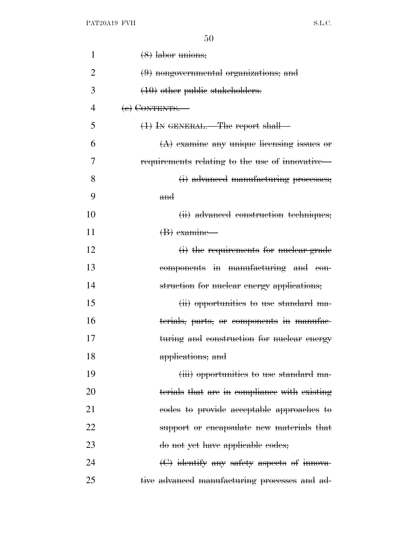| $\mathbf{1}$   | $(8)$ labor unions;                             |
|----------------|-------------------------------------------------|
| $\overline{2}$ | (9) nongovernmental organizations; and          |
| 3              | $(10)$ other public stakeholders.               |
| 4              | $(e)$ CONTENTS.                                 |
| 5              | $(1)$ In GENERAL.—The report shall—             |
| 6              | $(A)$ examine any unique licensing issues or    |
| 7              | requirements relating to the use of innovative- |
| 8              | (i) advanced manufacturing processes;           |
| 9              | and                                             |
| 10             | (ii) advanced construction techniques;          |
| 11             | $(B)$ examine—                                  |
| 12             | (i) the requirements for nuclear-grade          |
| 13             | components in manufacturing and con-            |
| 14             | struction for nuclear energy applications;      |
| 15             | (ii) opportunities to use standard ma-          |
| 16             | terials, parts, or components in manufac-       |
| 17             | turing and construction for nuclear energy      |
| 18             | applications; and                               |
| 19             | (iii) opportunities to use standard ma-         |
| 20             | terials that are in compliance with existing    |
| 21             | codes to provide acceptable approaches to       |
| 22             | support or encapsulate new materials that       |
| 23             | do not yet have applicable codes;               |
| 24             | $\Theta$ identify any safety aspects of innova- |
| 25             | tive advanced manufacturing processes and ad-   |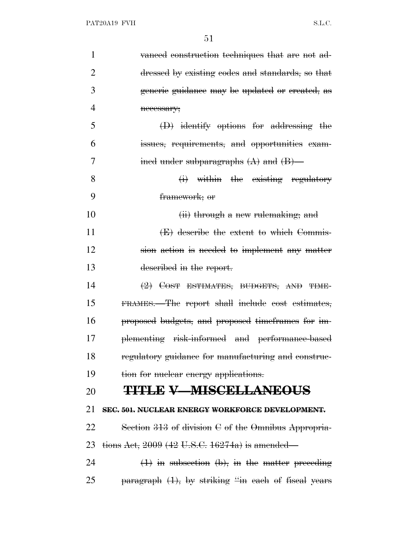| $\mathbf{1}$   | vanced construction techniques that are not ad-        |
|----------------|--------------------------------------------------------|
| $\overline{2}$ | dressed by existing codes and standards, so that       |
| 3              | generie guidance may be updated or created, as         |
| $\overline{4}$ | necessary;                                             |
| 5              | $(D)$ identify options for addressing the              |
| 6              | issues, requirements, and opportunities exam-          |
| 7              | ined under subparagraphs $(A)$ and $(B)$ —             |
| 8              | (i) within the existing regulatory                     |
| 9              | framework; or                                          |
| 10             | (ii) through a new rulemaking; and                     |
| 11             | (E) describe the extent to which Commis-               |
| 12             | sion action is needed to implement any matter          |
| 13             | described in the report.                               |
| 14             | $(2)$ COST ESTIMATES, BUDGETS, AND TIME-               |
| 15             | FRAMES.—The report shall include cost estimates,       |
| 16             | proposed budgets, and proposed timeframes for im-      |
| 17             | plementing risk-informed and performance-based         |
| 18             | regulatory guidance for manufacturing and construc-    |
| 19             | tion for nuclear energy applications.                  |
| 20             | <b>TITLE V-MISCELLANEOUS</b>                           |
| 21             | SEC. 501. NUCLEAR ENERGY WORKFORCE DEVELOPMENT.        |
| 22             | Section 313 of division $C$ of the Omnibus Appropria-  |
| 23             | tions Act, 2009 (42 U.S.C. 16274a) is amended—         |
| 24             | $(1)$ in subsection (b), in the matter preceding       |
| 25             | paragraph $(1)$ , by striking "in each of fiscal years |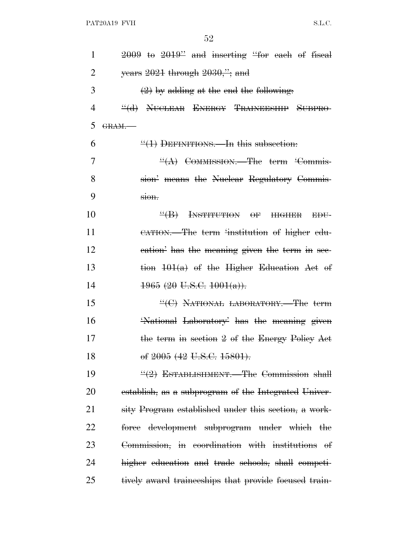| $\mathbf{1}$ | $2009$ to $2019$ " and inserting "for each of fiscal                   |
|--------------|------------------------------------------------------------------------|
| 2            | years 2021 through 2030,"; and                                         |
| 3            | $(2)$ by adding at the end the following.                              |
| 4            | "(d) NUCLEAR ENERGY TRAINEESHIP SUBPRO-                                |
| 5            | GRAM.                                                                  |
| 6            | $\frac{H(1)}{H(1)}$ DEFINITIONS. In this subsection:                   |
| 7            | $\frac{H(A)}{B}$ COMMISSION. The term Commis-                          |
| 8            | sion' means the Nuclear Regulatory Commis-                             |
| 9            | $\frac{\text{si}}{\text{so}}$                                          |
| 10           | $\frac{((\mathbf{B})}{(})$<br>INSTITUTION OF HIGHER<br>E <sub>DF</sub> |
| 11           | CATION. The term 'institution of higher edu-                           |
| 12           | eation' has the meaning given the term in sec-                         |
| 13           | tion $101(a)$ of the Higher Education Act of                           |
| 14           | $\frac{1965}{(20 \text{ U.S.C. } 1001(a))}$ .                          |
| 15           | "(C) NATIONAL LABORATORY.—The term                                     |
| 16           | 'National Laboratory' has the meaning given                            |
| 17           | the term in section 2 of the Energy Policy Act                         |
| 18           | of 2005 (42 U.S.C. 15801).                                             |
| 19           | $\frac{11}{2}$ ESTABLISHMENT. The Commission shall                     |
| <b>20</b>    | establish, as a subprogram of the Integrated Univer-                   |
| 21           | sity Program established under this section, a work-                   |
| 22           | force development subprogram under which the                           |
| 23           | Commission, in coordination with institutions of                       |
| 24           | higher education and trade schools, shall competi-                     |
| 25           | tively award traineeships that provide focused train-                  |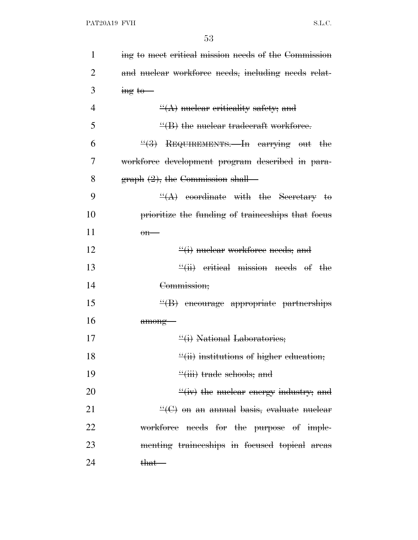| $\mathbf{1}$   | ing to meet critical mission needs of the Commission      |
|----------------|-----------------------------------------------------------|
| $\overline{2}$ | and nuclear workforce needs, including needs relat-       |
| 3              | $\frac{1}{2}$ ing to                                      |
| $\overline{4}$ | $\mathcal{H}(\mathbf{A})$ nuclear criticality safety; and |
| 5              | $\frac{H}{B}$ the nuclear tradecraft workforce.           |
| 6              | $\frac{4}{3}$ REQUIREMENTS. In carrying out the           |
| 7              | workforce development program described in para-          |
| 8              | $graph (2)$ , the Commission shall—                       |
| 9              | $\frac{d}{dx}$ coordinate with the Secretary to           |
| 10             | prioritize the funding of traineeships that focus         |
| 11             | $\theta$ n-                                               |
| 12             | $\frac{d}{dx}$ muclear workforce needs; and               |
| 13             | $\frac{d}{dx}$ eritical mission needs of the              |
| 14             | Commission;                                               |
| 15             | "(B) encourage appropriate partnerships                   |
| 16             | among                                                     |
| 17             | $\frac{d}{dx}$ National Laboratories;                     |
| 18             | "(ii) institutions of higher education;                   |
| 19             | $\frac{4}{111}$ trade schools; and                        |
| 20             | $\frac{H(x)}{H(x)}$ the nuclear energy industry; and      |
| 21             | $\frac{H(G)}{G}$ on an annual basis, evaluate nuclear     |
| 22             | workforce needs for the purpose of imple-                 |
| 23             | menting traineeships in focused topical areas             |
| 24             | <del>that—</del>                                          |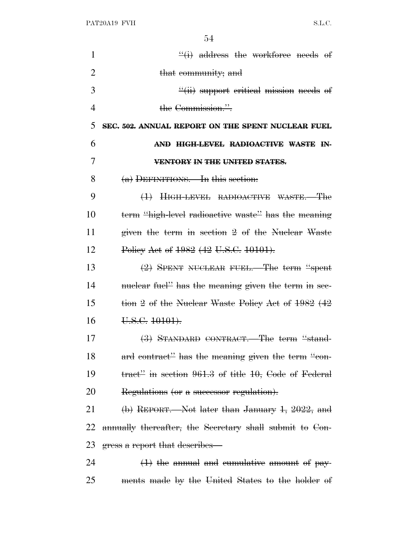| 1              | $\frac{d}{dx}$ address the workforce needs of             |
|----------------|-----------------------------------------------------------|
| $\overline{2}$ | that community; and                                       |
| 3              | $\frac{4}{11}$ support eritical mission needs of          |
| $\overline{4}$ | the Commission."                                          |
| 5              | SEC. 502. ANNUAL REPORT ON THE SPENT NUCLEAR FUEL         |
| 6              | AND HIGH-LEVEL RADIOACTIVE WASTE IN-                      |
| 7              | VENTORY IN THE UNITED STATES.                             |
| 8              | $(a)$ DEFINITIONS. In this section:                       |
| 9              | (1) HIGH-LEVEL RADIOACTIVE WASTE.-The                     |
| 10             | term "high-level radioactive waste" has the meaning       |
| 11             | given the term in section 2 of the Nuclear Waste          |
| 12             | Policy Act of 1982 (42 U.S.C. 10101).                     |
| 13             | $(2)$ SPENT NUCLEAR FUEL.—The term "spent"                |
| 14             | muclear fuel" has the meaning given the term in sec-      |
| 15             | tion 2 of the Nuclear Waste Policy Act of 1982 (42)       |
| 16             | U.S.C. 10101).                                            |
| 17             | $(3)$ STANDARD CONTRACT. The term "stand-                 |
| 18             | ard contract" has the meaning given the term "con-        |
| 19             | tract" in section $961.3$ of title $10$ , Code of Federal |
| 20             | Regulations (or a successor regulation).                  |
| 21             | $\phi$ REPORT. Not later than January 1, 2022, and        |
| 22             | annually thereafter, the Secretary shall submit to Con-   |
| 23             | gress a report that describes—                            |
| 24             | $(1)$ the annual and cumulative amount of pay-            |
| 25             | ments made by the United States to the holder of          |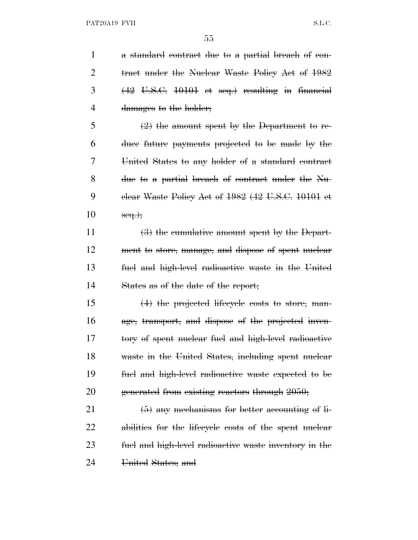a standard contract due to a partial breach of con-2 tract under the Nuclear Waste Policy Act of 1982 (42 U.S.C. 10101 et seq.) resulting in financial 4 damages to the holder;  $5 \left( 2 \right)$  the amount spent by the Department to re- duce future payments projected to be made by the United States to any holder of a standard contract due to a partial breach of contract under the Nu- clear Waste Policy Act of 1982 (42 U.S.C. 10101 et  $10 \qquad \text{seq.};$  (3) the cumulative amount spent by the Depart- ment to store, manage, and dispose of spent nuclear fuel and high-level radioactive waste in the United States as of the date of the report; (4) the projected lifecycle costs to store, man- age, transport, and dispose of the projected inven- tory of spent nuclear fuel and high-level radioactive waste in the United States, including spent nuclear fuel and high-level radioactive waste expected to be 20 generated from existing reactors through 2050;  $(5)$  any mechanisms for better accounting of li- abilities for the lifecycle costs of the spent nuclear fuel and high-level radioactive waste inventory in the 24 United States; and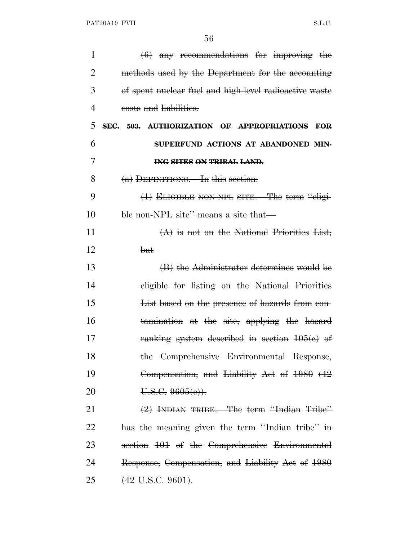| $\mathbf{1}$   | $(6)$ any recommendations for improving the            |
|----------------|--------------------------------------------------------|
| $\overline{2}$ | methods used by the Department for the accounting      |
| 3              | of spent nuclear fuel and high-level radioactive waste |
| 4              | costs and liabilities.                                 |
| 5              | SEC. 503. AUTHORIZATION OF APPROPRIATIONS<br>FOR       |
| 6              | SUPERFUND ACTIONS AT ABANDONED MIN-                    |
| 7              | ING SITES ON TRIBAL LAND.                              |
| 8              | $(a)$ DEFINITIONS. In this section:                    |
| 9              | (1) ELIGIBLE NON-NPL SITE.—The term "eligi-            |
| 10             | ble non-NPL site" means a site that—                   |
| 11             | $(A)$ is not on the National Priorities List;          |
| 12             | <del>but</del>                                         |
| 13             | (B) the Administrator determines would be              |
| 14             | eligible for listing on the National Priorities        |
| 15             | List based on the presence of hazards from con-        |
| 16             | tamination at the site, applying the hazard            |
| 17             | ranking system described in section $105(e)$ of        |
| 18             | the Comprehensive Environmental Response,              |
| 19             | Compensation, and Liability Act of 1980 (42            |
| 20             | $U.S.C. 9605(e)$ .                                     |
| 21             | $(2)$ INDIAN TRIBE.—The term "Indian Tribe"            |
| 22             | has the meaning given the term "Indian tribe" in       |
| 23             | section 101 of the Comprehensive Environmental         |
| 24             | Response, Compensation, and Liability Act of 1980      |
| 25             | $(42 \text{ U.S.C. } 9601).$                           |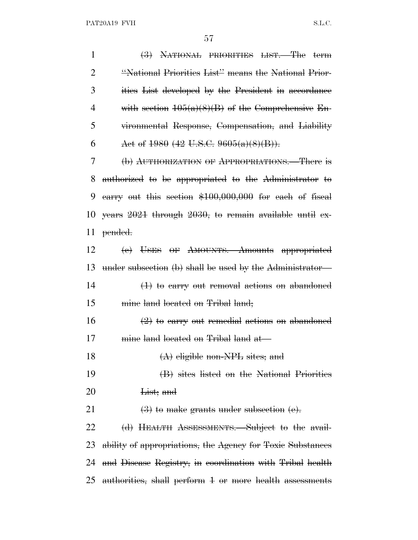| $\mathbf{1}$   | (3) NATIONAL PRIORITIES LIST.—The term                              |
|----------------|---------------------------------------------------------------------|
| $\overline{2}$ | "National Priorities List" means the National Prior-                |
| 3              | ities List developed by the President in accordance                 |
| $\overline{4}$ | with section $105(a)(8)(B)$ of the Comprehensive En-                |
| 5              | vironmental Response, Compensation, and Liability                   |
| 6              | Act of $1980$ (42 U.S.C. $9605(a)(8)(B)$ ).                         |
| 7              | (b) AUTHORIZATION OF APPROPRIATIONS.—There is                       |
| 8              | authorized to be appropriated to the Administrator to               |
| 9              | earry out this section $$100,000,000$ for each of fiscal            |
| 10             | years 2021 through 2030, to remain available until ex-              |
| 11             | pended.                                                             |
| 12             | (e) USES OF AMOUNTS. Amounts appropriated                           |
| 13             | under subsection (b) shall be used by the Administrator—            |
| 14             | $(1)$ to carry out removal actions on abandoned                     |
| 15             | mine land located on Tribal land;                                   |
| 16             | $(2)$ to carry out remedial actions on abandoned                    |
| 17             | mine land located on Tribal land at-                                |
| 18             | $(A)$ eligible non-NPL sites; and                                   |
| 19             | (B) sites listed on the National Priorities                         |
| 20             | List; and                                                           |
| 21             | $\left(3\right)$ to make grants under subsection $\left(e\right)$ . |
| 22             | (d) HEALTH ASSESSMENTS. Subject to the avail-                       |
| 23             | ability of appropriations, the Agency for Toxic Substances          |
| 24             | and Disease Registry, in coordination with Tribal health            |
| 25             | authorities, shall perform 1 or more health assessments             |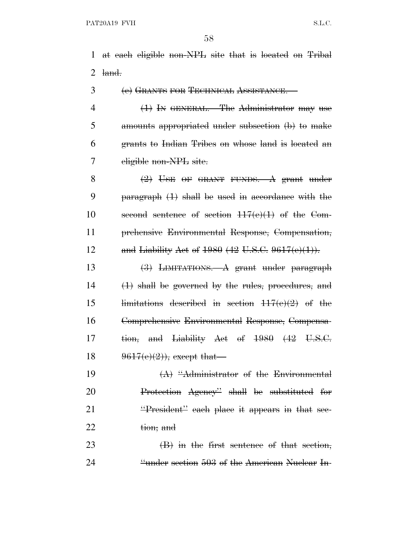1 at each eligible non-NPL site that is located on Tribal 2  $land.$ 

3 (e) GRANTS FOR TECHNICAL ASSISTANCE.—

4 (1) In GENERAL.—The Administrator may use amounts appropriated under subsection (b) to make grants to Indian Tribes on whose land is located an eligible non-NPL site.

 $(2)$  USE OF GRANT FUNDS. A grant under paragraph (1) shall be used in accordance with the second sentence of section 117(e)(1) of the Com- prehensive Environmental Response, Compensation, 12 and Liability Act of  $1980 (42 \text{ U.S.C. } 9617(e)(1)).$ 

 (3) LIMITATIONS.—A grant under paragraph (1) shall be governed by the rules, procedures, and 15 limitations described in section  $117(e)(2)$  of the Comprehensive Environmental Response, Compensa-17 tion, and Liability Act of 1980 (42 U.S.C.  $9617(e)(2)$ , except that

 $(A)$  "Administrator of the Environmental Protection Agency'' shall be substituted for **''President''** each place it appears in that sec-22 tion; and

23  $(B)$  in the first sentence of that section, 24 ''under section 503 of the American Nuclear In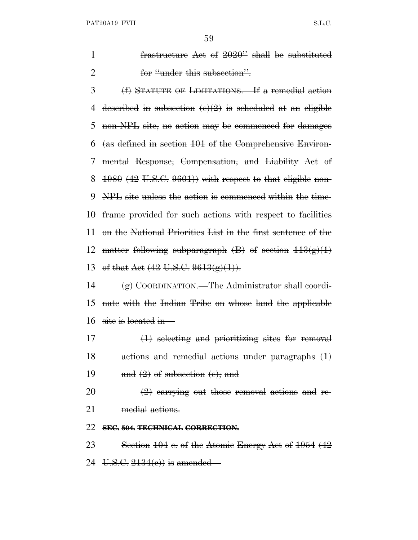PAT20A19 FVH S.L.C.

 frastructure Act of 2020'' shall be substituted 2 for "under this subsection".

 (f) STATUTE OF LIMITATIONS.—If a remedial action 4 described in subsection  $(e)(2)$  is scheduled at an eligible non-NPL site, no action may be commenced for damages (as defined in section 101 of the Comprehensive Environ- mental Response, Compensation, and Liability Act of (42 U.S.C. 9601)) with respect to that eligible non- NPL site unless the action is commenced within the time- frame provided for such actions with respect to facilities on the National Priorities List in the first sentence of the 12 matter following subparagraph  $(B)$  of section  $113(g)(1)$ 13 of that Act  $(42 \text{ U.S.C. } 9613(g)(1)).$ 

 (g) COORDINATION.—The Administrator shall coordi- nate with the Indian Tribe on whose land the applicable site is located in—

 (1) selecting and prioritizing sites for removal actions and remedial actions under paragraphs (1) 19 and  $(2)$  of subsection  $(e)$ ; and

20  $(2)$  carrying out those removal actions and re-medial actions.

# **SEC. 504. TECHNICAL CORRECTION.**

23 Section 104 c. of the Atomic Energy Act of 1954 (42 24 U.S.C.  $2134(e)$  is amended—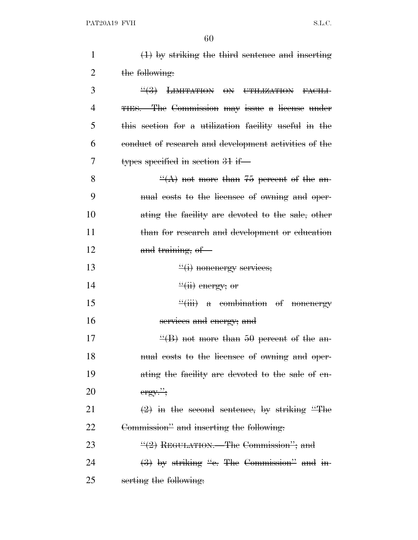| $\mathbf{1}$   | $(1)$ by striking the third sentence and inserting                      |
|----------------|-------------------------------------------------------------------------|
| $\overline{2}$ | the following:                                                          |
| 3              | $\frac{14}{3}$ LIMITATION ON UTILIZATION FACILI-                        |
| 4              | <b>THES.—The Commission may issue a license under</b>                   |
| 5              | this section for a utilization facility useful in the                   |
| 6              | conduct of research and development activities of the                   |
| 7              | types specified in section 31 if-                                       |
| 8              | $\frac{H(A)}{A}$ not more than 75 percent of the an-                    |
| 9              | mual costs to the licensee of owning and oper-                          |
| 10             | ating the facility are devoted to the sale, other                       |
| 11             | than for research and development or education                          |
| 12             | and training, of                                                        |
| 13             | "(i) nonenergy services;                                                |
| 14             | $\frac{d}{dt}$ energy; or                                               |
| 15             | $\frac{H(\mathbf{iii})}{H(\mathbf{iii})}$ a combination of<br>nonenergy |
| 16             | services and energy; and                                                |
| 17             | $\frac{H}{B}$ not more than 50 percent of the an-                       |
| 18             | mual costs to the licensee of owning and oper-                          |
| 19             | ating the facility are devoted to the sale of en-                       |
| <u>20</u>      | $ergy$ ."                                                               |
| 21             | $\frac{1}{2}$ in the second sentence, by striking "The                  |
| 22             | Commission" and inserting the following:                                |
| 23             | $\frac{11}{2}$ REGULATION. The Commission"; and                         |
| 24             | $(3)$ by striking "e. The Commission" and in-                           |
| 25             | serting the following:                                                  |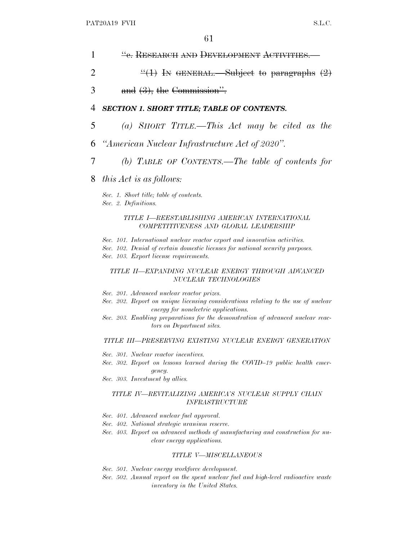1 <sup>"e</sup>. RESEARCH AND DEVELOPMENT ACTIVITIES.

2  $\frac{4}{1}$  In GENERAL.—Subject to paragraphs  $(2)$ 

 $3 \qquad \text{and } (3), \text{ the Commission}$ .

## 4 *SECTION 1. SHORT TITLE; TABLE OF CONTENTS.*

5 *(a) SHORT TITLE.—This Act may be cited as the*

6 *''American Nuclear Infrastructure Act of 2020''.*

7 *(b) TABLE OF CONTENTS.—The table of contents for*

## 8 *this Act is as follows:*

*Sec. 1. Short title; table of contents. Sec. 2. Definitions.*

#### *TITLE I—REESTABLISHING AMERICAN INTERNATIONAL COMPETITIVENESS AND GLOBAL LEADERSHIP*

*Sec. 101. International nuclear reactor export and innovation activities. Sec. 102. Denial of certain domestic licenses for national security purposes. Sec. 103. Export license requirements.*

#### *TITLE II—EXPANDING NUCLEAR ENERGY THROUGH ADVANCED NUCLEAR TECHNOLOGIES*

- *Sec. 201. Advanced nuclear reactor prizes.*
- *Sec. 202. Report on unique licensing considerations relating to the use of nuclear energy for nonelectric applications.*
- *Sec. 203. Enabling preparations for the demonstration of advanced nuclear reactors on Department sites.*

### *TITLE III—PRESERVING EXISTING NUCLEAR ENERGY GENERATION*

- *Sec. 301. Nuclear reactor incentives.*
- *Sec. 302. Report on lessons learned during the COVID–19 public health emergency.*
- *Sec. 303. Investment by allies.*

#### *TITLE IV—REVITALIZING AMERICA'S NUCLEAR SUPPLY CHAIN INFRASTRUCTURE*

- *Sec. 401. Advanced nuclear fuel approval.*
- *Sec. 402. National strategic uranium reserve.*
- *Sec. 403. Report on advanced methods of manufacturing and construction for nuclear energy applications.*

#### *TITLE V—MISCELLANEOUS*

*Sec. 501. Nuclear energy workforce development.*

*Sec. 502. Annual report on the spent nuclear fuel and high-level radioactive waste inventory in the United States.*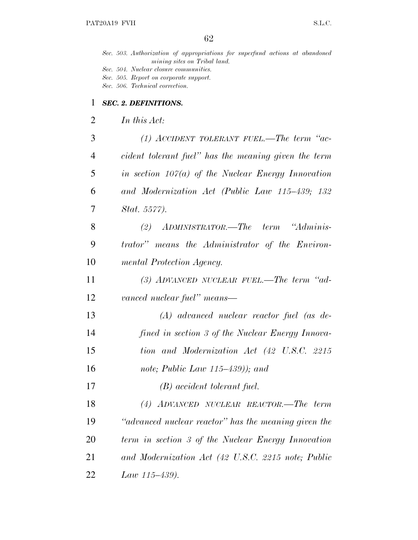|                | Sec. 503. Authorization of appropriations for superfund actions at abandoned<br>mining sites on Tribal land.<br>Sec. 504. Nuclear closure communities.<br>Sec. 505. Report on corporate support.<br>Sec. 506. Technical correction. |
|----------------|-------------------------------------------------------------------------------------------------------------------------------------------------------------------------------------------------------------------------------------|
| 1              | <b>SEC. 2. DEFINITIONS.</b>                                                                                                                                                                                                         |
| $\overline{2}$ | In this Act:                                                                                                                                                                                                                        |
| 3              | (1) ACCIDENT TOLERANT FUEL.—The term " $ac$ -                                                                                                                                                                                       |
| $\overline{4}$ | cident tolerant fuel" has the meaning given the term                                                                                                                                                                                |
| 5              | in section $107(a)$ of the Nuclear Energy Innovation                                                                                                                                                                                |
| 6              | and Modernization Act (Public Law 115–439; 132                                                                                                                                                                                      |
| 7              | <i>Stat.</i> 5577).                                                                                                                                                                                                                 |
| 8              | (2) ADMINISTRATOR.—The term "Adminis-                                                                                                                                                                                               |
| 9              | trator" means the Administrator of the Environ-                                                                                                                                                                                     |
| 10             | mental Protection Agency.                                                                                                                                                                                                           |
| 11             | $(3)$ ADVANCED NUCLEAR FUEL.—The term "ad-                                                                                                                                                                                          |
| 12             | vanced nuclear fuel" means—                                                                                                                                                                                                         |
| 13             | $(A)$ advanced nuclear reactor fuel (as de-                                                                                                                                                                                         |
| 14             | fined in section 3 of the Nuclear Energy Innova-                                                                                                                                                                                    |
| 15             | tion and Modernization Act (42 U.S.C. 2215                                                                                                                                                                                          |
| 16             | note; Public Law 115–439)); and                                                                                                                                                                                                     |
| 17             | $(B)$ accident tolerant fuel.                                                                                                                                                                                                       |
| 18             | (4) ADVANCED NUCLEAR REACTOR.—The term                                                                                                                                                                                              |
| 19             | "advanced nuclear reactor" has the meaning given the                                                                                                                                                                                |
| 20             | term in section 3 of the Nuclear Energy Innovation                                                                                                                                                                                  |
| 21             | and Modernization Act (42 U.S.C. 2215 note; Public                                                                                                                                                                                  |
| 22             | Law $115-439$ ).                                                                                                                                                                                                                    |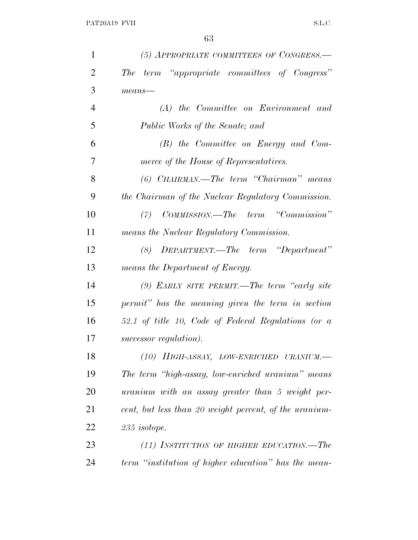| 1              | (5) APPROPRIATE COMMITTEES OF CONGRESS.-               |
|----------------|--------------------------------------------------------|
| $\overline{2}$ | The term "appropriate committees of Congress"          |
| 3              | $means$ —                                              |
| $\overline{4}$ | (A) the Committee on Environment and                   |
| 5              | Public Works of the Senate; and                        |
| 6              | $(B)$ the Committee on Energy and Com-                 |
| 7              | merce of the House of Representatives.                 |
| 8              | (6) CHAIRMAN.—The term "Chairman" means                |
| 9              | the Chairman of the Nuclear Regulatory Commission.     |
| 10             | (7) COMMISSION.—The term "Commission"                  |
| 11             | means the Nuclear Regulatory Commission.               |
| 12             | DEPARTMENT.—The term "Department"<br>(8)               |
| 13             | means the Department of Energy.                        |
| 14             | $(9)$ EARLY SITE PERMIT.—The term "early site          |
| 15             | permit" has the meaning given the term in section      |
| 16             | 52.1 of title 10, Code of Federal Regulations (or a    |
| 17             | successor regulation).                                 |
| 18             | (10) HIGH-ASSAY, LOW-ENRICHED URANIUM.                 |
| 19             | The term "high-assay, low-enriched uranium" means      |
| 20             | uranium with an assay greater than 5 weight per-       |
| 21             | cent, but less than 20 weight percent, of the uranium- |
| 22             | $235$ isotope.                                         |
| 23             | $(11)$ INSTITUTION OF HIGHER EDUCATION.—The            |
| 24             | term "institution of higher education" has the mean-   |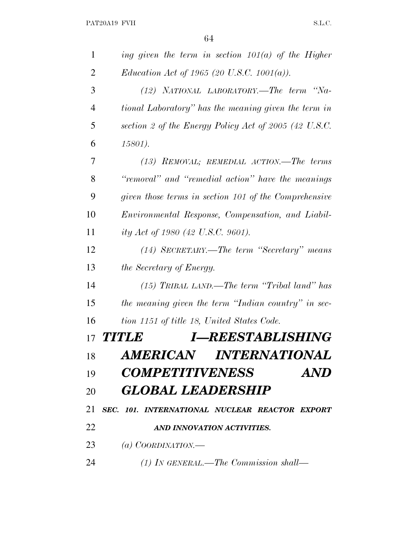| $\mathbf{1}$   | ing given the term in section $101(a)$ of the Higher  |
|----------------|-------------------------------------------------------|
| $\overline{2}$ | <i>Education Act of 1965 (20 U.S.C. 1001(a)).</i>     |
| 3              | $(12)$ NATIONAL LABORATORY.—The term "Na-             |
| $\overline{4}$ | tional Laboratory" has the meaning given the term in  |
| 5              | section 2 of the Energy Policy Act of 2005 (42 U.S.C. |
| 6              | 15801).                                               |
| 7              | $(13)$ REMOVAL; REMEDIAL ACTION.—The terms            |
| 8              | "removal" and "remedial action" have the meanings     |
| 9              | given those terms in section 101 of the Comprehensive |
| 10             | Environmental Response, Compensation, and Liabil-     |
| 11             | ity Act of 1980 (42 U.S.C. 9601).                     |
| 12             | (14) SECRETARY.—The term "Secretary" means            |
| 13             | the Secretary of Energy.                              |
| 14             | $(15)$ TRIBAL LAND.—The term "Tribal land" has        |
| 15             | the meaning given the term "Indian country" in sec-   |
| 16             | tion 1151 of title 18, United States Code.            |
| 17             | I—REESTABLISHING<br><b>TITLE</b>                      |
| 18             | AMERICAN INTERNATIONAL                                |
| 19             | <b>COMPETITIVENESS</b><br>AND                         |
| 20             | <b>GLOBAL LEADERSHIP</b>                              |
| 21             | SEC. 101. INTERNATIONAL NUCLEAR REACTOR EXPORT        |
| 22             | AND INNOVATION ACTIVITIES.                            |
| 23             | (a) $COORDINATION$ .                                  |
| 24             | $(1)$ In GENERAL.—The Commission shall—               |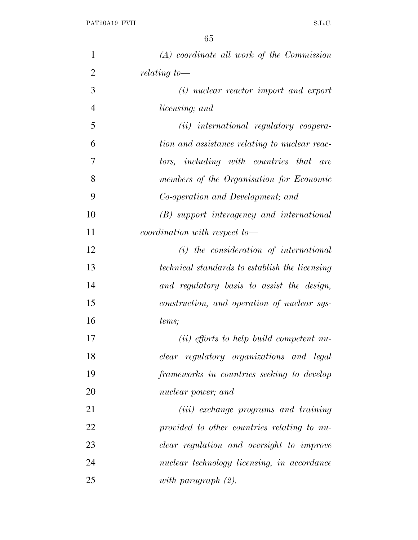| $\mathbf{1}$   | $(A)$ coordinate all work of the Commission           |
|----------------|-------------------------------------------------------|
| $\overline{2}$ | $relating to$ —                                       |
| 3              | (i) nuclear reactor import and export                 |
| $\overline{4}$ | <i>licensing</i> ; and                                |
| 5              | $(ii)$ international regulatory coopera-              |
| 6              | tion and assistance relating to nuclear reac-         |
| 7              | tors, including with countries that<br>are            |
| 8              | members of the Organisation for Economic              |
| 9              | Co-operation and Development; and                     |
| 10             | (B) support interagency and international             |
| 11             | coordination with respect to-                         |
| 12             | $(i)$ the consideration of international              |
| 13             | <i>technical standards to establish the licensing</i> |
| 14             | and regulatory basis to assist the design,            |
| 15             | construction, and operation of nuclear sys-           |
| 16             | tems;                                                 |
| 17             | $(ii)$ efforts to help build competent nu-            |
| 18             | clear regulatory organizations and legal              |
| 19             | frameworks in countries seeking to develop            |
| 20             | nuclear power; and                                    |
| 21             | ( <i>iii</i> ) exchange programs and training         |
| 22             | provided to other countries relating to nu-           |
| 23             | clear regulation and oversight to improve             |
| 24             | nuclear technology licensing, in accordance           |
| 25             | with paragraph $(2)$ .                                |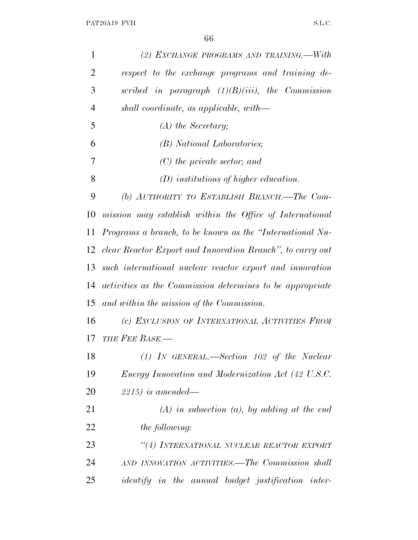| 1              | (2) EXCHANGE PROGRAMS AND TRAINING.—With                         |
|----------------|------------------------------------------------------------------|
| $\overline{2}$ | respect to the exchange programs and training de-                |
| 3              | scribed in paragraph $(1)(B)(iii)$ , the Commission              |
| $\overline{4}$ | shall coordinate, as applicable, with—                           |
| 5              | $(A)$ the Secretary;                                             |
| 6              | (B) National Laboratories;                                       |
| 7              | $(C)$ the private sector; and                                    |
| 8              | $(D)$ institutions of higher education.                          |
| 9              | (b) AUTHORITY TO ESTABLISH BRANCH.—The Com-                      |
| 10             | mission may establish within the Office of International         |
| 11             | Programs a branch, to be known as the "International Nu-         |
|                | 12 clear Reactor Export and Innovation Branch", to carry out     |
| 13             | such international nuclear reactor export and innovation         |
| 14             | <i>activities as the Commission determines to be appropriate</i> |
| 15             | and within the mission of the Commission.                        |
| 16             | (c) EXCLUSION OF INTERNATIONAL ACTIVITIES FROM                   |
| 17             | THE FEE BASE.-                                                   |
| 18             | $(1)$ IN GENERAL.—Section 102 of the Nuclear                     |
| 19             | <i>Energy Innovation and Modernization Act (42 U.S.C.</i>        |
| 20             | $2215$ ) is amended—                                             |
| 21             | $(A)$ in subsection $(a)$ , by adding at the end                 |
| 22             | <i>the following:</i>                                            |
| 23             | "(4) INTERNATIONAL NUCLEAR REACTOR EXPORT                        |
| 24             | AND INNOVATION ACTIVITIES.—The Commission shall                  |
| 25             | <i>identify</i> in the annual budget justification inter-        |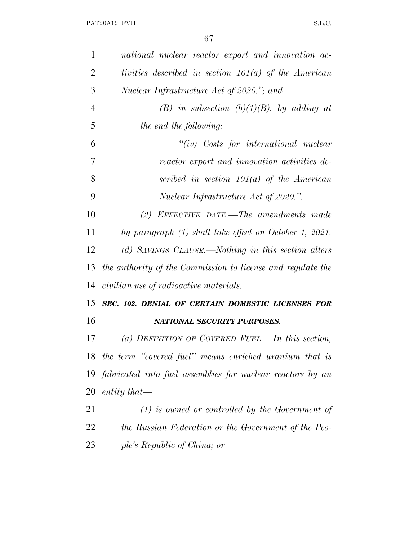| $\mathbf{1}$   | national nuclear reactor export and innovation ac-          |
|----------------|-------------------------------------------------------------|
| $\overline{2}$ | tivities described in section $101(a)$ of the American      |
| 3              | Nuclear Infrastructure Act of 2020."; and                   |
| $\overline{4}$ | (B) in subsection (b)(1)(B), by adding at                   |
| 5              | the end the following:                                      |
| 6              | $``(iv)$ Costs for international nuclear                    |
| 7              | reactor export and innovation activities de-                |
| 8              | scribed in section $101(a)$ of the American                 |
| 9              | Nuclear Infrastructure Act of 2020.".                       |
| 10             | (2) EFFECTIVE DATE.—The amendments made                     |
| 11             | by paragraph (1) shall take effect on October 1, 2021.      |
| 12             | (d) SAVINGS CLAUSE.—Nothing in this section alters          |
| 13             | the authority of the Commission to license and regulate the |
| 14             | civilian use of radioactive materials.                      |
| 15             | SEC. 102. DENIAL OF CERTAIN DOMESTIC LICENSES FOR           |
| 16             | <b>NATIONAL SECURITY PURPOSES.</b>                          |
| 17             | (a) DEFINITION OF COVERED FUEL.—In this section,            |
| 18             | the term "covered fuel" means enriched uranium that is      |
| 19             | fabricated into fuel assemblies for nuclear reactors by an  |
| 20             | $entity that \_\$                                           |
| 21             | $(1)$ is owned or controlled by the Government of           |
| 22             | the Russian Federation or the Government of the Peo-        |
| 23             | ple's Republic of China; or                                 |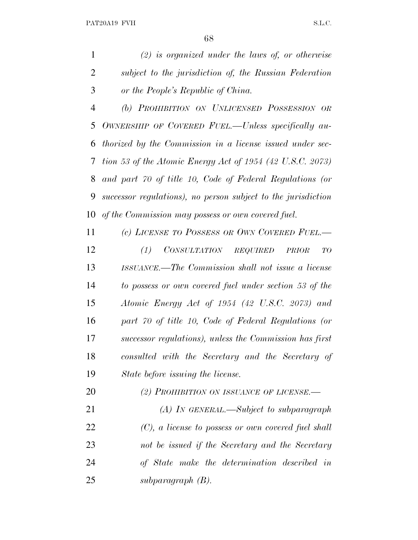|    | $(2)$ is organized under the laws of, or otherwise     |
|----|--------------------------------------------------------|
| 2  | subject to the jurisdiction of, the Russian Federation |
| -3 | or the People's Republic of China.                     |

 *(b) PROHIBITION ON UNLICENSED POSSESSION OR OWNERSHIP OF COVERED FUEL.—Unless specifically au- thorized by the Commission in a license issued under sec- tion 53 of the Atomic Energy Act of 1954 (42 U.S.C. 2073) and part 70 of title 10, Code of Federal Regulations (or successor regulations), no person subject to the jurisdiction of the Commission may possess or own covered fuel.*

 *(c) LICENSE TO POSSESS OR OWN COVERED FUEL.— (1) CONSULTATION REQUIRED PRIOR TO ISSUANCE.—The Commission shall not issue a license to possess or own covered fuel under section 53 of the Atomic Energy Act of 1954 (42 U.S.C. 2073) and part 70 of title 10, Code of Federal Regulations (or successor regulations), unless the Commission has first consulted with the Secretary and the Secretary of State before issuing the license.*

*(2) PROHIBITION ON ISSUANCE OF LICENSE.—*

 *(A) IN GENERAL.—Subject to subparagraph (C), a license to possess or own covered fuel shall not be issued if the Secretary and the Secretary of State make the determination described in subparagraph (B).*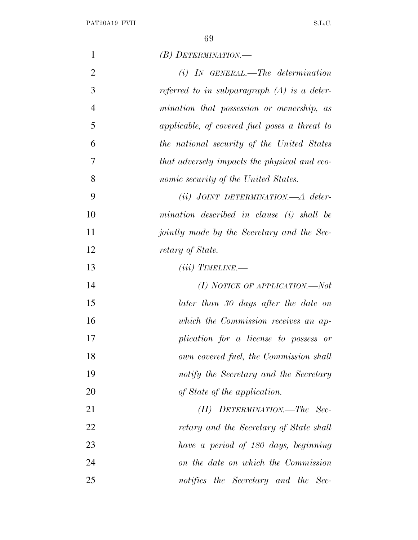| $\mathbf{1}$   | (B) DETERMINATION.—                           |
|----------------|-----------------------------------------------|
| $\overline{2}$ | $(i)$ IN GENERAL.—The determination           |
| 3              | referred to in subparagraph $(A)$ is a deter- |
| $\overline{4}$ | mination that possession or ownership, as     |
| 5              | applicable, of covered fuel poses a threat to |
| 6              | the national security of the United States    |
| 7              | that adversely impacts the physical and eco-  |
| 8              | nomic security of the United States.          |
| 9              | $(ii)$ JOINT DETERMINATION.—A deter-          |
| 10             | mination described in clause (i) shall be     |
| 11             | jointly made by the Secretary and the Sec-    |
| 12             | <i>retary of State.</i>                       |
| 13             | $(iii)$ TIMELINE.—                            |
| 14             | (I) NOTICE OF APPLICATION.—Not                |
| 15             | later than 30 days after the date on          |
| 16             | which the Commission receives an ap-          |
| 17             | plication for a license to possess or         |
| 18             | own covered fuel, the Commission shall        |
| 19             | notify the Secretary and the Secretary        |
| 20             | of State of the application.                  |
| 21             | $(II)$ DETERMINATION.—The Sec-                |
| 22             | retary and the Secretary of State shall       |
| 23             | have a period of 180 days, beginning          |
| 24             | on the date on which the Commission           |
| 25             | notifies the Secretary and the Sec-           |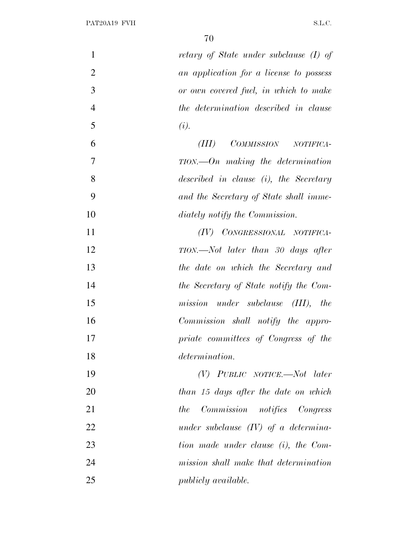| $\mathbf{1}$   | retary of State under subclause (I) of         |
|----------------|------------------------------------------------|
| $\overline{2}$ | an application for a license to possess        |
| 3              | or own covered fuel, in which to make          |
| $\overline{4}$ | the determination described in clause          |
| 5              | (i).                                           |
| 6              | COMMISSION NOTIFICA-<br>(III)                  |
| $\overline{7}$ | $TION. \text{---} On$ making the determination |
| 8              | described in clause (i), the Secretary         |
| 9              | and the Secretary of State shall imme-         |
| 10             | diately notify the Commission.                 |
| 11             | CONGRESSIONAL NOTIFICA-<br>(IV)                |
| 12             | $TION.$ —Not later than 30 days after          |
| 13             | the date on which the Secretary and            |
| 14             | the Secretary of State notify the Com-         |
| 15             | $mission$ under subclause $(III)$ , the        |
| 16             | Commission shall notify the appro-             |
| 17             | priate committees of Congress of the           |
| 18             | determination.                                 |
| 19             | $(V)$ PUBLIC NOTICE.—Not later                 |
| 20             | than 15 days after the date on which           |
| 21             | Commission notifies Congress<br>the            |
| 22             | under subclause $(IV)$ of a determina-         |
| 23             | tion made under clause (i), the Com-           |
| 24             | mission shall make that determination          |
| 25             | <i>publicly available.</i>                     |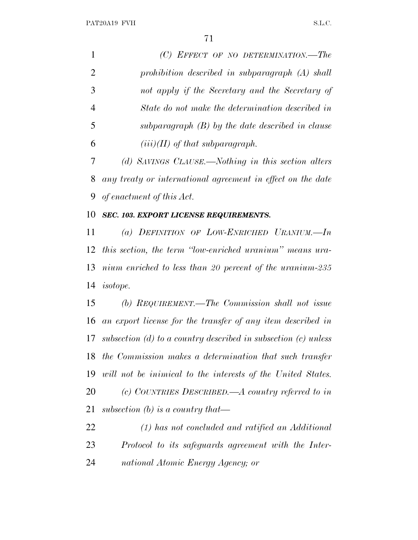| $\mathbf{1}$   | (C) EFFECT OF NO DETERMINATION.-The                            |
|----------------|----------------------------------------------------------------|
| $\overline{2}$ | prohibition described in subparagraph $(A)$ shall              |
| 3              | not apply if the Secretary and the Secretary of                |
| $\overline{4}$ | State do not make the determination described in               |
| 5              | subparagraph $(B)$ by the date described in clause             |
| 6              | $(iii)(II)$ of that subparagraph.                              |
| 7              | (d) SAVINGS CLAUSE.—Nothing in this section alters             |
| 8              | any treaty or international agreement in effect on the date    |
| 9              | of enactment of this Act.                                      |
| 10             | SEC. 103. EXPORT LICENSE REQUIREMENTS.                         |
| 11             | (a) DEFINITION OF LOW-ENRICHED URANIUM.--In                    |
| 12             | this section, the term "low-enriched uranium" means ura-       |
| 13             | nium enriched to less than 20 percent of the uranium-235       |
|                | 14 <i>isotope</i> .                                            |
| 15             | (b) REQUIREMENT.—The Commission shall not issue                |
| 16             | an export license for the transfer of any item described in    |
| 17             | subsection (d) to a country described in subsection (c) unless |
| 18             | the Commission makes a determination that such transfer        |
| 19             | will not be inimical to the interests of the United States.    |
| 20             | (c) COUNTRIES DESCRIBED.—A country referred to in              |
| 21             | subsection (b) is a country that—                              |
| 22             | (1) has not concluded and ratified an Additional               |
| 23             | Protocol to its safeguards agreement with the Inter-           |
|                |                                                                |

*national Atomic Energy Agency; or*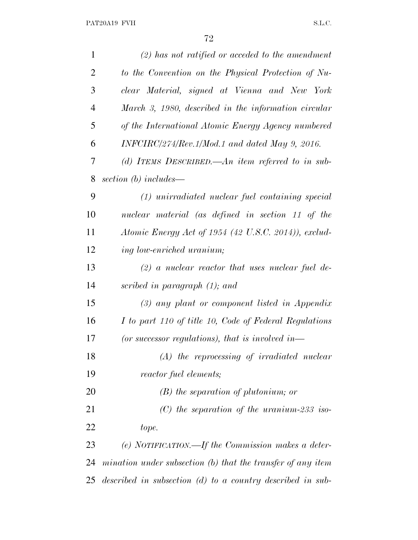| 1              | $(2)$ has not ratified or acceded to the amendment            |
|----------------|---------------------------------------------------------------|
| $\overline{2}$ | to the Convention on the Physical Protection of Nu-           |
| 3              | clear Material, signed at Vienna and New York                 |
| 4              | March 3, 1980, described in the information circular          |
| 5              | of the International Atomic Energy Agency numbered            |
| 6              | $INFCIRC/274/Rev.1/Mod.1$ and dated May 9, 2016.              |
| 7              | (d) ITEMS DESCRIBED.—An item referred to in sub-              |
| 8              | section $(b)$ includes—                                       |
| 9              | $(1)$ unirradiated nuclear fuel containing special            |
| 10             | nuclear material (as defined in section 11 of the             |
| 11             | Atomic Energy Act of 1954 (42 U.S.C. 2014)), exclud-          |
| 12             | ing low-enriched uranium;                                     |
| 13             | $(2)$ a nuclear reactor that uses nuclear fuel de-            |
| 14             | scribed in paragraph (1); and                                 |
| 15             | $(3)$ any plant or component listed in Appendix               |
| 16             | I to part 110 of title 10, Code of Federal Regulations        |
| 17             | (or successor regulations), that is involved in-              |
| 18             | $(A)$ the reprocessing of irradiated nuclear                  |
| 19             | reactor fuel elements;                                        |
| 20             | $(B)$ the separation of plutonium; or                         |
| 21             | $(C)$ the separation of the uranium-233 iso-                  |
| 22             | tope.                                                         |
| 23             | (e) NOTIFICATION.—If the Commission makes a deter-            |
| 24             | mination under subsection $(b)$ that the transfer of any item |
| 25             | described in subsection $(d)$ to a country described in sub-  |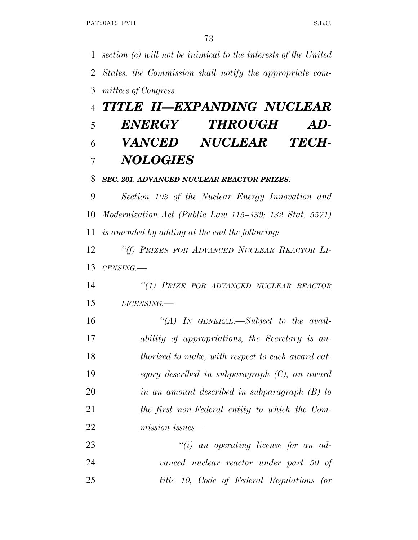*section (c) will not be inimical to the interests of the United States, the Commission shall notify the appropriate com- mittees of Congress. TITLE II—EXPANDING NUCLEAR*

## *ENERGY THROUGH AD- VANCED NUCLEAR TECH-NOLOGIES*

## *SEC. 201. ADVANCED NUCLEAR REACTOR PRIZES.*

 *Section 103 of the Nuclear Energy Innovation and Modernization Act (Public Law 115–439; 132 Stat. 5571) is amended by adding at the end the following:*

 *''(f) PRIZES FOR ADVANCED NUCLEAR REACTOR LI-CENSING.—*

 *''(1) PRIZE FOR ADVANCED NUCLEAR REACTOR LICENSING.—*

 *''(A) IN GENERAL.—Subject to the avail- ability of appropriations, the Secretary is au- thorized to make, with respect to each award cat- egory described in subparagraph (C), an award in an amount described in subparagraph (B) to the first non-Federal entity to which the Com-mission issues—*

 *''(i) an operating license for an ad- vanced nuclear reactor under part 50 of title 10, Code of Federal Regulations (or*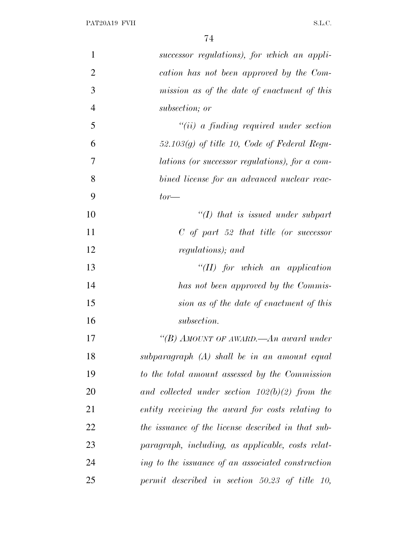| $\mathbf{1}$   | successor regulations), for which an appli-        |
|----------------|----------------------------------------------------|
| $\overline{2}$ | cation has not been approved by the Com-           |
| 3              | mission as of the date of enactment of this        |
| $\overline{4}$ | subsection; or                                     |
| 5              | $``(ii)$ a finding required under section          |
| 6              | $52.103(g)$ of title 10, Code of Federal Regu-     |
| 7              | lations (or successor regulations), for a com-     |
| 8              | bined license for an advanced nuclear reac-        |
| 9              | $tor$ —                                            |
| 10             | $\lq (I)$ that is issued under subpart             |
| 11             | $C$ of part 52 that title (or successor            |
| 12             | regulations); and                                  |
| 13             | "(II) for which an application                     |
| 14             | has not been approved by the Commis-               |
| 15             | sion as of the date of enactment of this           |
| 16             | subsection.                                        |
| 17             | "(B) AMOUNT OF AWARD.—An award under               |
| 18             | subparagraph $(A)$ shall be in an amount equal     |
| 19             | to the total amount assessed by the Commission     |
| 20             | and collected under section $102(b)(2)$ from the   |
| 21             | entity receiving the award for costs relating to   |
| 22             | the issuance of the license described in that sub- |
| 23             | paragraph, including, as applicable, costs relat-  |
| 24             | ing to the issuance of an associated construction  |
| 25             | permit described in section 50.23 of title 10,     |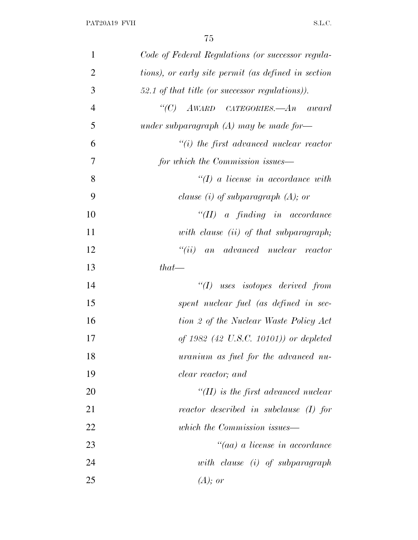| 1              | Code of Federal Regulations (or successor regula-   |
|----------------|-----------------------------------------------------|
| $\overline{2}$ | tions), or early site permit (as defined in section |
| 3              | 52.1 of that title (or successor regulations)).     |
| $\overline{4}$ | "(C) $AWARD$ $CATEGORIES. - An$<br>award            |
| 5              | under subparagraph $(A)$ may be made for-           |
| 6              | $"(i)$ the first advanced nuclear reactor           |
| 7              | for which the Commission issues—                    |
| 8              | $\lq (I)$ a license in accordance with              |
| 9              | clause (i) of subparagraph $(A)$ ; or               |
| 10             | $\lq \lq (II)$ a finding in accordance              |
| 11             | with clause (ii) of that subparagraph;              |
| 12             | $``(ii)$ an advanced nuclear reactor                |
| 13             | $that$ —                                            |
| 14             | $"(1)$ uses isotopes derived from                   |
| 15             | spent nuclear fuel (as defined in sec-              |
| 16             | tion 2 of the Nuclear Waste Policy Act              |
| 17             | of 1982 $(42 \text{ U.S.C. } 10101)$ or depleted    |
| 18             | uranium as fuel for the advanced nu-                |
| 19             | clear reactor; and                                  |
| 20             | $H(H)$ is the first advanced nuclear                |
| 21             | reactor described in subclause $(I)$ for            |
| 22             | which the Commission issues—                        |
| 23             | $\lq (aa)$ a license in accordance                  |
| 24             | $with \; clause \; (i) \; of \; subparagraph$       |
| 25             | $(A);$ or                                           |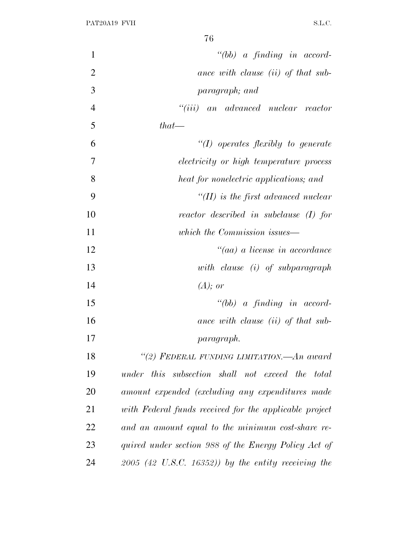| $\mathbf{1}$   | $" (bb) \alpha$ finding in accord-                      |
|----------------|---------------------------------------------------------|
| $\overline{2}$ | ance with clause (ii) of that sub-                      |
| 3              | paragraph; and                                          |
| $\overline{4}$ | $``(iii)$ an advanced nuclear reactor                   |
| 5              | $that$ —                                                |
| 6              | $\lq (I)$ operates flexibly to generate                 |
| 7              | <i>electricity</i> or high temperature process          |
| 8              | heat for nonelectric applications; and                  |
| 9              | $\lq (II)$ is the first advanced nuclear                |
| 10             | reactor described in subclause (I) for                  |
| 11             | which the Commission issues—                            |
| 12             | $\lq\lq (aa)$ a license in accordance                   |
| 13             | with clause (i) of subparagraph                         |
| 14             | $(A);$ or                                               |
| 15             | $\degree$ (bb) a finding in accord-                     |
| 16             | ance with clause (ii) of that sub-                      |
| 17             | <i>paragraph.</i>                                       |
| 18             | "(2) FEDERAL FUNDING LIMITATION. An award               |
| 19             | under this subsection shall not exceed the total        |
| 20             | amount expended (excluding any expenditures made        |
| 21             | with Federal funds received for the applicable project  |
| 22             | and an amount equal to the minimum cost-share re-       |
| 23             | quired under section 988 of the Energy Policy Act of    |
| 24             | $(2005)$ (42 U.S.C. 16352)) by the entity receiving the |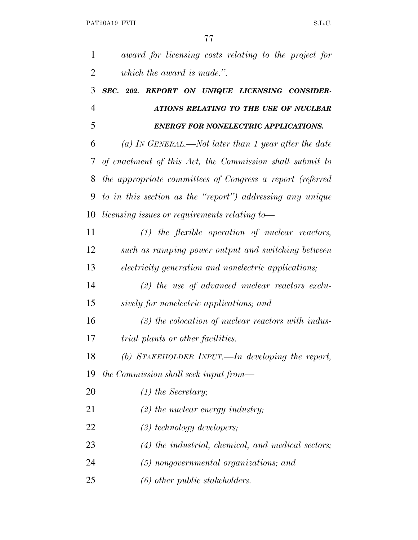| $\mathbf{1}$   | award for licensing costs relating to the project for     |
|----------------|-----------------------------------------------------------|
| $\overline{2}$ | which the award is made.".                                |
| 3              | SEC. 202. REPORT ON UNIQUE LICENSING CONSIDER-            |
| 4              | ATIONS RELATING TO THE USE OF NUCLEAR                     |
| 5              | <b>ENERGY FOR NONELECTRIC APPLICATIONS.</b>               |
| 6              | (a) IN GENERAL.—Not later than 1 year after the date      |
| 7              | of enactment of this Act, the Commission shall submit to  |
| 8              | the appropriate committees of Congress a report (referred |
| 9              | to in this section as the "report") addressing any unique |
| 10             | <i>licensing issues or requirements relating to</i> —     |
| 11             | $(1)$ the flexible operation of nuclear reactors,         |
| 12             | such as ramping power output and switching between        |
| 13             | electricity generation and nonelectric applications;      |
| 14             | $(2)$ the use of advanced nuclear reactors exclu-         |
| 15             | sively for nonelectric applications; and                  |
| 16             | $(3)$ the colocation of nuclear reactors with indus-      |
| 17             | <i>trial plants or other facilities.</i>                  |
| 18             | (b) STAKEHOLDER INPUT.—In developing the report,          |
| 19             | the Commission shall seek input from—                     |
| 20             | $(1)$ the Secretary;                                      |
| 21             | $(2)$ the nuclear energy industry;                        |
| 22             | $(3)$ technology developers;                              |
| 23             | $(4)$ the industrial, chemical, and medical sectors;      |
| 24             | $(5)$ nongovernmental organizations; and                  |
| 25             | $(6)$ other public stakeholders.                          |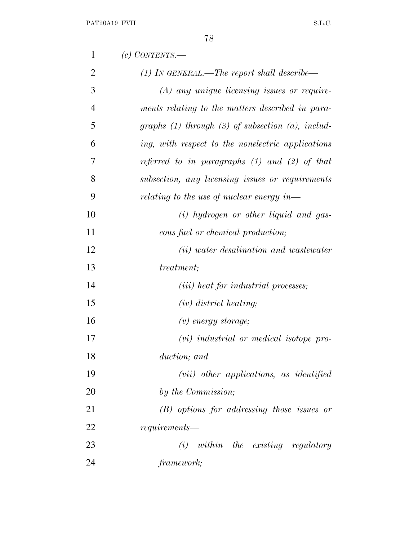| 1              | $(c)$ CONTENTS.—                                         |
|----------------|----------------------------------------------------------|
| $\overline{2}$ | (1) IN GENERAL.—The report shall describe—               |
| 3              | $(A)$ any unique licensing issues or require-            |
| $\overline{4}$ | ments relating to the matters described in para-         |
| 5              | graphs $(1)$ through $(3)$ of subsection $(a)$ , includ- |
| 6              | ing, with respect to the nonelectric applications        |
| 7              | referred to in paragraphs $(1)$ and $(2)$ of that        |
| 8              | subsection, any licensing issues or requirements         |
| 9              | <i>relating to the use of nuclear energy in—</i>         |
| 10             | $(i)$ hydrogen or other liquid and gas-                  |
| 11             | eous fuel or chemical production;                        |
| 12             | (ii) water desalination and wastewater                   |
| 13             | treatment;                                               |
| 14             | ( <i>iii</i> ) heat for industrial processes;            |
| 15             | $(iv)$ district heating;                                 |
| 16             | $(v)$ energy storage;                                    |
| 17             | $(vi)$ industrial or medical isotope pro-                |
| 18             | duction; and                                             |
| 19             | $(vii)$ other applications, as identified                |
| 20             | by the Commission;                                       |
| 21             | $(B)$ options for addressing those issues or             |
| 22             | requirements                                             |
| 23             | $(i)$ within the existing regulatory                     |
| 24             | framework;                                               |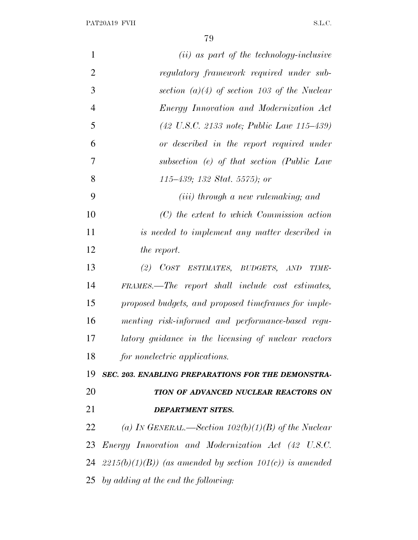| $\mathbf{1}$   | $(ii)$ as part of the technology-inclusive                            |
|----------------|-----------------------------------------------------------------------|
| $\overline{2}$ | regulatory framework required under sub-                              |
| 3              | section $(a)(4)$ of section 103 of the Nuclear                        |
| $\overline{4}$ | <i>Energy Innovation and Modernization Act</i>                        |
| 5              | $(42 \text{ U.S.C. } 2133 \text{ note}; \text{ Public Law } 115-439)$ |
| 6              | or described in the report required under                             |
| $\overline{7}$ | subsection (e) of that section (Public Law                            |
| 8              | 115–439; 132 Stat. 5575); or                                          |
| 9              | ( <i>iii</i> ) through a new rulemaking; and                          |
| 10             | $(C)$ the extent to which Commission action                           |
| 11             | is needed to implement any matter described in                        |
| 12             | the report.                                                           |
| 13             | (2) COST ESTIMATES, BUDGETS, AND<br><i>TIME-</i>                      |
| 14             | FRAMES.—The report shall include cost estimates,                      |
| 15             | proposed budgets, and proposed timeframes for imple-                  |
| 16             | menting risk-informed and performance-based regu-                     |
| 17             | latory guidance in the licensing of nuclear reactors                  |
| 18             | for nonelectric applications.                                         |
| 19             | SEC. 203. ENABLING PREPARATIONS FOR THE DEMONSTRA-                    |
| 20             | TION OF ADVANCED NUCLEAR REACTORS ON                                  |
| 21             | <b>DEPARTMENT SITES.</b>                                              |
| 22             | (a) IN GENERAL.—Section $102(b)(1)(B)$ of the Nuclear                 |
| 23             | <i>Energy Innovation and Modernization Act (42 U.S.C.</i>             |
|                | 24 $2215(b)(1)(B)$ (as amended by section 101(c)) is amended          |
| 25             | by adding at the end the following:                                   |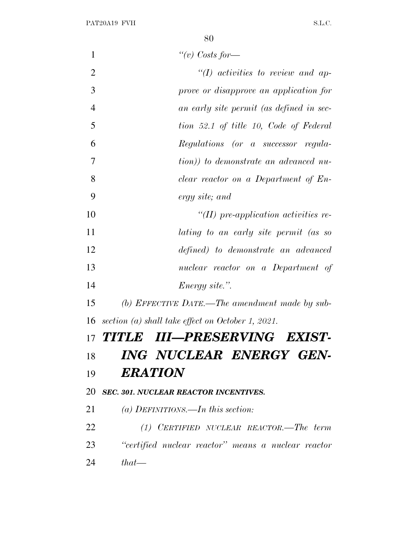| $\mathbf{1}$   | "(v) Costs for-                                     |
|----------------|-----------------------------------------------------|
| $\overline{2}$ | $\lq (I)$ activities to review and ap-              |
| 3              | prove or disapprove an application for              |
| $\overline{4}$ | an early site permit (as defined in sec-            |
| 5              | tion 52.1 of title 10, Code of Federal              |
| 6              | Regulations (or a successor regula-                 |
| 7              | tion)) to demonstrate an advanced nu-               |
| 8              | clear reactor on a Department of En-                |
| 9              | ergy site; and                                      |
| 10             | $\lq$ (II) pre-application activities re-           |
| 11             | lating to an early site permit (as so               |
| 12             | defined) to demonstrate an advanced                 |
| 13             | nuclear reactor on a Department of                  |
| 14             | <i>Energy site.</i> ".                              |
| 15             | (b) EFFECTIVE DATE.—The amendment made by sub-      |
| 16             | section (a) shall take effect on October 1, 2021.   |
| 17             | III—PRESERVING EXIST<br><b>TITLE</b>                |
| 18             | ING NUCLEAR ENERGY GEN-                             |
| 19             | <b>ERATION</b>                                      |
| 20             | SEC. 301. NUCLEAR REACTOR INCENTIVES.               |
| 21             | (a) DEFINITIONS.—In this section:                   |
| 22             | $(1)$ CERTIFIED NUCLEAR REACTOR.—The term           |
| 23             | "certified nuclear reactor" means a nuclear reactor |
| 24             | $that$ —                                            |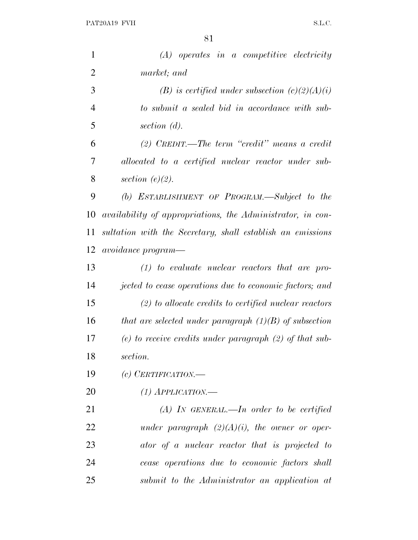| $\mathbf{1}$   | $(A)$ operates in a competitive electricity                |
|----------------|------------------------------------------------------------|
| $\overline{2}$ | market; and                                                |
| 3              | (B) is certified under subsection $(c)(2)(A)(i)$           |
| $\overline{4}$ | to submit a sealed bid in accordance with sub-             |
| 5              | section $(d)$ .                                            |
| 6              | (2) CREDIT.—The term "credit" means a credit               |
| 7              | allocated to a certified nuclear reactor under sub-        |
| 8              | section $(e)(2)$ .                                         |
| 9              | (b) ESTABLISHMENT OF PROGRAM.—Subject to the               |
| 10             | availability of appropriations, the Administrator, in con- |
| 11             | sultation with the Secretary, shall establish an emissions |
| 12             | avoidance program—                                         |
| 13             | $(1)$ to evaluate nuclear reactors that are pro-           |
| 14             | jected to cease operations due to economic factors; and    |
| 15             | $(2)$ to allocate credits to certified nuclear reactors    |
| 16             | that are selected under paragraph $(1)(B)$ of subsection   |
| 17             | (e) to receive credits under paragraph $(2)$ of that sub-  |
| 18             | section.                                                   |
| 19             | (c) CERTIFICATION.—                                        |
| 20             | $(1)$ APPLICATION.                                         |
| 21             | $(A)$ IN GENERAL.—In order to be certified                 |
| 22             | under paragraph $(2)(A)(i)$ , the owner or oper-           |
| 23             | ator of a nuclear reactor that is projected to             |
| 24             | cease operations due to economic factors shall             |
| 25             | submit to the Administrator an application at              |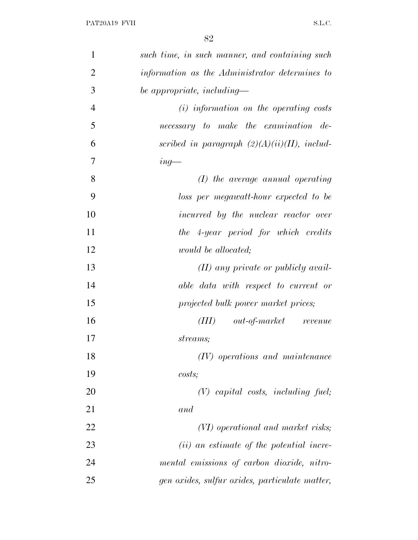| $\mathbf{1}$   | such time, in such manner, and containing such    |
|----------------|---------------------------------------------------|
| $\overline{2}$ | information as the Administrator determines to    |
| 3              | be appropriate, including—                        |
| $\overline{4}$ | $(i)$ information on the operating costs          |
| 5              | necessary to make the examination de-             |
| 6              | scribed in paragraph $(2)(A)(ii)(II)$ , includ-   |
| 7              | $ing$ —                                           |
| 8              | $(I)$ the average annual operating                |
| 9              | loss per megawatt-hour expected to be             |
| 10             | incurred by the nuclear reactor over              |
| 11             | the 4-year period for which credits               |
| 12             | <i>would be allocated;</i>                        |
| 13             | $(II)$ any private or publicly avail-             |
| 14             | able data with respect to current or              |
| 15             | projected bulk power market prices;               |
| 16             | (III) out-of-market revenue                       |
| 17             | <i>streams</i> ;                                  |
| 18             | (IV) operations and maintenance                   |
| 19             | costs                                             |
| 20             | $(V)$ capital costs, including fuel;              |
| 21             | and                                               |
| 22             | (VI) operational and market risks;                |
| 23             | ( <i>ii</i> ) an estimate of the potential incre- |
| 24             | mental emissions of carbon dioxide, nitro-        |
| 25             | gen oxides, sulfur oxides, particulate matter,    |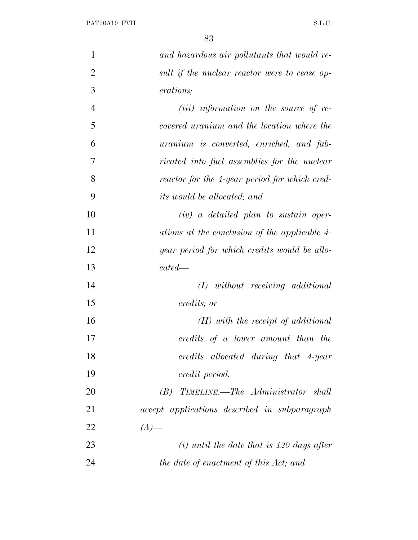| $\mathbf{1}$   | and hazardous air pollutants that would re-   |
|----------------|-----------------------------------------------|
| $\overline{2}$ | sult if the nuclear reactor were to cease op- |
| 3              | erations;                                     |
| $\overline{4}$ | $(iii)$ information on the source of re-      |
| 5              | covered uranium and the location where the    |
| 6              | uranium is converted, enriched, and fab-      |
| 7              | ricated into fuel assemblies for the nuclear  |
| 8              | reactor for the 4-year period for which cred- |
| 9              | <i>its would be allocated; and</i>            |
| 10             | $(iv)$ a detailed plan to sustain oper-       |
| 11             | ations at the conclusion of the applicable 4- |
| 12             | year period for which credits would be allo-  |
| 13             | cated                                         |
| 14             | $(I)$ without receiving additional            |
| 15             | credits; or                                   |
| 16             | $(II)$ with the receipt of additional         |
| 17             | credits of a lower amount than the            |
| 18             | credits allocated during that 4-year          |
| 19             | credit period.                                |
| 20             | $(B)$ TIMELINE.—The Administrator shall       |
| 21             | accept applications described in subparagraph |
| 22             | $(A)$ —                                       |
| 23             | $(i)$ until the date that is 120 days after   |
| 24             | the date of enactment of this Act; and        |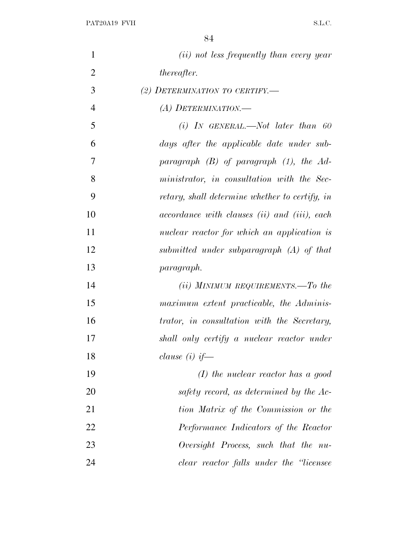| $\mathbf{1}$   | ( <i>ii</i> ) not less frequently than every year |
|----------------|---------------------------------------------------|
| $\overline{2}$ | <i>thereafter.</i>                                |
| 3              | (2) DETERMINATION TO CERTIFY.                     |
| $\overline{4}$ | (A) DETERMINATION.—                               |
| 5              | $(i)$ IN GENERAL.—Not later than 60               |
| 6              | days after the applicable date under sub-         |
| 7              | paragraph $(B)$ of paragraph $(1)$ , the Ad-      |
| 8              | ministrator, in consultation with the Sec-        |
| 9              | retary, shall determine whether to certify, in    |
| 10             | accordance with clauses (ii) and (iii), each      |
| 11             | nuclear reactor for which an application is       |
| 12             | submitted under subparagraph $(A)$ of that        |
| 13             | paragraph.                                        |
| 14             | $(ii)$ MINIMUM REQUIREMENTS.—To the               |
| 15             | maximum extent practicable, the Adminis-          |
| 16             | trator, in consultation with the Secretary,       |
| 17             | shall only certify a nuclear reactor under        |
| 18             | clause $(i)$ if —                                 |
| 19             | $(I)$ the nuclear reactor has a good              |
| 20             | safety record, as determined by the Ac-           |
| 21             | tion Matrix of the Commission or the              |
| 22             | Performance Indicators of the Reactor             |
| 23             | Oversight Process, such that the nu-              |
| 24             | clear reactor falls under the "licensee           |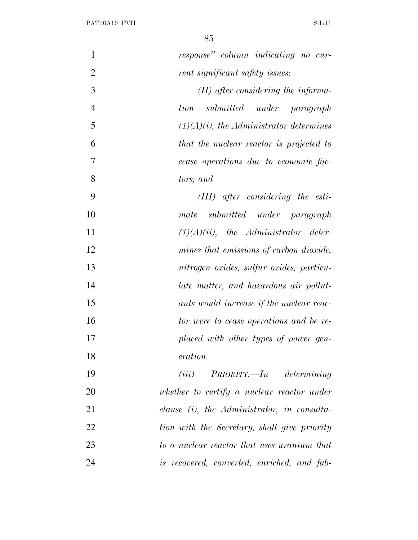| $\mathbf{1}$   | response" column indicating no cur-            |
|----------------|------------------------------------------------|
| $\overline{2}$ | rent significant safety issues;                |
| 3              | $(II)$ after considering the informa-          |
| $\overline{4}$ | submitted under paragraph<br>tion              |
| 5              | $(1)(A)(i)$ , the Administrator determines     |
| 6              | that the nuclear reactor is projected to       |
| $\overline{7}$ | cease operations due to economic fac-          |
| 8              | tors; and                                      |
| 9              | $(III)$ after considering the esti-            |
| 10             | mate submitted under paragraph                 |
| 11             | $(1)(A)(ii)$ , the Administrator deter-        |
| 12             | mines that emissions of carbon dioxide,        |
| 13             | nitrogen oxides, sulfur oxides, particu-       |
| 14             | late matter, and hazardous air pollut-         |
| 15             | ants would increase if the nuclear reac-       |
| 16             | tor were to cease operations and be re-        |
| 17             | placed with other types of power gen-          |
| 18             | eration.                                       |
| 19             | $(iii)$ PRIORITY.—In determining               |
| 20             | whether to certify a nuclear reactor under     |
| 21             | clause $(i)$ , the Administrator, in consulta- |
| 22             | tion with the Secretary, shall give priority   |
| 23             | to a nuclear reactor that uses uranium that    |
| 24             | is recovered, converted, enriched, and fab-    |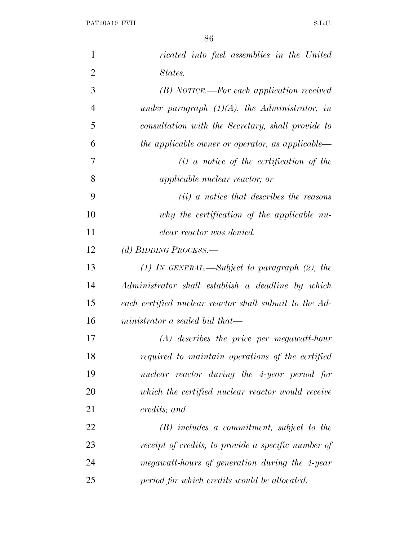| $\mathbf{1}$   | ricated into fuel assemblies in the United             |
|----------------|--------------------------------------------------------|
| $\overline{2}$ | States.                                                |
| 3              | (B) NOTICE.—For each application received              |
| $\overline{4}$ | under paragraph $(1)(A)$ , the Administrator, in       |
| 5              | consultation with the Secretary, shall provide to      |
| 6              | the applicable owner or operator, as applicable—       |
| 7              | $(i)$ a notice of the certification of the             |
| 8              | <i>applicable nuclear reactor; or</i>                  |
| 9              | $(ii)$ a notice that describes the reasons             |
| 10             | why the certification of the applicable nu-            |
| 11             | clear reactor was denied.                              |
| 12             | (d) BIDDING PROCESS.—                                  |
| 13             | (1) IN GENERAL.—Subject to paragraph $(2)$ , the       |
| 14             | Administrator shall establish a deadline by which      |
| 15             | each certified nuclear reactor shall submit to the Ad- |
| 16             | ministrator a sealed bid that—                         |
| 17             | $(A)$ describes the price per megawatt-hour            |
| 18             | required to maintain operations of the certified       |
| 19             | nuclear reactor during the 4-year period for           |
| 20             | which the certified nuclear reactor would receive      |
| 21             | credits; and                                           |
| 22             | $(B)$ includes a commitment, subject to the            |
| 23             | receipt of credits, to provide a specific number of    |
| 24             | megawatt-hours of generation during the 4-year         |
| 25             | period for which credits would be allocated.           |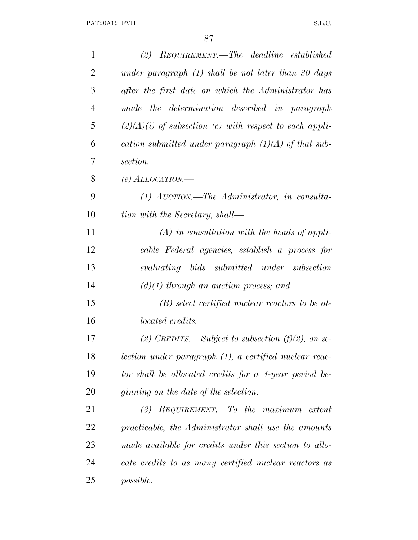| $\mathbf{1}$   | $\it REQUIREMENT.$ The deadline established<br>(2)        |
|----------------|-----------------------------------------------------------|
| $\overline{2}$ | under paragraph $(1)$ shall be not later than 30 days     |
| 3              | after the first date on which the Administrator has       |
| $\overline{4}$ | made the determination described in paragraph             |
| 5              | $(2)(A)(i)$ of subsection (c) with respect to each appli- |
| 6              | cation submitted under paragraph $(1)(A)$ of that sub-    |
| 7              | section.                                                  |
| 8              | (e) $ALLOCATION$ —                                        |
| 9              | $(1)$ AUCTION.—The Administrator, in consulta-            |
| 10             | tion with the Secretary, shall—                           |
| 11             | $(A)$ in consultation with the heads of appli-            |
| 12             | cable Federal agencies, establish a process for           |
| 13             | evaluating bids submitted under subsection                |
| 14             | $(d)(1)$ through an auction process; and                  |
| 15             | $(B)$ select certified nuclear reactors to be al-         |
| 16             | <i>located credits.</i>                                   |
| 17             | (2) CREDITS.—Subject to subsection (f)(2), on se-         |
| 18             | lection under paragraph (1), a certified nuclear reac-    |
| 19             | tor shall be allocated credits for a 4-year period be-    |
| 20             | ginning on the date of the selection.                     |
| 21             | REQUIREMENT.—To the maximum extent<br>(3)                 |
| 22             | practicable, the Administrator shall use the amounts      |
| 23             | made available for credits under this section to allo-    |
| 24             | cate credits to as many certified nuclear reactors as     |
| 25             | <i>possible.</i>                                          |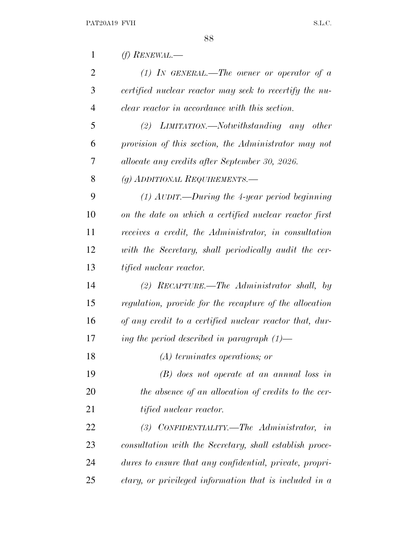| $\mathbf{1}$   | (f) RENEWAL.—                                           |
|----------------|---------------------------------------------------------|
| $\overline{2}$ | (1) In GENERAL.—The owner or operator of a              |
| 3              | certified nuclear reactor may seek to recertify the nu- |
| $\overline{4}$ | clear reactor in accordance with this section.          |
| 5              | (2) LIMITATION.—Notwithstanding any other               |
| 6              | provision of this section, the Administrator may not    |
| 7              | allocate any credits after September 30, 2026.          |
| 8              | (g) ADDITIONAL REQUIREMENTS.-                           |
| 9              | $(1)$ AUDIT.—During the 4-year period beginning         |
| 10             | on the date on which a certified nuclear reactor first  |
| 11             | receives a credit, the Administrator, in consultation   |
| 12             | with the Secretary, shall periodically audit the cer-   |
| 13             | <i>tified nuclear reactor.</i>                          |
| 14             | (2) $RECAPTURE$ . The Administrator shall, by           |
| 15             | regulation, provide for the recapture of the allocation |
| 16             | of any credit to a certified nuclear reactor that, dur- |
| 17             | ing the period described in paragraph $(1)$ —           |
| 18             | $(A)$ terminates operations; or                         |
| 19             | (B) does not operate at an annual loss in               |

 *(B) does not operate at an annual loss in the absence of an allocation of credits to the cer-tified nuclear reactor.*

 *(3) CONFIDENTIALITY.—The Administrator, in consultation with the Secretary, shall establish proce- dures to ensure that any confidential, private, propri-etary, or privileged information that is included in a*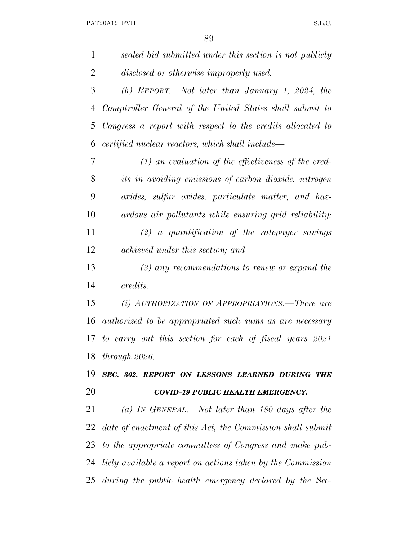| $\mathbf{1}$   | sealed bid submitted under this section is not publicly        |
|----------------|----------------------------------------------------------------|
| $\overline{2}$ | disclosed or otherwise improperly used.                        |
| 3              | $(h)$ REPORT.—Not later than January 1, 2024, the              |
| 4              | Comptroller General of the United States shall submit to       |
| 5              | Congress a report with respect to the credits allocated to     |
| 6              | certified nuclear reactors, which shall include—               |
| 7              | $(1)$ an evaluation of the effectiveness of the cred-          |
| 8              | its in avoiding emissions of carbon dioxide, nitrogen          |
| 9              | oxides, sulfur oxides, particulate matter, and haz-            |
| 10             | ardous air pollutants while ensuring grid reliability;         |
| 11             | $(2)$ a quantification of the ratepayer savings                |
| 12             | achieved under this section; and                               |
| 13             | $(3)$ any recommendations to renew or expand the               |
| 14             | credits.                                                       |
| 15             | $(i)$ AUTHORIZATION OF APPROPRIATIONS.—There are               |
| 16             | authorized to be appropriated such sums as are necessary       |
| 17             | to carry out this section for each of fiscal years 2021        |
|                | 18 <i>through 2026</i> .                                       |
| 19             | SEC. 302. REPORT ON LESSONS LEARNED DURING THE                 |
| 20             | COVID-19 PUBLIC HEALTH EMERGENCY.                              |
| 21             | (a) IN GENERAL.—Not later than 180 days after the              |
| 22             | date of enactment of this Act, the Commission shall submit     |
| 23             | to the appropriate committees of Congress and make pub-        |
|                | 24 licly available a report on actions taken by the Commission |
|                | 25 during the public health emergency declared by the Sec-     |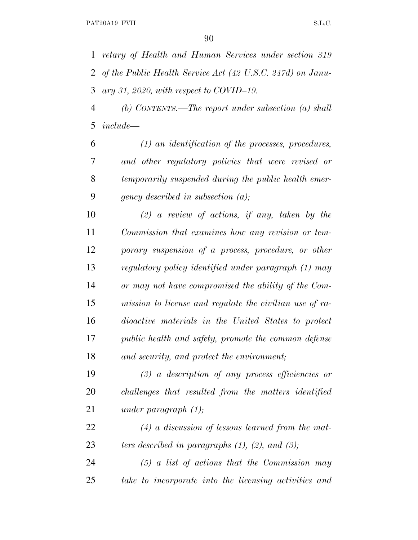*retary of Health and Human Services under section 319 of the Public Health Service Act (42 U.S.C. 247d) on Janu-ary 31, 2020, with respect to COVID–19.*

 *(b) CONTENTS.—The report under subsection (a) shall include—*

 *(1) an identification of the processes, procedures, and other regulatory policies that were revised or temporarily suspended during the public health emer-gency described in subsection (a);*

 *(2) a review of actions, if any, taken by the Commission that examines how any revision or tem- porary suspension of a process, procedure, or other regulatory policy identified under paragraph (1) may or may not have compromised the ability of the Com- mission to license and regulate the civilian use of ra- dioactive materials in the United States to protect public health and safety, promote the common defense and security, and protect the environment;*

 *(3) a description of any process efficiencies or challenges that resulted from the matters identified under paragraph (1);*

 *(4) a discussion of lessons learned from the mat-ters described in paragraphs (1), (2), and (3);*

 *(5) a list of actions that the Commission may take to incorporate into the licensing activities and*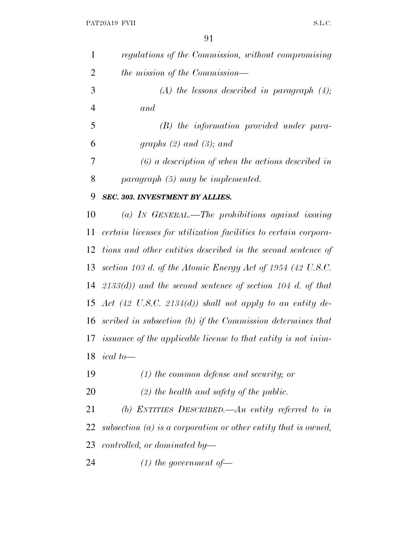| $\mathbf{1}$   | regulations of the Commission, without compromising                    |
|----------------|------------------------------------------------------------------------|
| $\overline{2}$ | <i>the mission of the Commission—</i>                                  |
| 3              | $(A)$ the lessons described in paragraph $(4)$ ;                       |
| $\overline{4}$ | and                                                                    |
| 5              | $(B)$ the information provided under para-                             |
| 6              | graphs $(2)$ and $(3)$ ; and                                           |
| 7              | $(6)$ a description of when the actions described in                   |
| 8              | $paragnph (5)$ may be implemented.                                     |
| 9              | SEC. 303. INVESTMENT BY ALLIES.                                        |
| 10             | (a) IN GENERAL.—The prohibitions against issuing                       |
| 11             | certain licenses for utilization facilities to certain corpora-        |
| 12             | tions and other entities described in the second sentence of           |
| 13             | section 103 d. of the Atomic Energy Act of 1954 (42 U.S.C.             |
| 14             | $(2133(d))$ and the second sentence of section 104 d. of that          |
|                | 15 Act $(42 \text{ U.S.C. } 2134(d))$ shall not apply to an entity de- |
|                | 16 scribed in subsection $(b)$ if the Commission determines that       |
|                | 17 issuance of the applicable license to that entity is not inim-      |
| 18             | $ical$ to —                                                            |
| 19             | $(1)$ the common defense and security; or                              |
| 20             | $(2)$ the health and safety of the public.                             |
| 21             | (b) ENTITIES DESCRIBED.—An entity referred to in                       |
| 22             | subsection $(a)$ is a corporation or other entity that is owned,       |
| 23             | controlled, or dominated by—                                           |
|                |                                                                        |

*(1) the government of—*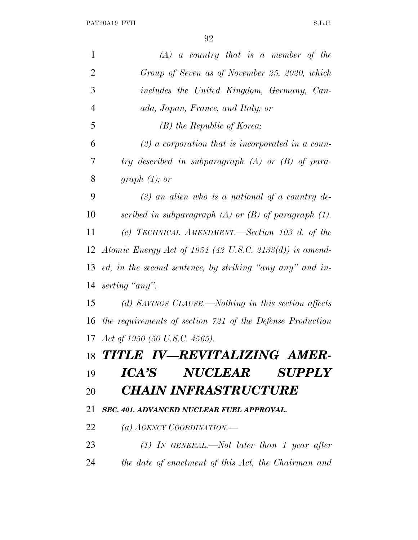| $\mathbf{1}$   | $(A)$ a country that is a member of the                      |
|----------------|--------------------------------------------------------------|
| $\overline{2}$ | Group of Seven as of November 25, 2020, which                |
| 3              | includes the United Kingdom, Germany, Can-                   |
| $\overline{4}$ | ada, Japan, France, and Italy; or                            |
| 5              | $(B)$ the Republic of Korea;                                 |
| 6              | $(2)$ a corporation that is incorporated in a coun-          |
| 7              | try described in subparagraph $(A)$ or $(B)$ of para-        |
| 8              | graph $(1)$ ; or                                             |
| 9              | $(3)$ an alien who is a national of a country de-            |
| 10             | scribed in subparagraph $(A)$ or $(B)$ of paragraph $(1)$ .  |
| 11             | (c) TECHNICAL AMENDMENT.—Section 103 d. of the               |
|                | 12 Atomic Energy Act of 1954 (42 U.S.C. 2133(d)) is amend-   |
|                | 13 ed, in the second sentence, by striking "any any" and in- |
| 14             | serting "any".                                               |
| 15             | (d) SAVINGS CLAUSE.—Nothing in this section affects          |
| 16             | the requirements of section 721 of the Defense Production    |
|                | 17 <i>Act of 1950 (50 U.S.C. 4565)</i> .                     |
|                | 18 TITLE IV—REVITALIZING AMER-                               |
| 19             | ICA'S NUCLEAR SUPPLY                                         |
| 20             | <b>CHAIN INFRASTRUCTURE</b>                                  |
| 21             | SEC. 401. ADVANCED NUCLEAR FUEL APPROVAL.                    |
| 22             | (a) AGENCY COORDINATION.—                                    |
| 23             | $(1)$ IN GENERAL.—Not later than 1 year after                |
| 24             | the date of enactment of this Act, the Chairman and          |
|                |                                                              |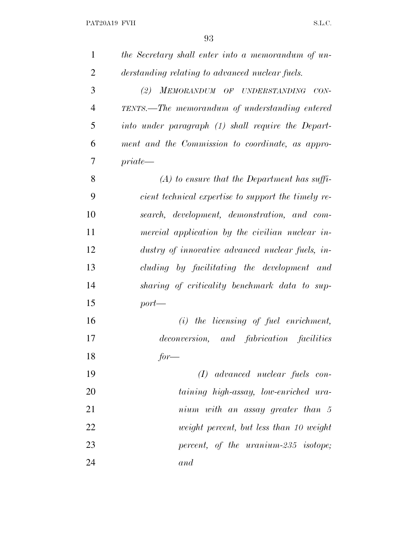| $\mathbf{1}$   | the Secretary shall enter into a memorandum of un-  |
|----------------|-----------------------------------------------------|
| $\overline{2}$ | derstanding relating to advanced nuclear fuels.     |
| 3              | MEMORANDUM OF UNDERSTANDING<br>(2)<br>CON-          |
| $\overline{4}$ | TENTS.—The memorandum of understanding entered      |
| 5              | into under paragraph (1) shall require the Depart-  |
| 6              | ment and the Commission to coordinate, as appro-    |
| 7              | $priate$ —                                          |
| 8              | $(A)$ to ensure that the Department has suffi-      |
| 9              | cient technical expertise to support the timely re- |
| 10             | search, development, demonstration, and com-        |
| 11             | mercial application by the civilian nuclear in-     |
| 12             | dustry of innovative advanced nuclear fuels, in-    |
| 13             | cluding by facilitating the development and         |
| 14             | sharing of criticality benchmark data to sup-       |
| 15             | $port-$                                             |
| 16             | $(i)$ the licensing of fuel enrichment,             |
| 17             | deconversion, and fabrication facilities            |
| 18             | $for-$                                              |
| 19             | $(I)$ advanced nuclear fuels con-                   |
| 20             | taining high-assay, low-enriched ura-               |
| 21             | nium with an assay greater than 5                   |
| 22             | weight percent, but less than 10 weight             |
| 23             | percent, of the uranium-235 isotope;                |
| 24             | and                                                 |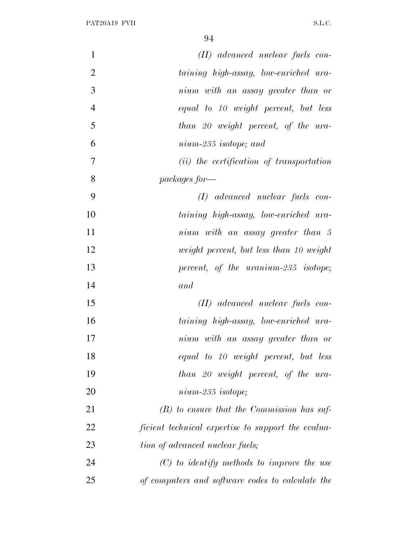| $\mathbf{1}$   | $(II)$ advanced nuclear fuels con-                 |
|----------------|----------------------------------------------------|
| $\overline{2}$ | taining high-assay, low-enriched ura-              |
| 3              | nium with an assay greater than or                 |
| $\overline{4}$ | equal to 10 weight percent, but less               |
| 5              | than 20 weight percent, of the ura-                |
| 6              | $nium-235$ isotope; and                            |
| 7              | (ii) the certification of transportation           |
| 8              | packages for-                                      |
| 9              | $(I)$ advanced nuclear fuels con-                  |
| 10             | taining high-assay, low-enriched ura-              |
| 11             | nium with an assay greater than 5                  |
| 12             | weight percent, but less than 10 weight            |
| 13             | percent, of the uranium-235 isotope;               |
| 14             | and                                                |
| 15             | $(II)$ advanced nuclear fuels con-                 |
| 16             | taining high-assay, low-enriched ura-              |
| 17             | nium with an assay greater than or                 |
| 18             | equal to 10 weight percent, but less               |
| 19             | than 20 weight percent, of the ura-                |
| 20             | $nium-235\ isotope;$                               |
| 21             | $(B)$ to ensure that the Commission has suf-       |
| 22             | ficient technical expertise to support the evalua- |
| 23             | tion of advanced nuclear fuels;                    |
| 24             | $(C)$ to identify methods to improve the use       |
| 25             | of computers and software codes to calculate the   |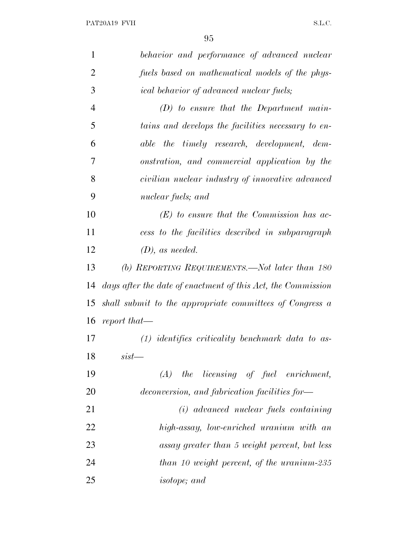| $\mathbf{1}$   | behavior and performance of advanced nuclear                 |
|----------------|--------------------------------------------------------------|
| $\overline{2}$ | fuels based on mathematical models of the phys-              |
| 3              | <i>ical behavior of advanced nuclear fuels;</i>              |
| $\overline{4}$ | $(D)$ to ensure that the Department main-                    |
| 5              | tains and develops the facilities necessary to en-           |
| 6              | able the timely research, development, dem-                  |
| 7              | onstration, and commercial application by the                |
| 8              | civilian nuclear industry of innovative advanced             |
| 9              | nuclear fuels; and                                           |
| 10             | $(E)$ to ensure that the Commission has ac-                  |
| 11             | cess to the facilities described in subparagraph             |
| 12             | $(D)$ , as needed.                                           |
| 13             | (b) REPORTING REQUIREMENTS.—Not later than 180               |
| 14             | days after the date of enactment of this Act, the Commission |
| 15             | shall submit to the appropriate committees of Congress a     |
| 16             | report that—                                                 |
| 17             | $(1)$ identifies criticality benchmark data to as-           |
| 18             | $sist$ —                                                     |
| 19             | the licensing of fuel enrichment,<br>(A)                     |
| 20             | deconversion, and fabrication facilities for-                |
| 21             | (i) advanced nuclear fuels containing                        |
| 22             | high-assay, low-enriched uranium with an                     |
| 23             | assay greater than 5 weight percent, but less                |
| 24             | than 10 weight percent, of the uranium-235                   |
| 25             | <i>isotope</i> ; and                                         |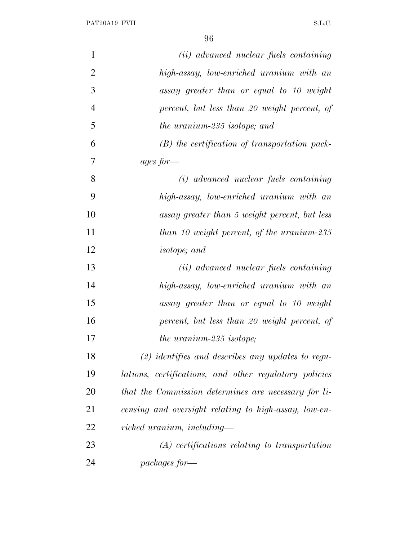| $\mathbf{1}$   | (ii) advanced nuclear fuels containing                 |
|----------------|--------------------------------------------------------|
| $\overline{2}$ | high-assay, low-enriched uranium with an               |
| 3              | assay greater than or equal to 10 weight               |
| $\overline{4}$ | percent, but less than 20 weight percent, of           |
| 5              | the uranium-235 isotope; and                           |
| 6              | $(B)$ the certification of transportation pack-        |
| 7              | ages for $-$                                           |
| 8              | (i) advanced nuclear fuels containing                  |
| 9              | high-assay, low-enriched uranium with an               |
| 10             | assay greater than 5 weight percent, but less          |
| 11             | than 10 weight percent, of the uranium-235             |
| 12             | <i>isotope</i> ; and                                   |
| 13             | (ii) advanced nuclear fuels containing                 |
| 14             | high-assay, low-enriched uranium with an               |
| 15             | assay greater than or equal to 10 weight               |
| 16             | percent, but less than 20 weight percent, of           |
| 17             | the uranium-235 isotope;                               |
| 18             | $(2)$ identifies and describes any updates to regu-    |
| 19             | lations, certifications, and other regulatory policies |
| 20             | that the Commission determines are necessary for li-   |
| 21             | censing and oversight relating to high-assay, low-en-  |
| 22             | riched uranium, including—                             |
| 23             | $(A)$ certifications relating to transportation        |
| 24             | $packages for -$                                       |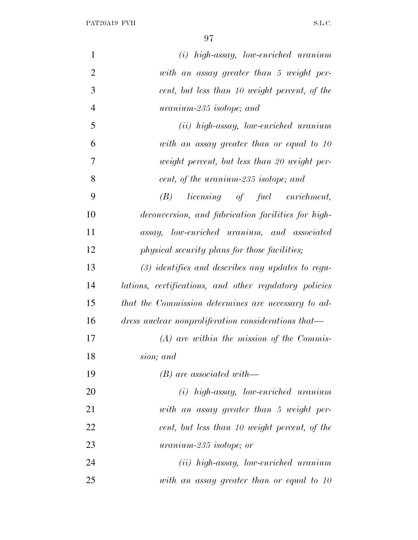| $\mathbf{1}$   | $(i)$ high-assay, low-enriched uranium                 |
|----------------|--------------------------------------------------------|
| $\overline{2}$ | with an assay greater than 5 weight per-               |
| 3              | cent, but less than 10 weight percent, of the          |
| $\overline{4}$ | uranium-235 isotope; and                               |
| 5              | (ii) high-assay, low-enriched uranium                  |
| 6              | with an assay greater than or equal to 10              |
| 7              | weight percent, but less than 20 weight per-           |
| 8              | cent, of the uranium-235 isotope; and                  |
| 9              | <i>licensing</i> of fuel enrichment,<br>(B)            |
| 10             | deconversion, and fabrication facilities for high-     |
| 11             | assay, low-enriched uranium, and associated            |
| 12             | <i>physical security plans for those facilities;</i>   |
| 13             | $(3)$ identifies and describes any updates to regu-    |
| 14             | lations, certifications, and other regulatory policies |
| 15             | that the Commission determines are necessary to ad-    |
| 16             | dress nuclear nonproliferation considerations that—    |
| 17             | $(A)$ are within the mission of the Commis-            |
| 18             | sion; and                                              |
| 19             | $(B)$ are associated with—                             |
| 20             | $(i)$ high-assay, low-enriched uranium                 |
| 21             | with an assay greater than 5 weight per-               |
| 22             | cent, but less than 10 weight percent, of the          |
| 23             | uranium-235 isotope; or                                |
| 24             | (ii) high-assay, low-enriched uranium                  |
| 25             | with an assay greater than or equal to 10              |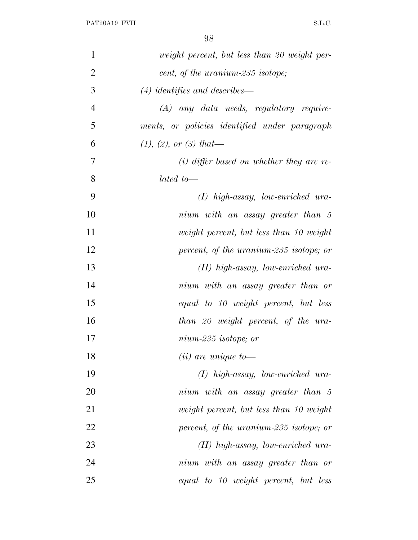| $\mathbf{1}$   | weight percent, but less than 20 weight per-  |
|----------------|-----------------------------------------------|
| $\overline{2}$ | cent, of the uranium-235 isotope;             |
| 3              | $(4)$ identifies and describes—               |
| $\overline{4}$ | $(A)$ any data needs, regulatory require-     |
| 5              | ments, or policies identified under paragraph |
| 6              | (1), (2), or (3) that                         |
| 7              | $(i)$ differ based on whether they are re-    |
| 8              | lated to                                      |
| 9              | $(I)$ high-assay, low-enriched ura-           |
| 10             | nium with an assay greater than 5             |
| 11             | weight percent, but less than 10 weight       |
| 12             | percent, of the uranium-235 isotope; or       |
| 13             | $(II)$ high-assay, low-enriched ura-          |
| 14             | nium with an assay greater than or            |
| 15             | equal to 10 weight percent, but less          |
| 16             | than 20 weight percent, of the ura-           |
| 17             | $nium-235$ isotope; or                        |
| 18             | $(ii)$ are unique to-                         |
| 19             | $(I)$ high-assay, low-enriched ura-           |
| 20             | nium with an assay greater than 5             |
| 21             | weight percent, but less than 10 weight       |
| 22             | percent, of the uranium-235 isotope; or       |
| 23             | $(II)$ high-assay, low-enriched ura-          |
| 24             | nium with an assay greater than or            |
| 25             | equal to 10 weight percent, but less          |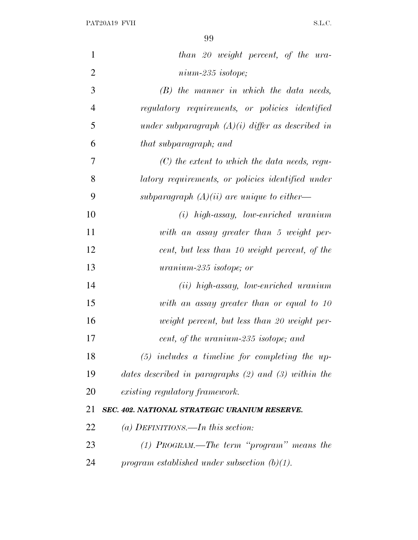| $\mathbf{1}$   | than 20 weight percent, of the ura-                      |
|----------------|----------------------------------------------------------|
| $\overline{2}$ | $nium-235\ isotope;$                                     |
| 3              | $(B)$ the manner in which the data needs,                |
| $\overline{4}$ | regulatory requirements, or policies identified          |
| 5              | under subparagraph $(A)(i)$ differ as described in       |
| 6              | that subparagraph; and                                   |
| 7              | $(C)$ the extent to which the data needs, regu-          |
| 8              | latory requirements, or policies identified under        |
| 9              | subparagraph $(A)(ii)$ are unique to either—             |
| 10             | $(i)$ high-assay, low-enriched uranium                   |
| 11             | with an assay greater than 5 weight per-                 |
| 12             | cent, but less than 10 weight percent, of the            |
| 13             | uranium-235 isotope; or                                  |
| 14             | $(ii)$ high-assay, low-enriched uranium                  |
| 15             | with an assay greater than or equal to 10                |
| 16             | weight percent, but less than 20 weight per-             |
| 17             | cent, of the uranium-235 isotope; and                    |
| 18             | $(5)$ includes a timeline for completing the up-         |
| 19             | dates described in paragraphs $(2)$ and $(3)$ within the |
| 20             | existing regulatory framework.                           |
| 21             | SEC. 402. NATIONAL STRATEGIC URANIUM RESERVE.            |
| 22             | (a) DEFINITIONS.—In this section:                        |
| 23             | $(1)$ PROGRAM.—The term "program" means the              |
| 24             | program established under subsection $(b)(1)$ .          |
|                |                                                          |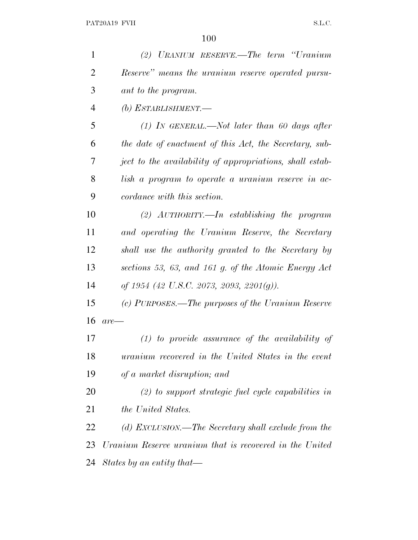| $\mathbf{1}$   | (2) URANIUM RESERVE.—The term "Uranium"                    |
|----------------|------------------------------------------------------------|
| $\overline{2}$ | Reserve" means the uranium reserve operated pursu-         |
| 3              | ant to the program.                                        |
| 4              | (b) ESTABLISHMENT.—                                        |
| 5              | (1) In GENERAL.—Not later than 60 days after               |
| 6              | the date of enactment of this Act, the Secretary, sub-     |
| 7              | ject to the availability of appropriations, shall estab-   |
| 8              | lish a program to operate a uranium reserve in ac-         |
| 9              | <i>cordance with this section.</i>                         |
| 10             | (2) $AUTHORITY$ . In establishing the program              |
| 11             | and operating the Uranium Reserve, the Secretary           |
| 12             | shall use the authority granted to the Secretary by        |
| 13             | sections 53, 63, and 161 g. of the Atomic Energy Act       |
| 14             | of 1954 (42 U.S.C. 2073, 2093, 2201(g)).                   |
| 15             | (c) PURPOSES.—The purposes of the Uranium Reserve          |
| 16             | $are$ —                                                    |
| 17             | $(1)$ to provide assurance of the availability of          |
| 18             | <i>uranium recovered in the United States in the event</i> |
| 19             | of a market disruption; and                                |
| 20             | $(2)$ to support strategic fuel cycle capabilities in      |
| 21             | the United States.                                         |
| 22             | (d) EXCLUSION.—The Secretary shall exclude from the        |
| 23             | Uranium Reserve uranium that is recovered in the United    |
| 24             | States by an entity that—                                  |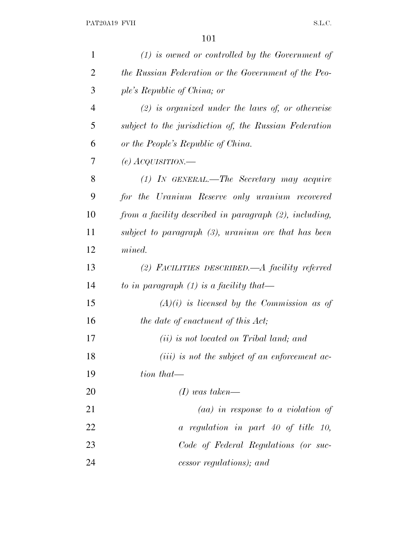| $\mathbf{1}$   | $(1)$ is owned or controlled by the Government of      |
|----------------|--------------------------------------------------------|
| $\overline{2}$ | the Russian Federation or the Government of the Peo-   |
| 3              | ple's Republic of China; or                            |
| $\overline{4}$ | $(2)$ is organized under the laws of, or otherwise     |
| 5              | subject to the jurisdiction of, the Russian Federation |
| 6              | or the People's Republic of China.                     |
| 7              | (e) $A$ CQUISITION.—                                   |
| 8              | $(1)$ IN GENERAL.—The Secretary may acquire            |
| 9              | for the Uranium Reserve only uranium recovered         |
| 10             | from a facility described in paragraph (2), including, |
| 11             | subject to paragraph $(3)$ , uranium ore that has been |
| 12             | mined.                                                 |
| 13             | (2) FACILITIES DESCRIBED.—A facility referred          |
| 14             | to in paragraph $(1)$ is a facility that—              |
| 15             | $(A)(i)$ is licensed by the Commission as of           |
| 16             | the date of enactment of this Act;                     |
| 17             | (ii) is not located on Tribal land; and                |
| 18             | $(iii)$ is not the subject of an enforcement ac-       |
| 19             | tion that—                                             |
| 20             | $(I)$ was taken—                                       |
| 21             | $(aa)$ in response to a violation of                   |
| 22             | $a$ regulation in part 40 of title 10,                 |
| 23             | Code of Federal Regulations (or suc-                   |
| 24             | cessor regulations); and                               |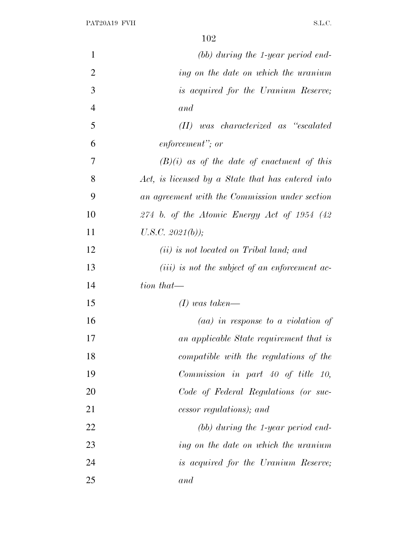| $\mathbf{1}$   | $(bb)$ during the 1-year period end-              |
|----------------|---------------------------------------------------|
| $\overline{2}$ | ing on the date on which the uranium              |
| 3              | is acquired for the Uranium Reserve;              |
| $\overline{4}$ | and                                               |
| 5              | $(II)$ was characterized as "escalated"           |
| 6              | enforcement"; or                                  |
| 7              | $(B)(i)$ as of the date of enactment of this      |
| 8              | Act, is licensed by a State that has entered into |
| 9              | an agreement with the Commission under section    |
| 10             | $274$ b. of the Atomic Energy Act of 1954 (42     |
| 11             | U.S.C. $2021(b)$ );                               |
| 12             | (ii) is not located on Tribal land; and           |
| 13             | $(iii)$ is not the subject of an enforcement ac-  |
| 14             | tion that—                                        |
| 15             | $(I)$ was taken—                                  |
| 16             | $(aa)$ in response to a violation of              |
| 17             | an applicable State requirement that is           |
| 18             | compatible with the regulations of the            |
| 19             | $Commission$ in part 40 of title 10,              |
| 20             | Code of Federal Regulations (or suc-              |
| 21             | cessor regulations); and                          |
| 22             | $(bb)$ during the 1-year period end-              |
| 23             | ing on the date on which the uranium              |
| 24             | <i>is acquired for the Uranium Reserve;</i>       |
| 25             | and                                               |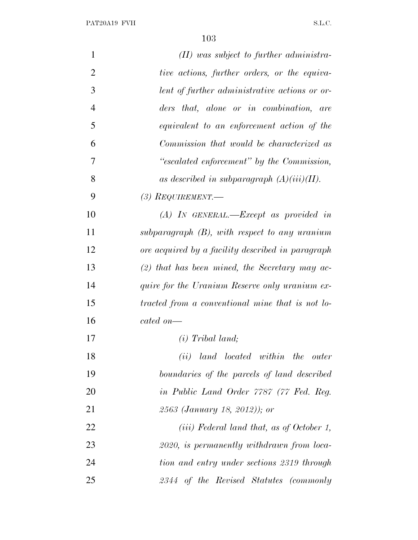| $\mathbf{1}$   | $(II)$ was subject to further administra-         |
|----------------|---------------------------------------------------|
| $\overline{2}$ | tive actions, further orders, or the equiva-      |
| 3              | lent of further administrative actions or or-     |
| $\overline{4}$ | ders that, alone or in combination, are           |
| 5              | equivalent to an enforcement action of the        |
| 6              | Commission that would be characterized as         |
| 7              | "escalated enforcement" by the Commission,        |
| 8              | as described in subparagraph $(A)(iii)(II)$ .     |
| 9              | (3) $REQUIREMENT$ .                               |
| 10             | $(A)$ IN GENERAL.—Except as provided in           |
| 11             | $subparagnph$ (B), with respect to any uranium    |
| 12             | ore acquired by a facility described in paragraph |
| 13             | $(2)$ that has been mined, the Secretary may ac-  |
| 14             | quire for the Uranium Reserve only uranium ex-    |
| 15             | tracted from a conventional mine that is not lo-  |
| 16             | $cated\ on$ —                                     |
| 17             | $(i)$ Tribal land;                                |
| 18             | (ii) land located within the outer                |
| 19             | boundaries of the parcels of land described       |
| 20             | in Public Land Order 7787 (77 Fed. Reg.           |
| 21             | 2563 (January 18, 2012)); or                      |
| 22             | (iii) Federal land that, as of October 1,         |
| 23             | 2020, is permanently withdrawn from loca-         |
| 24             | tion and entry under sections 2319 through        |
| 25             | 2344 of the Revised Statutes (commonly            |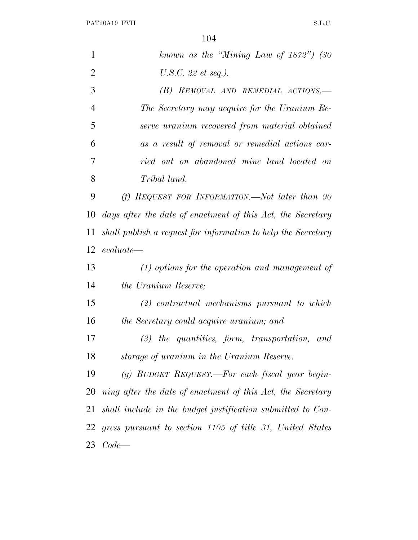| 1              | known as the "Mining Law of $1872"$ ) (30                     |
|----------------|---------------------------------------------------------------|
| $\overline{2}$ | U.S.C. 22 et seq.).                                           |
| 3              | $(B)$ REMOVAL AND REMEDIAL ACTIONS.—                          |
| $\overline{4}$ | The Secretary may acquire for the Uranium Re-                 |
| 5              | serve uranium recovered from material obtained                |
| 6              | as a result of removal or remedial actions car-               |
| 7              | ried out on abandoned mine land located on                    |
| 8              | Tribal land.                                                  |
| 9              | $(f)$ REQUEST FOR INFORMATION.—Not later than 90              |
| 10             | days after the date of enactment of this Act, the Secretary   |
| 11             | shall publish a request for information to help the Secretary |
| 12             | $evaluate-$                                                   |
| 13             | $(1)$ options for the operation and management of             |
| 14             | the Uranium Reserve;                                          |
| 15             | $(2)$ contractual mechanisms pursuant to which                |
| 16             | the Secretary could acquire uranium; and                      |
| 17             | $(3)$ the quantities, form, transportation, and               |
| 18             | storage of uranium in the Uranium Reserve.                    |
| 19             | (g) BUDGET REQUEST.—For each fiscal year begin-               |
| 20             | ning after the date of enactment of this Act, the Secretary   |
| 21             | shall include in the budget justification submitted to Con-   |
| 22             | gress pursuant to section 1105 of title 31, United States     |
| 23             | $Code-$                                                       |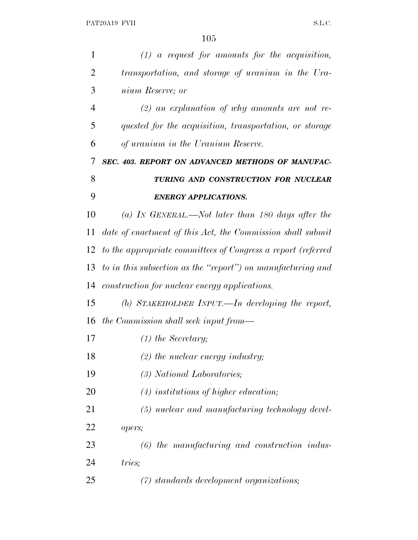| $\mathbf{1}$ | $(1)$ a request for amounts for the acquisition,             |
|--------------|--------------------------------------------------------------|
| 2            | transportation, and storage of uranium in the Ura-           |
| 3            | nium Reserve; or                                             |
| 4            | $(2)$ an explanation of why amounts are not re-              |
| 5            | quested for the acquisition, transportation, or storage      |
| 6            | of uranium in the Uranium Reserve.                           |
| 7            | SEC. 403. REPORT ON ADVANCED METHODS OF MANUFAC-             |
| 8            | TURING AND CONSTRUCTION FOR NUCLEAR                          |
| 9            | <b>ENERGY APPLICATIONS.</b>                                  |
| 10           | (a) IN GENERAL.—Not later than 180 days after the            |
| 11           | date of enactment of this Act, the Commission shall submit   |
| 12           | to the appropriate committees of Congress a report (referred |
| 13           | to in this subsection as the "report") on manufacturing and  |
| 14           | construction for nuclear energy applications.                |
| 15           | (b) STAKEHOLDER INPUT.—In developing the report,             |
|              | 16 the Commission shall seek input from—                     |
| 17           | $(1)$ the Secretary;                                         |
| 18           | $(2)$ the nuclear energy industry;                           |
| 19           | (3) National Laboratories;                                   |
| 20           | $(4)$ institutions of higher education;                      |
| 21           | (5) nuclear and manufacturing technology devel-              |
| 22           | opers;                                                       |
| 23           | $(6)$ the manufacturing and construction indus-              |
| 24           | tries;                                                       |
| 25           | $(7)$ standards development organizations;                   |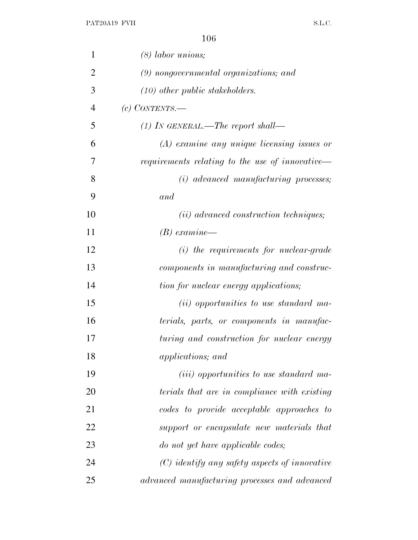| 1              | $(8)$ labor unions;                             |
|----------------|-------------------------------------------------|
| $\overline{2}$ | $(9)$ nongovernmental organizations; and        |
| 3              | $(10)$ other public stakeholders.               |
| $\overline{4}$ | $(c)$ CONTENTS.                                 |
| 5              | (1) IN GENERAL.—The report shall—               |
| 6              | $(A)$ examine any unique licensing issues or    |
| 7              | requirements relating to the use of innovative— |
| 8              | $(i)$ advanced manufacturing processes;         |
| 9              | and                                             |
| 10             | $(ii)$ advanced construction techniques;        |
| 11             | $(B)$ examine—                                  |
| 12             | $(i)$ the requirements for nuclear-grade        |
| 13             | components in manufacturing and construc-       |
| 14             | tion for nuclear energy applications;           |
| 15             | ( <i>ii</i> ) opportunities to use standard ma- |
| 16             | terials, parts, or components in manufac-       |
| 17             | turing and construction for nuclear energy      |
| 18             | applications; and                               |
| 19             | <i>(iii)</i> opportunities to use standard ma-  |
| 20             | terials that are in compliance with existing    |
| 21             | codes to provide acceptable approaches to       |
| 22             | support or encapsulate new materials that       |
| 23             | do not yet have applicable codes;               |
| 24             | $(C)$ identify any safety aspects of innovative |
| 25             | advanced manufacturing processes and advanced   |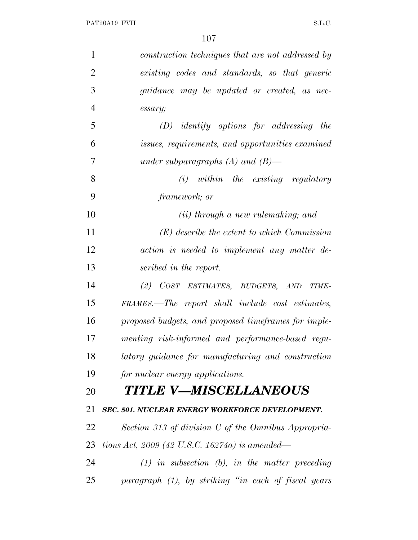| $\mathbf{1}$   | construction techniques that are not addressed by    |
|----------------|------------------------------------------------------|
| $\overline{2}$ | existing codes and standards, so that generic        |
| 3              | guidance may be updated or created, as nec-          |
| $\overline{4}$ | essary;                                              |
| 5              | $(D)$ identify options for addressing the            |
| 6              | issues, requirements, and opportunities examined     |
| 7              | under subparagraphs $(A)$ and $(B)$ —                |
| 8              | $(i)$ within the existing regulatory                 |
| 9              | <i>framework</i> ; <i>or</i>                         |
| 10             | $(ii)$ through a new rulemaking; and                 |
| 11             | $(E)$ describe the extent to which Commission        |
| 12             | action is needed to implement any matter de-         |
| 13             | scribed in the report.                               |
| 14             | (2) COST ESTIMATES, BUDGETS, AND<br><i>TIME-</i>     |
| 15             | FRAMES.—The report shall include cost estimates,     |
| 16             | proposed budgets, and proposed timeframes for imple- |
| 17             | menting risk-informed and performance-based regu-    |
| 18             | latory guidance for manufacturing and construction   |
| 19             | for nuclear energy applications.                     |
| 20             | TITLE V—MISCELLANEOUS                                |
| 21             | SEC. 501. NUCLEAR ENERGY WORKFORCE DEVELOPMENT.      |
| 22             | Section 313 of division C of the Omnibus Appropria-  |
| 23             | tions Act, 2009 (42 U.S.C. 16274a) is amended—       |
| 24             | $(1)$ in subsection $(b)$ , in the matter preceding  |
| 25             | paragraph (1), by striking "in each of fiscal years  |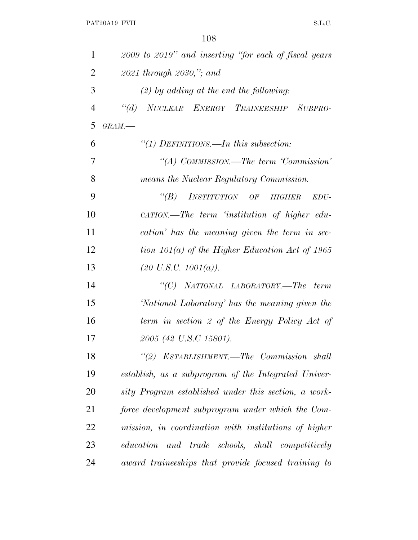| $\mathbf{1}$   | 2009 to 2019" and inserting "for each of fiscal years |
|----------------|-------------------------------------------------------|
| $\overline{2}$ | $2021$ through $2030$ ,"; and                         |
| 3              | $(2)$ by adding at the end the following:             |
| $\overline{4}$ | NUCLEAR ENERGY TRAINEESHIP SUBPRO-<br>$\lq (d)$       |
| 5              | $GRAM$ .                                              |
| 6              | "(1) DEFINITIONS.—In this subsection:                 |
| 7              | "(A) COMMISSION.—The term 'Commission'                |
| 8              | means the Nuclear Regulatory Commission.              |
| 9              | $\lq(B)$<br>INSTITUTION OF HIGHER<br>EDU-             |
| 10             | $CATION$ . The term 'institution of higher edu-       |
| 11             | cation' has the meaning given the term in sec-        |
| 12             | tion $101(a)$ of the Higher Education Act of 1965     |
| 13             | $(20 \text{ U.S. C. } 1001(a)).$                      |
| 14             | "(C) NATIONAL LABORATORY.—The term                    |
| 15             | 'National Laboratory' has the meaning given the       |
| 16             | term in section 2 of the Energy Policy Act of         |
| 17             | 2005 (42 U.S.C 15801).                                |
| 18             | "(2) ESTABLISHMENT.—The Commission shall              |
| 19             | establish, as a subprogram of the Integrated Univer-  |
| 20             | sity Program established under this section, a work-  |
| 21             | force development subprogram under which the Com-     |
| 22             | mission, in coordination with institutions of higher  |
| 23             | education<br>and trade schools, shall competitively   |
| 24             | award traineeships that provide focused training to   |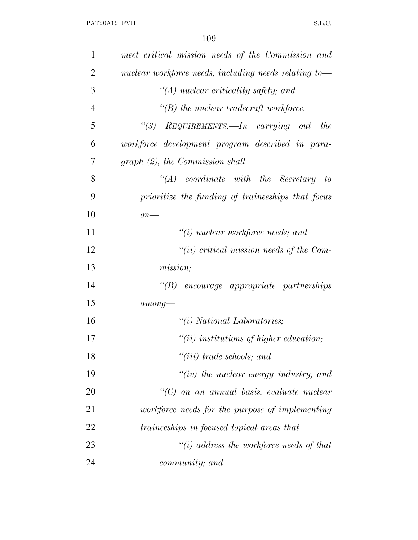| $\mathbf{1}$   | meet critical mission needs of the Commission and     |
|----------------|-------------------------------------------------------|
| $\overline{2}$ | nuclear workforce needs, including needs relating to- |
| 3              | $\lq (A)$ nuclear criticality safety; and             |
| $\overline{4}$ | $\lq\lq(B)$ the nuclear tradecraft workforce.         |
| 5              | "(3) $REQUIREMENTS. - In carrying out$<br><i>the</i>  |
| 6              | workforce development program described in para-      |
| 7              | graph $(2)$ , the Commission shall—                   |
| 8              | $\lq\lq (A)$ coordinate with the Secretary to         |
| 9              | prioritize the funding of traineeships that focus     |
| 10             | $\overline{on}$ —                                     |
| 11             | $"(i)$ nuclear workforce needs; and                   |
| 12             | $``(ii) critical mission needs of the Com-$           |
| 13             | mission;                                              |
| 14             | $\lq\lq B$ encourage appropriate partnerships         |
| 15             | $among-$                                              |
| 16             | $\lq\lq(i)$ National Laboratories;                    |
| 17             | $"(ii)$ institutions of higher education;             |
| 18             | $``(iii)$ trade schools; and                          |
| 19             | $``(iv)$ the nuclear energy industry; and             |
| 20             | $\lq\lq C$ on an annual basis, evaluate nuclear       |
| 21             | workforce needs for the purpose of implementing       |
| 22             | traineeships in focused topical areas that—           |
| 23             | $\lq\lq(i)$ address the workforce needs of that       |
| 24             | community; and                                        |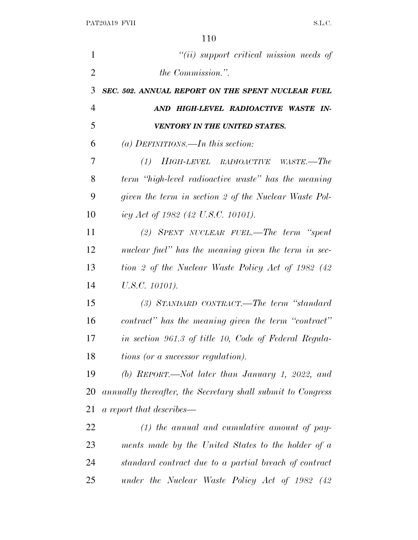| 1              | $``(ii)$ support critical mission needs of                  |
|----------------|-------------------------------------------------------------|
| $\overline{2}$ | <i>the Commission.</i> ".                                   |
| 3              | SEC. 502. ANNUAL REPORT ON THE SPENT NUCLEAR FUEL           |
| $\overline{4}$ | AND HIGH-LEVEL RADIOACTIVE WASTE IN-                        |
| 5              | <b>VENTORY IN THE UNITED STATES.</b>                        |
| 6              | (a) DEFINITIONS.—In this section:                           |
| 7              | $(1)$ HIGH-LEVEL RADIOACTIVE WASTE.—The                     |
| 8              | term "high-level radioactive waste" has the meaning         |
| 9              | given the term in section 2 of the Nuclear Waste Pol-       |
| 10             | icy Act of 1982 (42 U.S.C. 10101).                          |
| 11             | (2) SPENT NUCLEAR FUEL.—The term "spent                     |
| 12             | nuclear fuel" has the meaning given the term in sec-        |
| 13             | tion 2 of the Nuclear Waste Policy Act of 1982 (42)         |
| 14             | U.S.C. 10101).                                              |
| 15             | (3) STANDARD CONTRACT.—The term "standard                   |
| 16             | contract" has the meaning given the term "contract"         |
| 17             | in section 961.3 of title 10, Code of Federal Regula-       |
| 18             | tions (or a successor regulation).                          |
| 19             | (b) REPORT.—Not later than January 1, 2022, and             |
| 20             | annually thereafter, the Secretary shall submit to Congress |
| 21             | a report that describes—                                    |
| 22             | $(1)$ the annual and cumulative amount of pay-              |
| 23             | ments made by the United States to the holder of a          |
| 24             | standard contract due to a partial breach of contract       |
| 25             | under the Nuclear Waste Policy Act of 1982 (42              |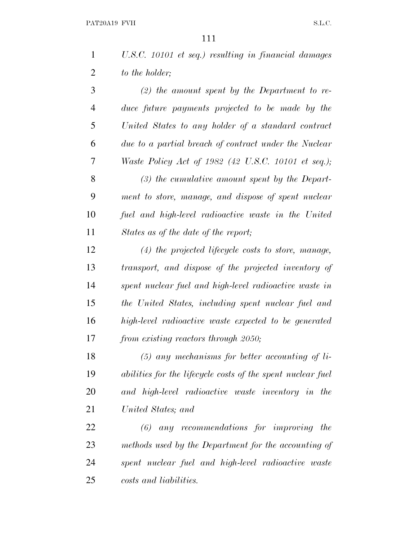| 1 | U.S.C. 10101 et seq.) resulting in financial damages |
|---|------------------------------------------------------|
|   | to the holder;                                       |

 *(2) the amount spent by the Department to re- duce future payments projected to be made by the United States to any holder of a standard contract due to a partial breach of contract under the Nuclear Waste Policy Act of 1982 (42 U.S.C. 10101 et seq.); (3) the cumulative amount spent by the Depart- ment to store, manage, and dispose of spent nuclear fuel and high-level radioactive waste in the United States as of the date of the report; (4) the projected lifecycle costs to store, manage, transport, and dispose of the projected inventory of spent nuclear fuel and high-level radioactive waste in the United States, including spent nuclear fuel and high-level radioactive waste expected to be generated*

*from existing reactors through 2050;*

 *(5) any mechanisms for better accounting of li- abilities for the lifecycle costs of the spent nuclear fuel and high-level radioactive waste inventory in the United States; and*

 *(6) any recommendations for improving the methods used by the Department for the accounting of spent nuclear fuel and high-level radioactive waste costs and liabilities.*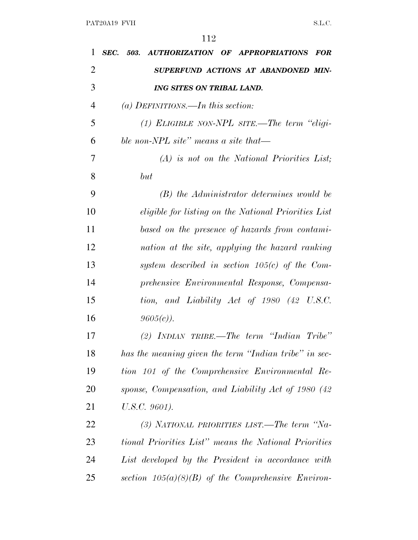| 1              | SEC.<br>AUTHORIZATION OF APPROPRIATIONS FOR<br>503.   |
|----------------|-------------------------------------------------------|
| $\overline{2}$ | SUPERFUND ACTIONS AT ABANDONED MIN-                   |
| 3              | ING SITES ON TRIBAL LAND.                             |
| $\overline{4}$ | (a) DEFINITIONS.—In this section:                     |
| 5              | (1) ELIGIBLE NON-NPL SITE.—The term "eligi-           |
| 6              | ble non-NPL site" means a site that—                  |
| 7              | $(A)$ is not on the National Priorities List;         |
| 8              | but                                                   |
| 9              | (B) the Administrator determines would be             |
| 10             | eligible for listing on the National Priorities List  |
| 11             | based on the presence of hazards from contami-        |
| 12             | nation at the site, applying the hazard ranking       |
| 13             | system described in section $105(c)$ of the Com-      |
| 14             | prehensive Environmental Response, Compensa-          |
| 15             | tion, and Liability Act of 1980 (42 U.S.C.            |
| 16             | $9605(c)$ ).                                          |
| 17             | (2) INDIAN TRIBE.—The term "Indian Tribe"             |
| 18             | has the meaning given the term "Indian tribe" in sec- |
| 19             | tion 101 of the Comprehensive Environmental Re-       |
| 20             | sponse, Compensation, and Liability Act of 1980 (42)  |
| 21             | U.S.C. 9601).                                         |
| 22             | (3) NATIONAL PRIORITIES LIST.—The term "Na-           |
| 23             | tional Priorities List" means the National Priorities |
| 24             | List developed by the President in accordance with    |
| 25             | section $105(a)(8)(B)$ of the Comprehensive Environ-  |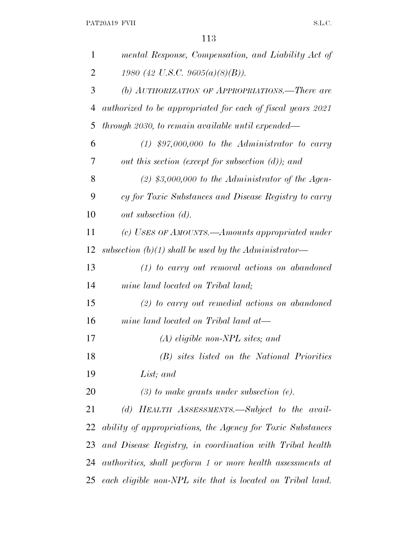| 1              | mental Response, Compensation, and Liability Act of         |
|----------------|-------------------------------------------------------------|
| $\overline{2}$ | 1980 (42 U.S.C. 9605(a)(8)(B)).                             |
| 3              | (b) AUTHORIZATION OF APPROPRIATIONS.—There are              |
| $\overline{4}$ | authorized to be appropriated for each of fiscal years 2021 |
| 5              | through 2030, to remain available until expended—           |
| 6              | $(1)$ \$97,000,000 to the Administrator to carry            |
| 7              | out this section (except for subsection $(d)$ ); and        |
| 8              | $(2)$ \$3,000,000 to the Administrator of the Agen-         |
| 9              | cy for Toxic Substances and Disease Registry to carry       |
| 10             | out subsection (d).                                         |
| 11             | (c) USES OF AMOUNTS.—Amounts appropriated under             |
| 12             | subsection $(b)(1)$ shall be used by the Administrator—     |
| 13             | $(1)$ to carry out removal actions on abandoned             |
| 14             | mine land located on Tribal land;                           |
| 15             | $(2)$ to carry out remedial actions on abandoned            |
| 16             | mine land located on Tribal land at-                        |
| 17             | $(A)$ eligible non-NPL sites; and                           |
| 18             | (B) sites listed on the National Priorities                 |
| 19             | List; and                                                   |
| 20             | $(3)$ to make grants under subsection $(e)$ .               |
| 21             | (d) HEALTH ASSESSMENTS.—Subject to the avail-               |
| 22             | ability of appropriations, the Agency for Toxic Substances  |
| 23             | and Disease Registry, in coordination with Tribal health    |
| 24             | authorities, shall perform 1 or more health assessments at  |
| 25             | each eligible non-NPL site that is located on Tribal land.  |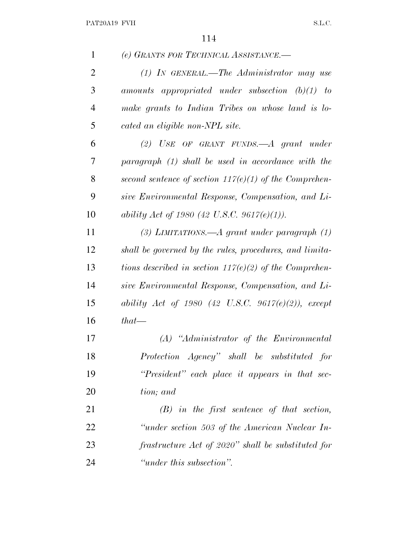| $\mathbf{1}$   | (e) GRANTS FOR TECHNICAL ASSISTANCE.-                    |
|----------------|----------------------------------------------------------|
| $\overline{2}$ | $(1)$ IN GENERAL.—The Administrator may use              |
| 3              | amounts appropriated under subsection $(b)(1)$ to        |
| $\overline{4}$ | make grants to Indian Tribes on whose land is lo-        |
| 5              | cated an eligible non-NPL site.                          |
| 6              | (2) USE OF GRANT FUNDS.—A grant under                    |
| 7              | paragraph (1) shall be used in accordance with the       |
| 8              | second sentence of section $117(e)(1)$ of the Comprehen- |
| 9              | sive Environmental Response, Compensation, and Li-       |
| 10             | ability Act of 1980 (42 U.S.C. 9617 $(e)(1)$ ).          |
| 11             | $(3)$ LIMITATIONS.—A grant under paragraph $(1)$         |
| 12             | shall be governed by the rules, procedures, and limita-  |
| 13             | tions described in section $117(e)(2)$ of the Comprehen- |
| 14             | sive Environmental Response, Compensation, and Li-       |
| 15             | ability Act of 1980 (42 U.S.C. 9617(e)(2)), except       |
| 16             | $that$ —                                                 |
| 17             | $(A)$ "Administrator of the Environmental"               |
| 18             | Protection Agency" shall be substituted for              |
| 19             | "President" each place it appears in that sec-           |
| 20             | tion; and                                                |
| 21             | $(B)$ in the first sentence of that section,             |
| 22             | "under section 503 of the American Nuclear In-           |
| 23             | frastructure Act of 2020" shall be substituted for       |
| 24             | "under this subsection".                                 |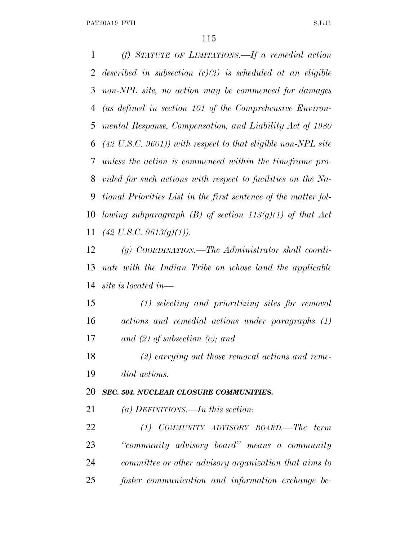*(f) STATUTE OF LIMITATIONS.—If a remedial action described in subsection (c)(2) is scheduled at an eligible non-NPL site, no action may be commenced for damages (as defined in section 101 of the Comprehensive Environ- mental Response, Compensation, and Liability Act of 1980 (42 U.S.C. 9601)) with respect to that eligible non-NPL site unless the action is commenced within the timeframe pro- vided for such actions with respect to facilities on the Na- tional Priorities List in the first sentence of the matter fol- lowing subparagraph (B) of section 113(g)(1) of that Act (42 U.S.C. 9613(g)(1)). (g) COORDINATION.—The Administrator shall coordi- nate with the Indian Tribe on whose land the applicable site is located in—*

 *(1) selecting and prioritizing sites for removal actions and remedial actions under paragraphs (1) and (2) of subsection (c); and*

 *(2) carrying out those removal actions and reme-dial actions.*

## *SEC. 504. NUCLEAR CLOSURE COMMUNITIES.*

*(a) DEFINITIONS.—In this section:*

 *(1) COMMUNITY ADVISORY BOARD.—The term ''community advisory board'' means a community committee or other advisory organization that aims to foster communication and information exchange be-*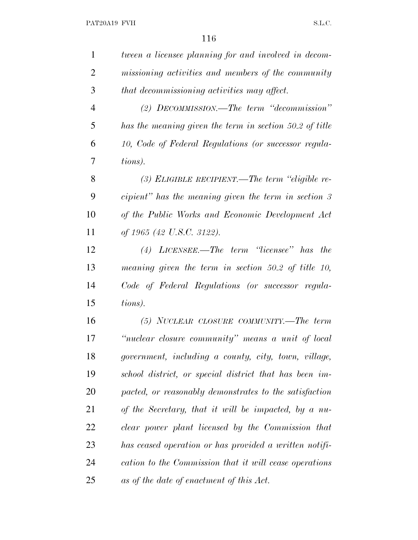| $\mathbf{1}$   | tween a licensee planning for and involved in decom-       |
|----------------|------------------------------------------------------------|
| $\overline{2}$ | missioning activities and members of the community         |
| 3              | that decommissioning activities may affect.                |
| $\overline{4}$ | (2) DECOMMISSION.—The term "decommission"                  |
| 5              | has the meaning given the term in section 50.2 of title    |
| 6              | 10, Code of Federal Regulations (or successor regula-      |
| 7              | tions).                                                    |
| 8              | (3) ELIGIBLE RECIPIENT.—The term "eligible re-             |
| 9              | cipient" has the meaning given the term in section $\beta$ |
| 10             | of the Public Works and Economic Development Act           |
| 11             | of 1965 (42 U.S.C. 3122).                                  |
| 12             | $(4)$ LICENSEE.—The term "licensee" has the                |
| 13             | meaning given the term in section 50.2 of title 10,        |
| 14             | Code of Federal Regulations (or successor regula-          |
| 15             | tions).                                                    |
| 16             | (5) NUCLEAR CLOSURE COMMUNITY.—The term                    |
| 17             | "nuclear closure community" means a unit of local          |
| 18             | government, including a county, city, town, village,       |
| 19             | school district, or special district that has been im-     |
| 20             | pacted, or reasonably demonstrates to the satisfaction     |
| 21             | of the Secretary, that it will be impacted, by a nu-       |
| 22             | clear power plant licensed by the Commission that          |
| 23             | has ceased operation or has provided a written notifi-     |
| 24             | cation to the Commission that it will cease operations     |
| 25             | as of the date of enactment of this Act.                   |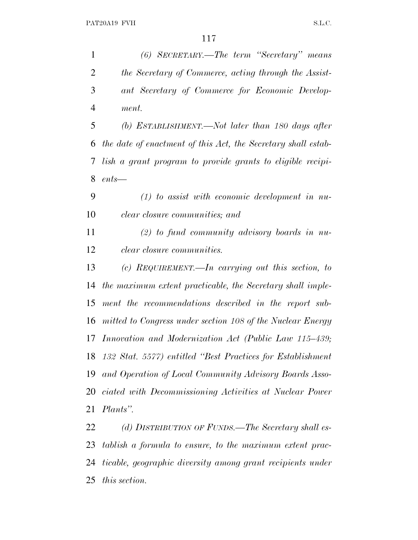*(6) SECRETARY.—The term ''Secretary'' means the Secretary of Commerce, acting through the Assist- ant Secretary of Commerce for Economic Develop- ment. (b) ESTABLISHMENT.—Not later than 180 days after the date of enactment of this Act, the Secretary shall estab- lish a grant program to provide grants to eligible recipi- ents— (1) to assist with economic development in nu- clear closure communities; and (2) to fund community advisory boards in nu- clear closure communities. (c) REQUIREMENT.—In carrying out this section, to the maximum extent practicable, the Secretary shall imple- ment the recommendations described in the report sub- mitted to Congress under section 108 of the Nuclear Energy Innovation and Modernization Act (Public Law 115–439; 132 Stat. 5577) entitled ''Best Practices for Establishment and Operation of Local Community Advisory Boards Asso- ciated with Decommissioning Activities at Nuclear Power Plants''. (d) DISTRIBUTION OF FUNDS.—The Secretary shall es-*

 *tablish a formula to ensure, to the maximum extent prac- ticable, geographic diversity among grant recipients under this section.*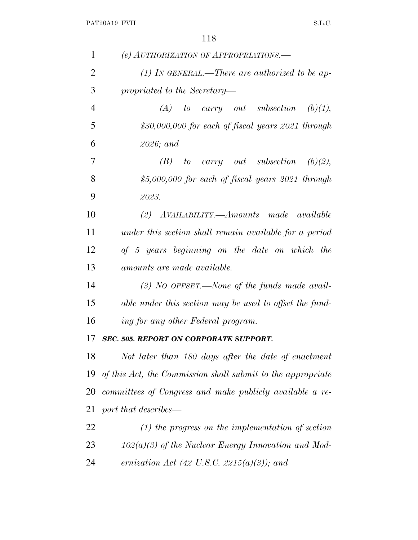| $\mathbf{1}$   | (e) AUTHORIZATION OF APPROPRIATIONS.—                       |
|----------------|-------------------------------------------------------------|
| $\overline{2}$ | (1) In GENERAL.—There are authorized to be ap-              |
| 3              | propriated to the Secretary—                                |
| $\overline{4}$ | (A)<br>to carry out subsection $(b)(1)$ ,                   |
| 5              | $$30,000,000$ for each of fiscal years $2021$ through       |
| 6              | $2026$ ; and                                                |
| 7              | $(B)$ to carry out subsection $(b)(2)$ ,                    |
| 8              | $$5,000,000$ for each of fiscal years 2021 through          |
| 9              | 2023.                                                       |
| 10             | (2) AVAILABILITY.—Amounts made available                    |
| 11             | under this section shall remain available for a period      |
| 12             | of 5 years beginning on the date on which the               |
| 13             | amounts are made available.                                 |
| 14             | $(3)$ NO OFFSET.—None of the funds made avail-              |
| 15             | able under this section may be used to offset the fund-     |
| 16             | ing for any other Federal program.                          |
| 17             | <b>SEC. 505. REPORT ON CORPORATE SUPPORT.</b>               |
| 18             | Not later than 180 days after the date of enactment         |
| 19             | of this Act, the Commission shall submit to the appropriate |
| <b>20</b>      | committees of Congress and make publicly available a re-    |
| 21             | port that describes—                                        |
| 22             | $(1)$ the progress on the implementation of section         |
| 23             | $102(a)(3)$ of the Nuclear Energy Innovation and Mod-       |
| 24             | ernization Act (42 U.S.C. 2215(a)(3)); and                  |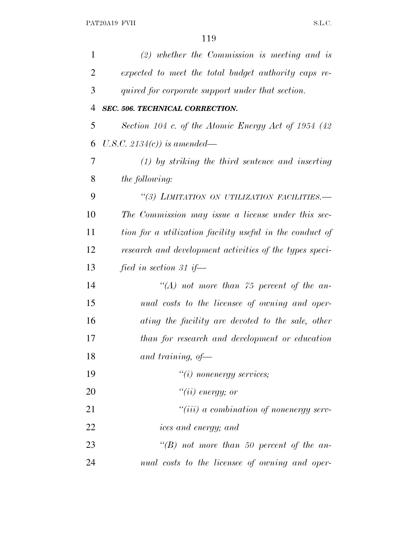| $\mathbf{1}$ | $(2)$ whether the Commission is meeting and is           |
|--------------|----------------------------------------------------------|
| 2            | expected to meet the total budget authority caps re-     |
| 3            | quired for corporate support under that section.         |
| 4            | SEC. 506. TECHNICAL CORRECTION.                          |
| 5            | Section 104 c. of the Atomic Energy Act of 1954 (42)     |
| 6            | U.S.C. 2134 $(c)$ ) is amended—                          |
| 7            | $(1)$ by striking the third sentence and inserting       |
| 8            | the following:                                           |
| 9            | "(3) LIMITATION ON UTILIZATION FACILITIES.-              |
| 10           | The Commission may issue a license under this sec-       |
| 11           | tion for a utilization facility useful in the conduct of |
| 12           | research and development activities of the types speci-  |
| 13           | fied in section 31 if—                                   |
| 14           | $\lq (A)$ not more than 75 percent of the an-            |
| 15           | nual costs to the licensee of owning and oper-           |
| 16           | ating the facility are devoted to the sale, other        |
| 17           | than for research and development or education           |
| 18           | and training, $of$ —                                     |
| 19           | $"(i)$ nonenergy services;                               |
| 20           | $``(ii)$ energy; or                                      |
| 21           | $``(iii)$ a combination of nonenergy serv-               |
| 22           | ices and energy; and                                     |
| 23           | "(B) not more than 50 percent of the an-                 |
| 24           | nual costs to the licensee of owning and oper-           |